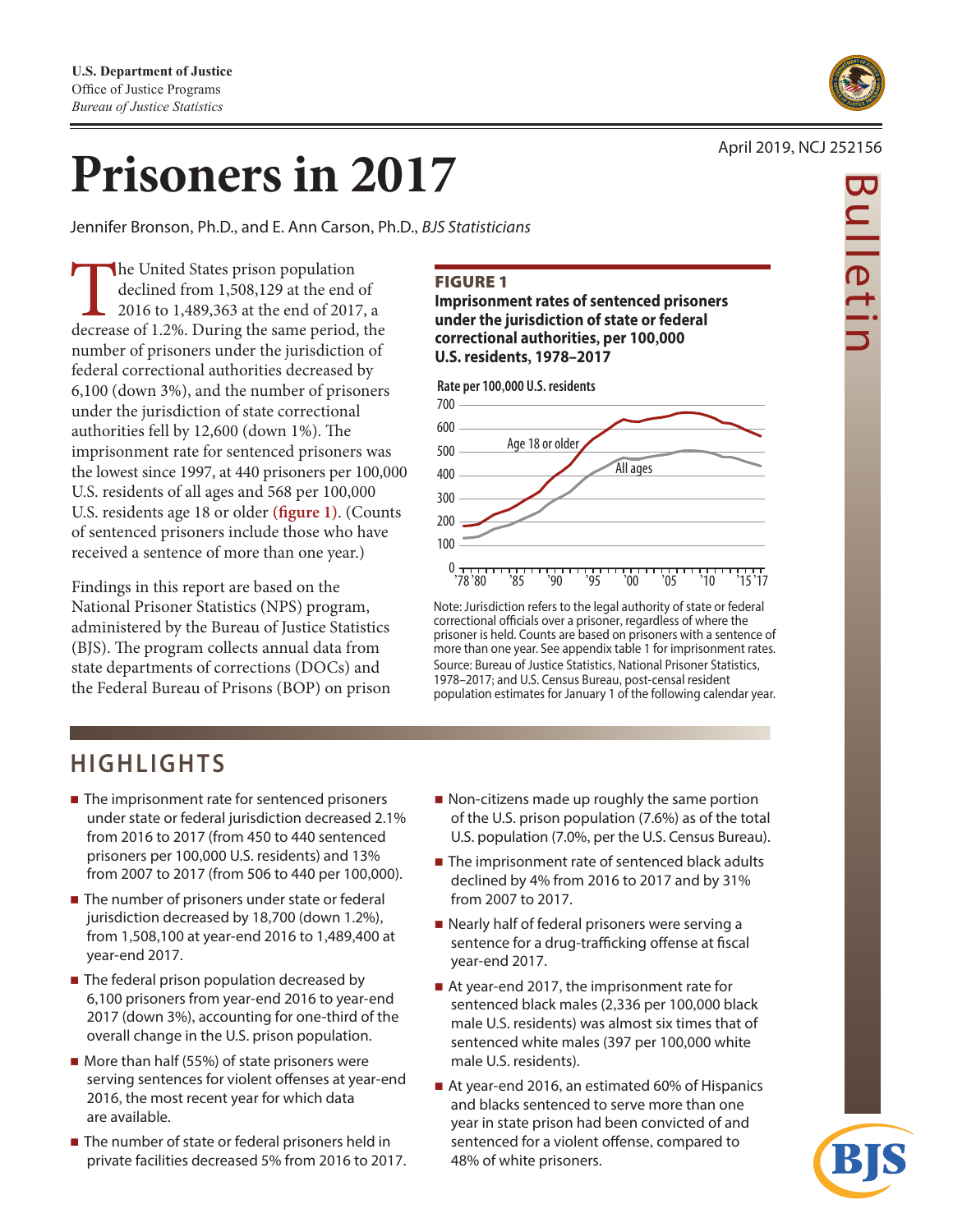

# **Prisoners in 2017**

Jennifer Bronson, Ph.D., and E. Ann Carson, Ph.D., *BJS Statisticians* 

The United States prison population<br>declined from 1,508,129 at the end<br>2016 to 1,489,363 at the end of 2017<br>decrease of 1.2%. During the same period, declined from 1,508,129 at the end of 2016 to 1,489,363 at the end of 2017, a decrease of 1.2%. During the same period, the number of prisoners under the jurisdiction of federal correctional authorities decreased by 6,100 (down 3%), and the number of prisoners under the jurisdiction of state correctional authorities fell by 12,600 (down 1%). The imprisonment rate for sentenced prisoners was the lowest since 1997, at 440 prisoners per 100,000 U.S. residents of all ages and 568 per 100,000 U.S. residents age 18 or older **(fgure 1)**. (Counts of sentenced prisoners include those who have received a sentence of more than one year.)

Findings in this report are based on the National Prisoner Statistics (NPS) program, administered by the Bureau of Justice Statistics (BJS). The program collects annual data from state departments of corrections (DOCs) and the Federal Bureau of Prisons (BOP) on prison

# FIGURE 1

**Imprisonment rates of sentenced prisoners under the jurisdiction of state or federal correctional authorities, per 100,000 U.S. residents, 1978–2017** 



Note: Jurisdiction refers to the legal authority of state or federal correctional officials over a prisoner, regardless of where the prisoner is held. Counts are based on prisoners with a sentence of more than one year. See appendix table 1 for imprisonment rates. Source: Bureau of Justice Statistics, National Prisoner Statistics, 1978–2017; and U.S. Census Bureau, post-censal resident population estimates for January 1 of the following calendar year.

# **HIGHLIGHTS**

- The imprisonment rate for sentenced prisoners under state or federal jurisdiction decreased 2.1% from 2016 to 2017 (from 450 to 440 sentenced prisoners per 100,000 U.S. residents) and 13% from 2007 to 2017 (from 506 to 440 per 100,000).
- The number of prisoners under state or federal jurisdiction decreased by 18,700 (down 1.2%), from 1,508,100 at year-end 2016 to 1,489,400 at year-end 2017.
- The federal prison population decreased by 6,100 prisoners from year-end 2016 to year-end 2017 (down 3%), accounting for one-third of the overall change in the U.S. prison population.
- $\blacksquare$  More than half (55%) of state prisoners were serving sentences for violent offenses at year-end 2016, the most recent year for which data are available.
- The number of state or federal prisoners held in private facilities decreased 5% from 2016 to 2017.
- Non-citizens made up roughly the same portion of the U.S. prison population (7.6%) as of the total U.S. population (7.0%, per the U.S. Census Bureau).
- The imprisonment rate of sentenced black adults declined by 4% from 2016 to 2017 and by 31% from 2007 to 2017.
- Nearly half of federal prisoners were serving a sentence for a drug-trafficking offense at fiscal year-end 2017.
- At year-end 2017, the imprisonment rate for sentenced black males (2,336 per 100,000 black male U.S. residents) was almost six times that of sentenced white males (397 per 100,000 white male U.S. residents).
- At year-end 2016, an estimated 60% of Hispanics and blacks sentenced to serve more than one year in state prison had been convicted of and sentenced for a violent offense, compared to 48% of white prisoners.

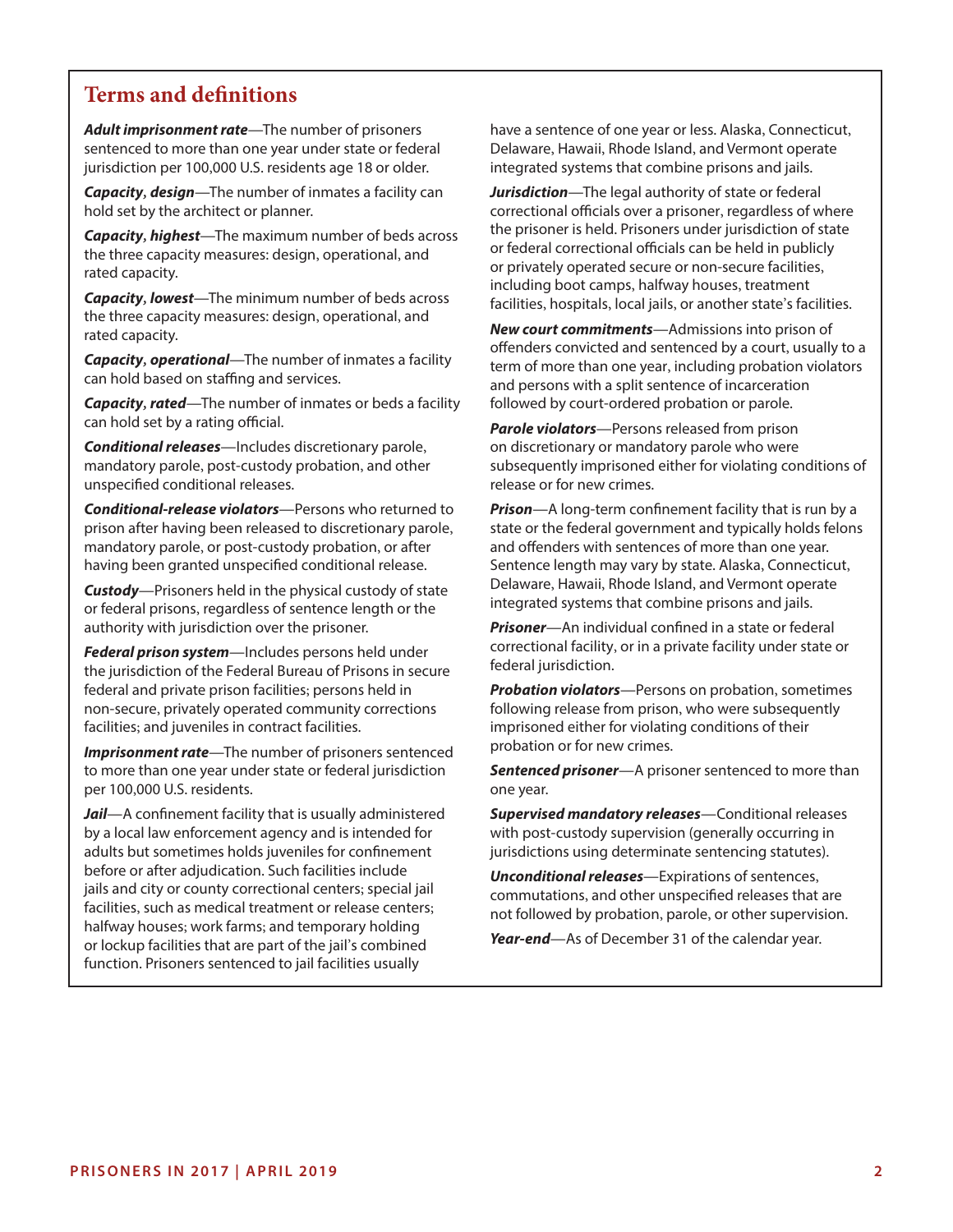# **Terms and defnitions**

sentenced to more than one year under state or federal Delaware, Hawaii, Rhode Island, and Vermont operate jurisdiction per 100,000 U.S. residents age 18 or older. integrated systems that combine prisons and jails.

*Capacity, design*—The number of inmates a facility can *Jurisdiction*—The legal authority of state or federal

or federal correctional officials can be held in publicity<br>or privately operated secure or non-secure facilities,

the three capacity measures: design, operational, and

**Capacity**, **rated**—The number of inmates or beds a facility followed by court-ordered probation or parole. can hold set by a rating official. *Parole violators*—Persons released from prison

*Conditional releases*—Includes discretionary parole, on discretionary or mandatory parole who were unspecified conditional releases. The control of the crimes release or for new crimes.

mandatory parole, or post-custody probation, or after and offenders with sentences of more than one year. having been granted unspecified conditional release. Sentence length may vary by state. Alaska, Connecticut,

authority with jurisdiction over the prisoner. *Prisoner*—An individual confned in a state or federal

federal and private prison facilities; persons held in *Probation violators*—Persons on probation, sometimes non-secure, privately operated community corrections following release from prison, who were subsequently facilities; and juveniles in contract facilities. imprisoned either for violating conditions of their

**Imprisonment rate**—The number of prisoners sentenced probation or for new crimes. per 100,000 U.S. residents. The contract of the vear.

*Jail*—A confnement facility that is usually administered *Supervised mandatory releases*—Conditional releases by a local law enforcement agency and is intended for with post-custody supervision (generally occurring in adults but sometimes holds juveniles for confinement jurisdictions using determinate sentencing statutes). before or after adjudication. Such facilities include<br>
jails and city or county correctional centers; special jail<br>
facilities, such as medical treatment or release centers;<br>
halfway houses; work farms; and temporary holdi function. Prisoners sentenced to jail facilities usually

Adult imprisonment rate—The number of prisoners have a sentence of one year or less. Alaska, Connecticut,

hold set by the architect or planner. correctional officials over a prisoner, regardless of where **Capacity, highest**—The maximum number of beds across the prisoner is held. Prisoners under jurisdiction of state<br>the three capacity measures: design, operational, and or federal correctional officials can be held in publi or privately operated secure or non-secure racilities<br>including boot camps, halfway houses, treatment *Capacity, lowest*—The minimum number of beds across facilities, hospitals, local jails, or another state's facilities.

**New court commitments**—Admissions into prison of<br> **Capacity, operational**—The number of inmates a facility<br>
can hold based on staffing and services.<br>
The number of inmates a facility<br>
can hold based on staffing and servic

mandatory parole, post-custody probation, and other subsequently imprisoned either for violating conditions of

*Conditional-release violators*—Persons who returned to *Prison*—A long-term confnement facility that is run by a prison after having been released to discretionary parole, state or the federal government and typically holds felons Delaware, Hawaii, Rhode Island, and Vermont operate *Custody*—Prisoners held in the physical custody of state integrated systems that combine prisons and jails. or federal prisons, regardless of sentence length or the

**Federal prison system**—Includes persons held under **Federal facility, or in a private facility under state or**<br>the jurisdiction of the Federal Bureau of Prisons in secure federal jurisdiction.

to more than one year under state or federal jurisdiction *Sentenced prisoner*—A prisoner sentenced to more than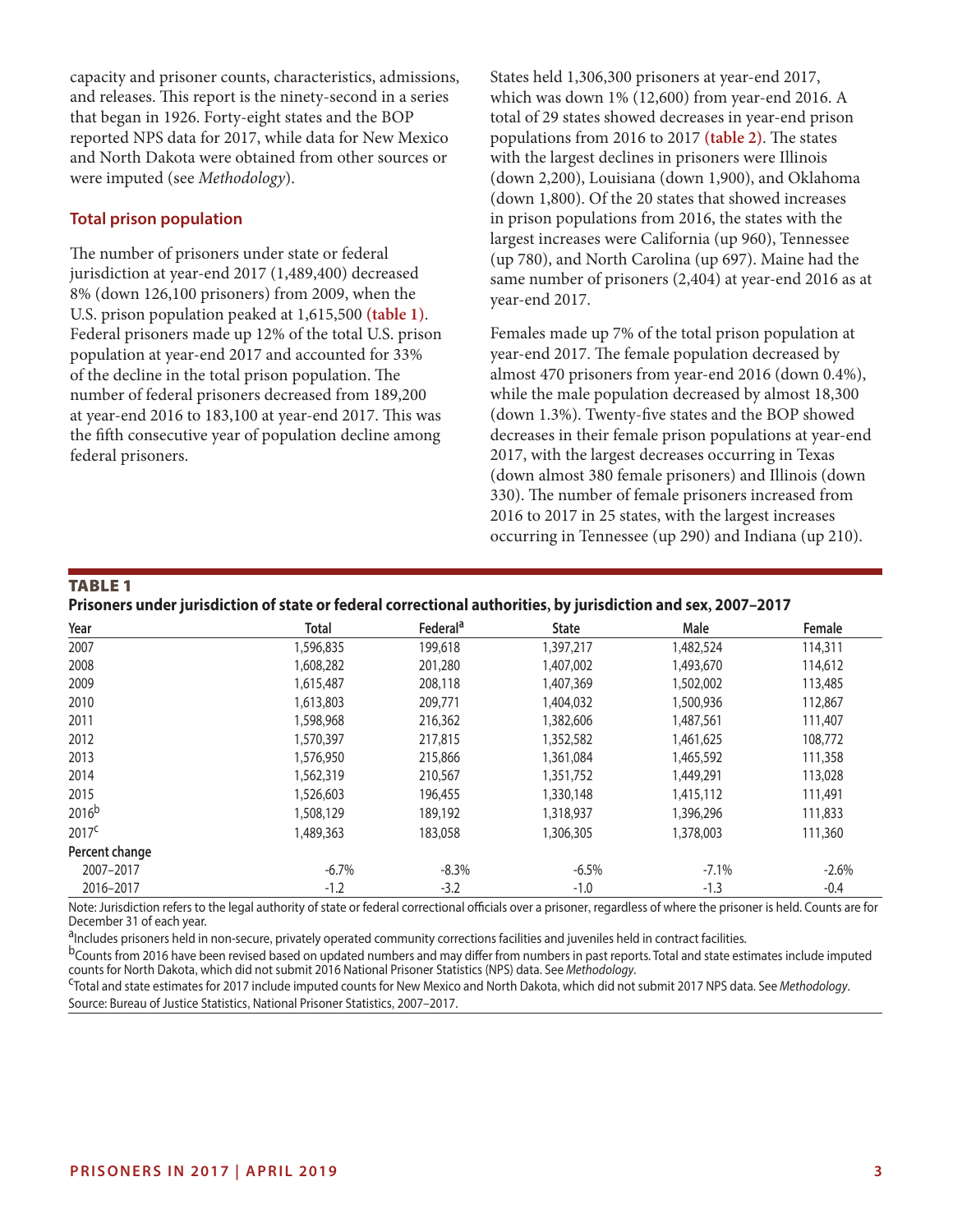capacity and prisoner counts, characteristics, admissions, and releases. This report is the ninety-second in a series that began in 1926. Forty-eight states and the BOP reported NPS data for 2017, while data for New Mexico and North Dakota were obtained from other sources or were imputed (see *Methodology*).

#### **Total prison population**

The number of prisoners under state or federal jurisdiction at year-end 2017 (1,489,400) decreased 8% (down 126,100 prisoners) from 2009, when the U.S. prison population peaked at 1,615,500 **(table 1)**. Federal prisoners made up 12% of the total U.S. prison population at year-end 2017 and accounted for 33% of the decline in the total prison population. The number of federal prisoners decreased from 189,200 at year-end 2016 to 183,100 at year-end 2017. This was the fifth consecutive year of population decline among federal prisoners.

States held 1,306,300 prisoners at year-end 2017, which was down 1% (12,600) from year-end 2016. A total of 29 states showed decreases in year-end prison populations from 2016 to 2017 (table 2). The states with the largest declines in prisoners were Illinois (down 2,200), Louisiana (down 1,900), and Oklahoma (down 1,800). Of the 20 states that showed increases in prison populations from 2016, the states with the largest increases were California (up 960), Tennessee (up 780), and North Carolina (up 697). Maine had the same number of prisoners (2,404) at year-end 2016 as at year-end 2017.

Females made up 7% of the total prison population at year-end 2017. The female population decreased by almost 470 prisoners from year-end 2016 (down 0.4%), while the male population decreased by almost 18,300 (down 1.3%). Twenty-fve states and the BOP showed decreases in their female prison populations at year-end 2017, with the largest decreases occurring in Texas (down almost 380 female prisoners) and Illinois (down 330). The number of female prisoners increased from 2016 to 2017 in 25 states, with the largest increases occurring in Tennessee (up 290) and Indiana (up 210).

#### TABLE 1

|  |  | Prisoners under jurisdiction of state or federal correctional authorities, by jurisdiction and sex, 2007–2017 |  |
|--|--|---------------------------------------------------------------------------------------------------------------|--|
|  |  |                                                                                                               |  |

| Year              | <b>Total</b> | Federal <sup>a</sup> | <b>State</b> | Male      | Female  |
|-------------------|--------------|----------------------|--------------|-----------|---------|
| 2007              | 1,596,835    | 199,618              | 1,397,217    | 1,482,524 | 114,311 |
| 2008              | 1,608,282    | 201,280              | 1,407,002    | 1,493,670 | 114,612 |
| 2009              | 1,615,487    | 208,118              | 1,407,369    | 1,502,002 | 113,485 |
| 2010              | 1,613,803    | 209,771              | 1,404,032    | 1,500,936 | 112,867 |
| 2011              | 1,598,968    | 216,362              | 1,382,606    | 1,487,561 | 111,407 |
| 2012              | 1,570,397    | 217,815              | 1,352,582    | 1,461,625 | 108,772 |
| 2013              | 1,576,950    | 215,866              | 1,361,084    | 1,465,592 | 111,358 |
| 2014              | 1,562,319    | 210,567              | 1,351,752    | 1,449,291 | 113,028 |
| 2015              | 1,526,603    | 196,455              | 1,330,148    | 1,415,112 | 111,491 |
| 2016 <sup>b</sup> | 1,508,129    | 189,192              | 1,318,937    | 1,396,296 | 111,833 |
| 2017 <sup>c</sup> | 1,489,363    | 183,058              | 1,306,305    | 1,378,003 | 111,360 |
| Percent change    |              |                      |              |           |         |
| 2007-2017         | $-6.7%$      | $-8.3%$              | $-6.5%$      | $-7.1%$   | $-2.6%$ |
| 2016-2017         | $-1.2$       | $-3.2$               | $-1.0$       | $-1.3$    | $-0.4$  |

Note: Jurisdiction refers to the legal authority of state or federal correctional officials over a prisoner, regardless of where the prisoner is held. Counts are for December 31 of each year.

<sup>a</sup>lncludes prisoners held in non-secure, privately operated community corrections facilities and juveniles held in contract facilities.<br><sup>b</sup>Counts from 2016 have been revised based on updated numbers and may differ from nu

<sup>c</sup>Total and state estimates for 2017 include imputed counts for New Mexico and North Dakota, which did not submit 2017 NPS data. See Methodology. Source: Bureau of Justice Statistics, National Prisoner Statistics, 2007–2017.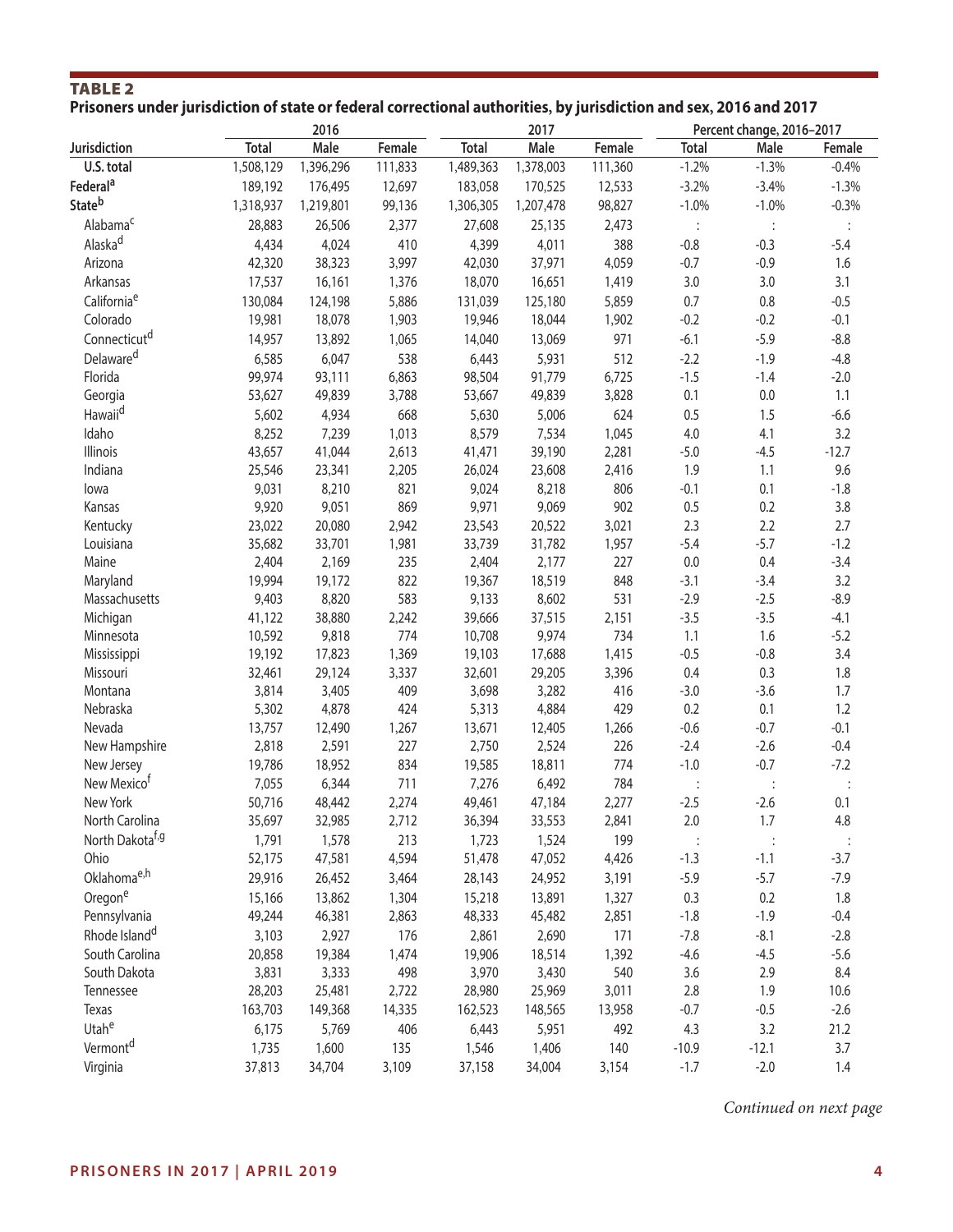# TABLE 2 **Prisoners under jurisdiction of state or federal correctional authorities, by jurisdiction and sex, 2016 and 2017**

|                              |              | 2016      |         |              | 2017      |         | Percent change, 2016-2017 |         |         |  |
|------------------------------|--------------|-----------|---------|--------------|-----------|---------|---------------------------|---------|---------|--|
| Jurisdiction                 | <b>Total</b> | Male      | Female  | <b>Total</b> | Male      | Female  | <b>Total</b>              | Male    | Female  |  |
| U.S. total                   | 1,508,129    | 1,396,296 | 111,833 | 1,489,363    | 1,378,003 | 111,360 | $-1.2%$                   | $-1.3%$ | $-0.4%$ |  |
| Federal <sup>a</sup>         | 189,192      | 176,495   | 12,697  | 183,058      | 170,525   | 12,533  | $-3.2%$                   | $-3.4%$ | $-1.3%$ |  |
| <b>State</b> b               | 1,318,937    | 1,219,801 | 99,136  | 1,306,305    | 1,207,478 | 98,827  | $-1.0%$                   | $-1.0%$ | $-0.3%$ |  |
| Alabama <sup>c</sup>         | 28,883       | 26,506    | 2,377   | 27,608       | 25,135    | 2,473   |                           |         |         |  |
| Alaska <sup>d</sup>          | 4,434        | 4,024     | 410     | 4,399        | 4,011     | 388     | $-0.8$                    | $-0.3$  | $-5.4$  |  |
| Arizona                      | 42,320       | 38,323    | 3,997   | 42,030       | 37,971    | 4,059   | $-0.7$                    | $-0.9$  | 1.6     |  |
| Arkansas                     | 17,537       | 16,161    | 1,376   | 18,070       | 16,651    | 1,419   | 3.0                       | 3.0     | 3.1     |  |
| California <sup>e</sup>      | 130,084      | 124,198   | 5,886   | 131,039      | 125,180   | 5,859   | 0.7                       | 0.8     | $-0.5$  |  |
| Colorado                     | 19,981       | 18,078    | 1,903   | 19,946       | 18,044    | 1,902   | $-0.2$                    | $-0.2$  | $-0.1$  |  |
| Connecticut <sup>d</sup>     | 14,957       | 13,892    | 1,065   | 14,040       | 13,069    | 971     | $-6.1$                    | $-5.9$  | $-8.8$  |  |
| Delaware <sup>d</sup>        | 6,585        | 6,047     | 538     |              | 5,931     | 512     | $-2.2$                    | $-1.9$  | $-4.8$  |  |
|                              |              |           |         | 6,443        |           |         |                           |         |         |  |
| Florida                      | 99,974       | 93,111    | 6,863   | 98,504       | 91,779    | 6,725   | $-1.5$                    | $-1.4$  | $-2.0$  |  |
| Georgia                      | 53,627       | 49,839    | 3,788   | 53,667       | 49,839    | 3,828   | 0.1                       | 0.0     | 1.1     |  |
| Hawaii <sup>d</sup>          | 5,602        | 4,934     | 668     | 5,630        | 5,006     | 624     | 0.5                       | 1.5     | $-6.6$  |  |
| Idaho                        | 8,252        | 7,239     | 1,013   | 8,579        | 7,534     | 1,045   | $4.0\,$                   | 4.1     | 3.2     |  |
| Illinois                     | 43,657       | 41,044    | 2,613   | 41,471       | 39,190    | 2,281   | $-5.0$                    | $-4.5$  | $-12.7$ |  |
| Indiana                      | 25,546       | 23,341    | 2,205   | 26,024       | 23,608    | 2,416   | 1.9                       | 1.1     | 9.6     |  |
| lowa                         | 9,031        | 8,210     | 821     | 9,024        | 8,218     | 806     | $-0.1$                    | 0.1     | $-1.8$  |  |
| Kansas                       | 9,920        | 9,051     | 869     | 9,971        | 9,069     | 902     | 0.5                       | 0.2     | 3.8     |  |
| Kentucky                     | 23,022       | 20,080    | 2,942   | 23,543       | 20,522    | 3,021   | 2.3                       | 2.2     | 2.7     |  |
| Louisiana                    | 35,682       | 33,701    | 1,981   | 33,739       | 31,782    | 1,957   | $-5.4$                    | $-5.7$  | $-1.2$  |  |
| Maine                        | 2,404        | 2,169     | 235     | 2,404        | 2,177     | 227     | $0.0\,$                   | 0.4     | $-3.4$  |  |
| Maryland                     | 19,994       | 19,172    | 822     | 19,367       | 18,519    | 848     | $-3.1$                    | $-3.4$  | 3.2     |  |
| Massachusetts                | 9,403        | 8,820     | 583     | 9,133        | 8,602     | 531     | $-2.9$                    | $-2.5$  | $-8.9$  |  |
| Michigan                     | 41,122       | 38,880    | 2,242   | 39,666       | 37,515    | 2,151   | $-3.5$                    | $-3.5$  | $-4.1$  |  |
| Minnesota                    | 10,592       | 9,818     | 774     | 10,708       | 9,974     | 734     | 1.1                       | 1.6     | $-5.2$  |  |
| Mississippi                  | 19,192       | 17,823    | 1,369   | 19,103       | 17,688    | 1,415   | $-0.5$                    | $-0.8$  | 3.4     |  |
| Missouri                     | 32,461       | 29,124    | 3,337   | 32,601       | 29,205    | 3,396   | 0.4                       | 0.3     | 1.8     |  |
| Montana                      | 3,814        | 3,405     | 409     | 3,698        | 3,282     | 416     | $-3.0$                    | $-3.6$  | 1.7     |  |
| Nebraska                     | 5,302        | 4,878     | 424     | 5,313        | 4,884     | 429     | 0.2                       | 0.1     | 1.2     |  |
| Nevada                       | 13,757       | 12,490    | 1,267   | 13,671       | 12,405    | 1,266   | $-0.6$                    | $-0.7$  | $-0.1$  |  |
| New Hampshire                | 2,818        | 2,591     | 227     | 2,750        | 2,524     | 226     | $-2.4$                    | $-2.6$  | $-0.4$  |  |
| New Jersey                   | 19,786       | 18,952    | 834     | 19,585       | 18,811    | 774     | $-1.0$                    | $-0.7$  | $-7.2$  |  |
| New Mexico <sup>t</sup>      | 7,055        | 6,344     | 711     | 7,276        | 6,492     | 784     |                           |         |         |  |
| New York                     | 50,716       | 48,442    | 2,274   | 49,461       | 47,184    | 2,277   | $-2.5$                    | $-2.6$  | 0.1     |  |
| North Carolina               | 35,697       | 32,985    | 2,712   | 36,394       | 33,553    | 2,841   | $2.0$                     | 1.7     | 4.8     |  |
| North Dakota <sup>t, g</sup> | 1,791        | 1,578     | 213     | 1,723        | 1,524     | 199     |                           |         |         |  |
| Ohio                         | 52,175       | 47,581    | 4,594   | 51,478       | 47,052    | 4,426   | $-1.3$                    | $-1.1$  | $-3.7$  |  |
| Oklahoma <sup>e,h</sup>      | 29,916       | 26,452    | 3,464   | 28,143       | 24,952    | 3,191   | $-5.9$                    | $-5.7$  | $-7.9$  |  |
| Oregone                      | 15,166       | 13,862    | 1,304   | 15,218       | 13,891    | 1,327   | 0.3                       | 0.2     | 1.8     |  |
| Pennsylvania                 | 49,244       | 46,381    | 2,863   | 48,333       | 45,482    | 2,851   | $-1.8$                    | $-1.9$  | $-0.4$  |  |
| Rhode Island <sup>d</sup>    | 3,103        | 2,927     | 176     | 2,861        | 2,690     | 171     | $-7.8$                    | $-8.1$  | $-2.8$  |  |
| South Carolina               | 20,858       | 19,384    | 1,474   | 19,906       | 18,514    | 1,392   | $-4.6$                    | $-4.5$  | $-5.6$  |  |
| South Dakota                 | 3,831        | 3,333     | 498     | 3,970        | 3,430     | 540     | 3.6                       | 2.9     | 8.4     |  |
| Tennessee                    | 28,203       | 25,481    | 2,722   | 28,980       | 25,969    | 3,011   | 2.8                       | 1.9     | 10.6    |  |
| Texas                        | 163,703      | 149,368   | 14,335  | 162,523      | 148,565   | 13,958  | $-0.7$                    | $-0.5$  | $-2.6$  |  |
| Utahe                        | 6,175        | 5,769     | 406     | 6,443        | 5,951     | 492     | 4.3                       | 3.2     | 21.2    |  |
| Vermont <sup>d</sup>         | 1,735        | 1,600     | 135     | 1,546        | 1,406     | 140     | $-10.9$                   | $-12.1$ | 3.7     |  |
| Virginia                     | 37,813       | 34,704    | 3,109   | 37,158       | 34,004    | 3,154   | $-1.7$                    | $-2.0$  | 1.4     |  |

*Continued on next page*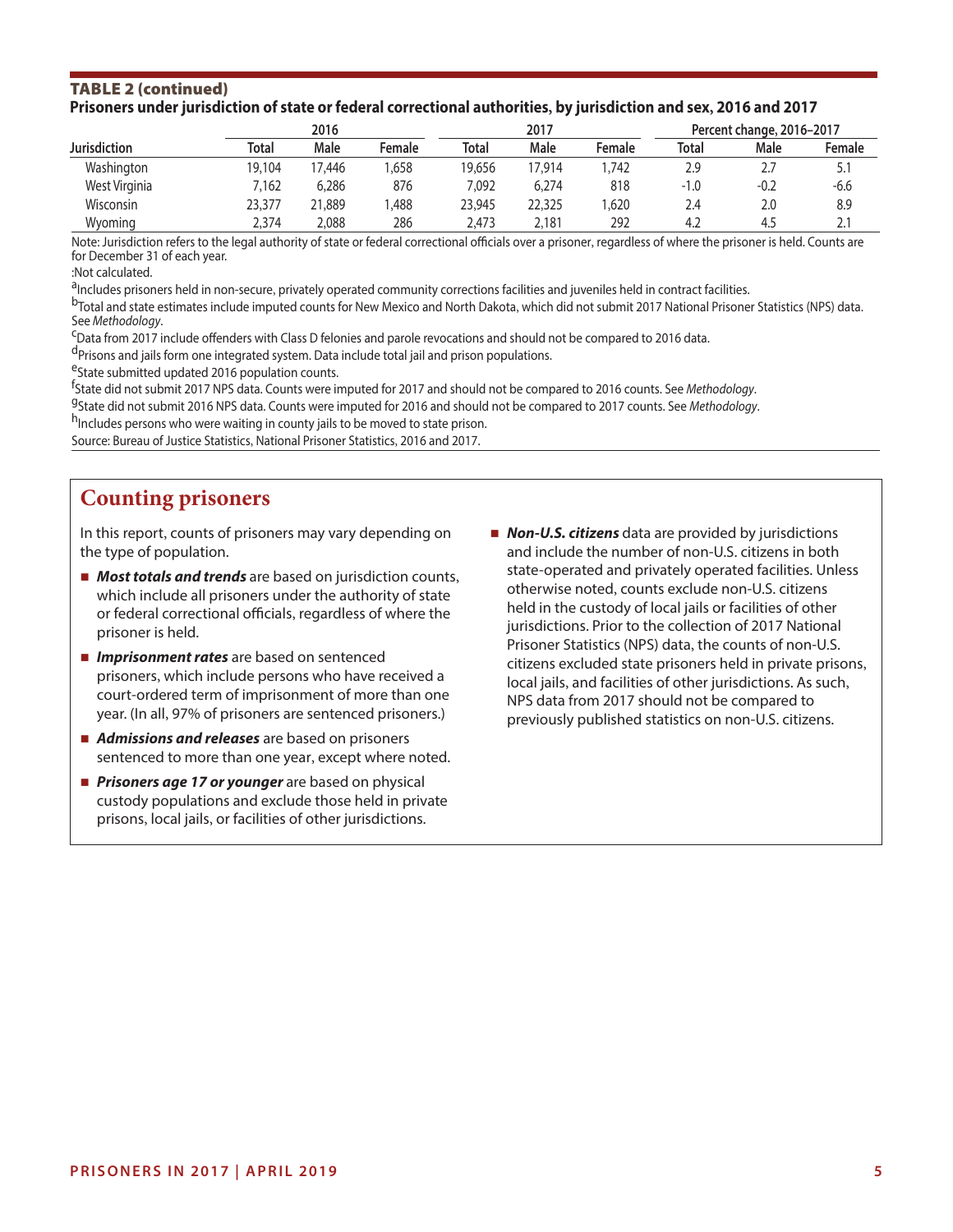#### TABLE 2 (continued) **Prisoners under jurisdiction of state or federal correctional authorities, by jurisdiction and sex, 2016 and 2017**

|                     |        | 2016   |        |        | 2017        |        | Percent change, 2016-2017 |        |           |  |
|---------------------|--------|--------|--------|--------|-------------|--------|---------------------------|--------|-----------|--|
| <b>Jurisdiction</b> | Total  | Male   | Female | Total  | <b>Male</b> | Female | Total                     | Male   | Female    |  |
| Washington          | 19.104 | 17.446 | .658   | 19.656 | 17.914      | .742   | 2.9                       |        | 5.1       |  |
| West Virginia       | 7.162  | 6,286  | 876    | 7,092  | 6,274       | 818    | $-1.0$                    | $-0.2$ | $-6.6$    |  |
| Wisconsin           | 23.377 | 21,889 | .488   | 23,945 | 22,325      | ,620   | 2.4                       | 2.0    | 8.9       |  |
| Wvomina             | 2,374  | 2,088  | 286    | 2.473  | 2,181       | 292    | 4.2                       | 4.5    | <u>L.</u> |  |

Note: Jurisdiction refers to the legal authority of state or federal correctional officials over a prisoner, regardless of where the prisoner is held. Counts are for December 31 of each year.

:Not calculated.

<sup>a</sup>lncludes prisoners held in non-secure, privately operated community corrections facilities and juveniles held in contract facilities.<br><sup>b</sup>Total and state estimates include imputed counts for New Mexico and North Dakota,

<sup>C</sup>Data from 2017 include offenders with Class D felonies and parole revocations and should not be compared to 2016 data.

<sup>d</sup>Prisons and jails form one integrated system. Data include total jail and prison populations.

<sup>e</sup>State submitted updated 2016 population counts.

<sup>f</sup>State did not submit 2017 NPS data. Counts were imputed for 2017 and should not be compared to 2016 counts. See Methodology.

<sup>g</sup>State did not submit 2016 NPS data. Counts were imputed for 2016 and should not be compared to 2017 counts. See Methodology.<br><sup>h</sup>Includes persons who were waiting in county jails to be moved to state prison.

Source: Bureau of Justice Statistics, National Prisoner Statistics, 2016 and 2017.

# **Counting prisoners**

In this report, counts of prisoners may vary depending on *Non-U.S. citizens* data are provided by jurisdictions the type of population. and include the number of non-U.S. citizens in both

- 
- 
- *Admissions and releases* are based on prisoners sentenced to more than one year, except where noted.
- **Prisoners age 17 or younger** are based on physical custody populations and exclude those held in private prisons, local jails, or facilities of other jurisdictions.
- **If Most totals and trends** are based on jurisdiction counts,<br>which include all prisoners under the authority of state<br>or federal correctional officials, regardless of where the<br>prisoner is held.<br>prisoner is held.<br>prison **Imprisonment rates** are based on sentenced<br>prisoners, which include persons who have received a<br>court-ordered term of imprisonment of more than one<br>year. (In all, 97% of prisoners are sentenced prisoners.)<br>year. (In all,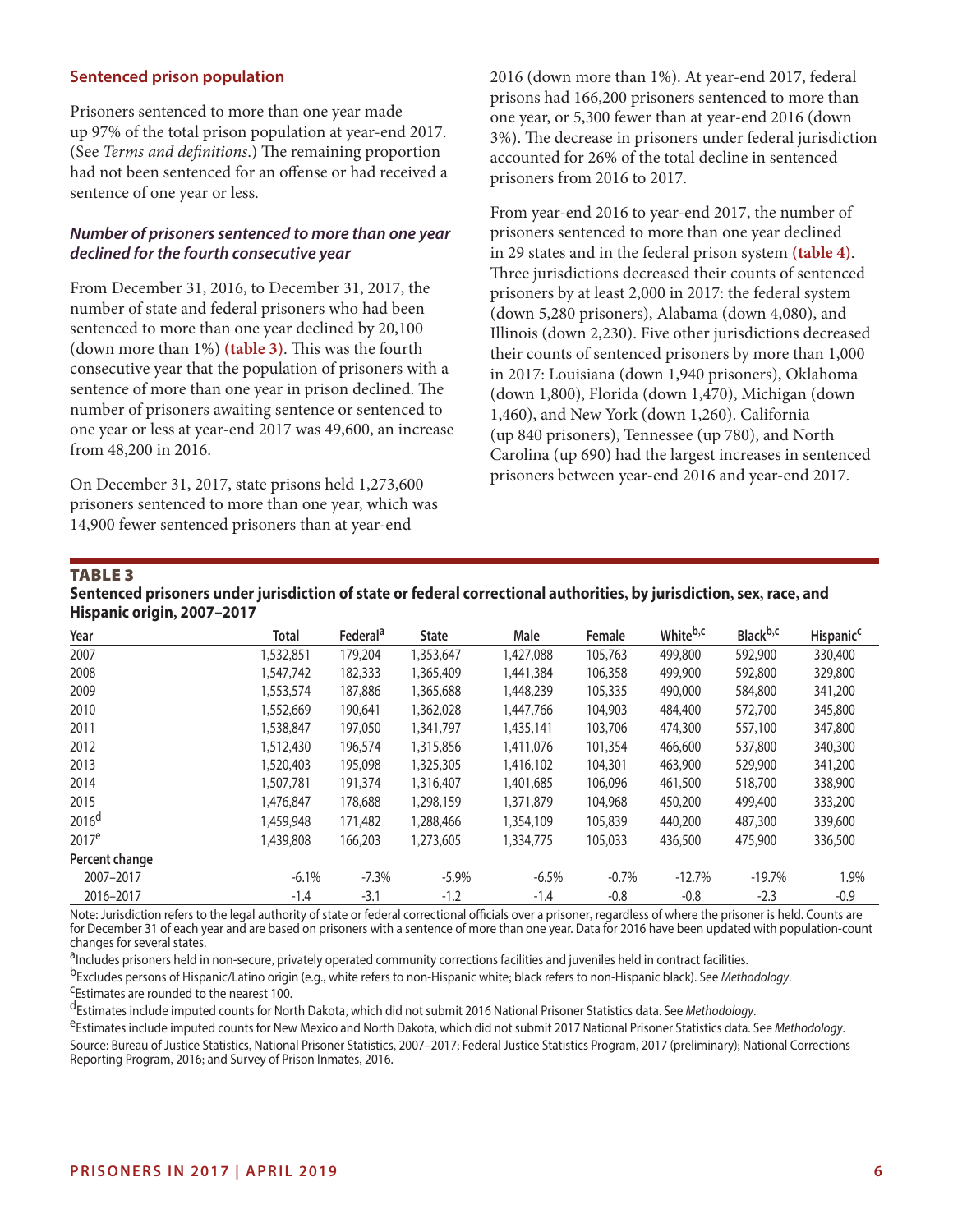#### **Sentenced prison population**

Prisoners sentenced to more than one year made up 97% of the total prison population at year-end 2017. (See *Terms and definitions*.) The remaining proportion had not been sentenced for an offense or had received a sentence of one year or less.

#### *Number of prisoners sentenced to more than one year declined for the fourth consecutive year*

From December 31, 2016, to December 31, 2017, the number of state and federal prisoners who had been sentenced to more than one year declined by 20,100 (down more than 1%) (**table 3**). This was the fourth consecutive year that the population of prisoners with a sentence of more than one year in prison declined. The number of prisoners awaiting sentence or sentenced to one year or less at year-end 2017 was 49,600, an increase from 48,200 in 2016.

On December 31, 2017, state prisons held 1,273,600 prisoners sentenced to more than one year, which was 14,900 fewer sentenced prisoners than at year-end

2016 (down more than 1%). At year-end 2017, federal prisons had 166,200 prisoners sentenced to more than one year, or 5,300 fewer than at year-end 2016 (down 3%). The decrease in prisoners under federal jurisdiction accounted for 26% of the total decline in sentenced prisoners from 2016 to 2017.

From year-end 2016 to year-end 2017, the number of prisoners sentenced to more than one year declined in 29 states and in the federal prison system **(table 4)**. Three jurisdictions decreased their counts of sentenced prisoners by at least 2,000 in 2017: the federal system (down 5,280 prisoners), Alabama (down 4,080), and Illinois (down 2,230). Five other jurisdictions decreased their counts of sentenced prisoners by more than 1,000 in 2017: Louisiana (down 1,940 prisoners), Oklahoma (down 1,800), Florida (down 1,470), Michigan (down 1,460), and New York (down 1,260). California (up 840 prisoners), Tennessee (up 780), and North Carolina (up 690) had the largest increases in sentenced prisoners between year-end 2016 and year-end 2017.

#### TABLE 3

#### **Sentenced prisoners under jurisdiction of state or federal correctional authorities, by jurisdiction, sex, race, and Hispanic origin, 2007–2017**

| Year              | <b>Total</b> | Federal <sup>a</sup> | <b>State</b> | <b>Male</b> | Female  | White <sup>b,c</sup> | Black <sup>b,c</sup> | <b>Hispanic<sup>c</sup></b> |
|-------------------|--------------|----------------------|--------------|-------------|---------|----------------------|----------------------|-----------------------------|
| 2007              | 1,532,851    | 179,204              | 1,353,647    | 1,427,088   | 105,763 | 499,800              | 592,900              | 330,400                     |
| 2008              | 1,547,742    | 182,333              | 1,365,409    | 1.441.384   | 106,358 | 499,900              | 592,800              | 329,800                     |
| 2009              | 1,553,574    | 187,886              | 1,365,688    | 1,448,239   | 105,335 | 490,000              | 584,800              | 341,200                     |
| 2010              | 1.552.669    | 190,641              | 1.362.028    | 1.447.766   | 104,903 | 484,400              | 572,700              | 345,800                     |
| 2011              | 1,538,847    | 197,050              | 1,341,797    | 1,435,141   | 103,706 | 474,300              | 557,100              | 347,800                     |
| 2012              | 1,512,430    | 196,574              | 1,315,856    | 1,411,076   | 101,354 | 466,600              | 537,800              | 340,300                     |
| 2013              | 1.520.403    | 195,098              | 1,325,305    | 1,416,102   | 104,301 | 463,900              | 529,900              | 341,200                     |
| 2014              | 1.507.781    | 191,374              | 1.316,407    | 1,401,685   | 106,096 | 461,500              | 518,700              | 338,900                     |
| 2015              | 1,476,847    | 178,688              | 1,298,159    | 1,371,879   | 104,968 | 450,200              | 499,400              | 333,200                     |
| 2016 <sup>d</sup> | 1,459,948    | 171,482              | 1,288,466    | 1,354,109   | 105,839 | 440,200              | 487,300              | 339,600                     |
| $2017^e$          | 1.439.808    | 166,203              | 1,273,605    | 1,334,775   | 105,033 | 436,500              | 475,900              | 336,500                     |
| Percent change    |              |                      |              |             |         |                      |                      |                             |
| 2007-2017         | $-6.1%$      | $-7.3%$              | $-5.9%$      | $-6.5%$     | $-0.7%$ | $-12.7%$             | $-19.7%$             | 1.9%                        |
| 2016-2017         | $-1.4$       | $-3.1$               | $-1.2$       | $-1.4$      | $-0.8$  | $-0.8$               | $-2.3$               | $-0.9$                      |

Note: Jurisdiction refers to the legal authority of state or federal correctional officials over a prisoner, regardless of where the prisoner is held. Counts are for December 31 of each year and are based on prisoners with a sentence of more than one year. Data for 2016 have been updated with population-count changes for several states.

<sup>a</sup>Includes prisoners held in non-secure, privately operated community corrections facilities and juveniles held in contract facilities.<br><sup>b</sup>Excludes persons of Hispanic/Latino origin (e.g., white refers to non-Hispanic whi

<sup>d</sup>Estimates include imputed counts for North Dakota, which did not submit 2016 National Prisoner Statistics data. See *Methodology.*<br><sup>e</sup>Estimates include imputed counts for New Mexico and North Dakota, which did not submi Source: Bureau of Justice Statistics, National Prisoner Statistics, 2007–2017; Federal Justice Statistics Program, 2017 (preliminary); National Corrections Reporting Program, 2016; and Survey of Prison Inmates, 2016.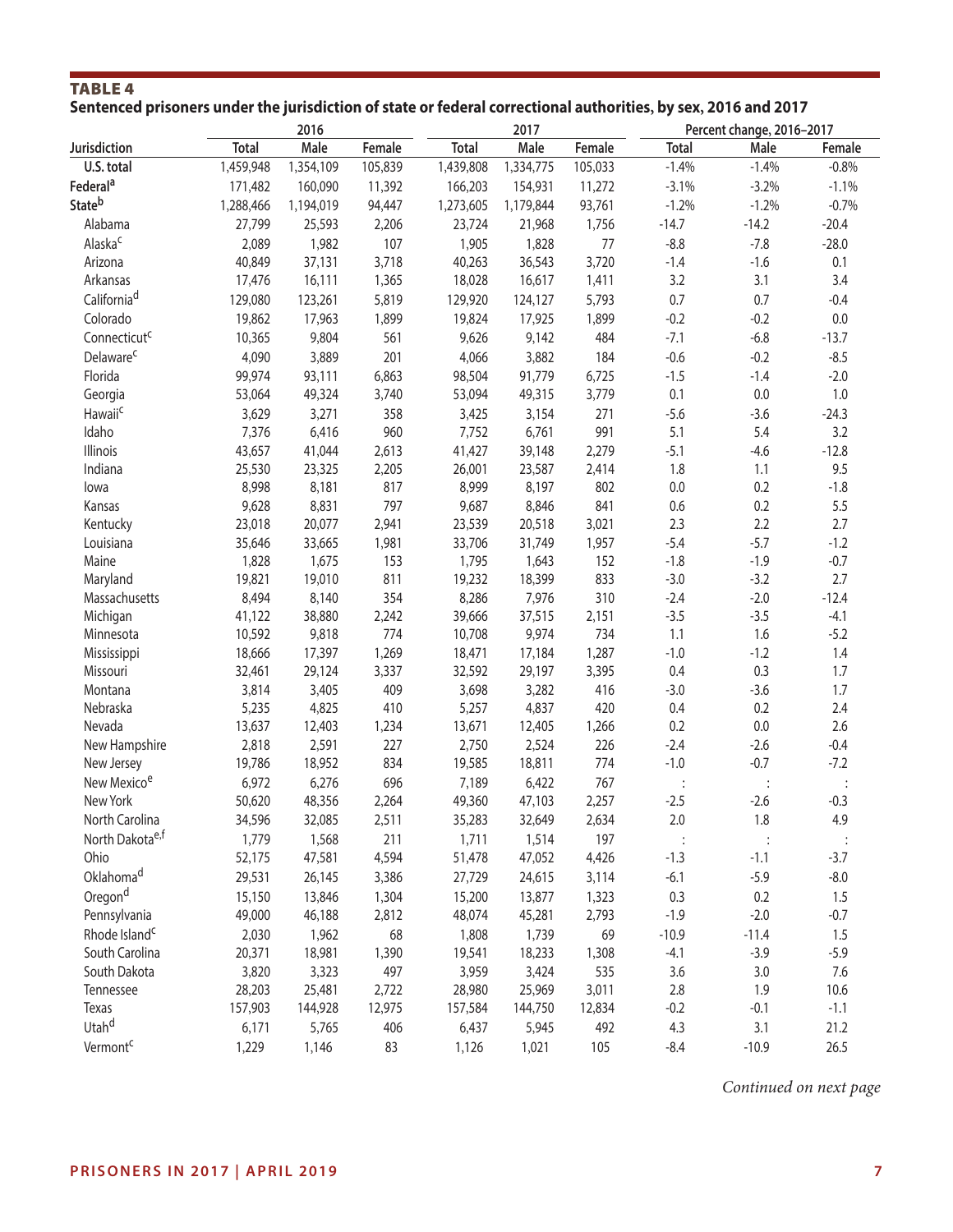# TABLE 4 **Sentenced prisoners under the jurisdiction of state or federal correctional authorities, by sex, 2016 and 2017**

|                             |                 | 2016            |              |                 | 2017            |              |               | Percent change, 2016-2017 |         |
|-----------------------------|-----------------|-----------------|--------------|-----------------|-----------------|--------------|---------------|---------------------------|---------|
| Jurisdiction                | <b>Total</b>    | Male            | Female       | <b>Total</b>    | Male            | Female       | <b>Total</b>  | Male                      | Female  |
| U.S. total                  | 1,459,948       | 1,354,109       | 105,839      | 1,439,808       | 1,334,775       | 105,033      | $-1.4%$       | $-1.4%$                   | $-0.8%$ |
| Federal <sup>a</sup>        | 171,482         | 160,090         | 11,392       | 166,203         | 154,931         | 11,272       | $-3.1%$       | $-3.2%$                   | $-1.1%$ |
| <b>State</b> b              | 1,288,466       | 1,194,019       | 94,447       | 1,273,605       | 1,179,844       | 93,761       | $-1.2%$       | $-1.2%$                   | $-0.7%$ |
| Alabama                     | 27,799          | 25,593          | 2,206        | 23,724          | 21,968          | 1,756        | $-14.7$       | $-14.2$                   | $-20.4$ |
| Alaska <sup>c</sup>         | 2,089           | 1,982           | 107          | 1,905           | 1,828           | 77           | $-8.8$        | $-7.8$                    | $-28.0$ |
| Arizona                     | 40,849          | 37,131          | 3,718        | 40,263          | 36,543          | 3,720        | $-1.4$        | $-1.6$                    | 0.1     |
| Arkansas                    | 17,476          | 16,111          | 1,365        | 18,028          | 16,617          | 1,411        | 3.2           | 3.1                       | 3.4     |
| California <sup>d</sup>     | 129,080         | 123,261         | 5,819        | 129,920         | 124,127         | 5,793        | 0.7           | 0.7                       | $-0.4$  |
| Colorado                    | 19,862          | 17,963          | 1,899        | 19,824          | 17,925          | 1,899        | $-0.2$        | $-0.2$                    | 0.0     |
| Connecticut <sup>c</sup>    | 10,365          | 9,804           | 561          | 9,626           | 9,142           | 484          | $-7.1$        | $-6.8$                    | $-13.7$ |
|                             |                 |                 |              |                 |                 |              |               |                           |         |
| Delaware <sup>c</sup>       | 4,090           | 3,889           | 201          | 4,066           | 3,882           | 184          | $-0.6$        | $-0.2$                    | $-8.5$  |
| Florida                     | 99,974          | 93,111          | 6,863        | 98,504          | 91,779          | 6,725        | $-1.5$        | $-1.4$                    | $-2.0$  |
| Georgia                     | 53,064          | 49,324          | 3,740        | 53,094          | 49,315          | 3,779        | 0.1           | 0.0                       | 1.0     |
| Hawaii <sup>c</sup>         | 3,629           | 3,271           | 358          | 3,425           | 3,154           | 271          | $-5.6$        | $-3.6$                    | $-24.3$ |
| Idaho                       | 7,376           | 6,416           | 960          | 7,752           | 6,761           | 991          | 5.1           | 5.4                       | 3.2     |
| Illinois                    | 43,657          | 41,044          | 2,613        | 41,427          | 39,148          | 2,279        | $-5.1$        | $-4.6$                    | $-12.8$ |
| Indiana                     | 25,530          | 23,325          | 2,205        | 26,001          | 23,587          | 2,414        | 1.8           | 1.1                       | 9.5     |
| lowa                        | 8,998           | 8,181           | 817          | 8,999           | 8,197           | 802          | 0.0           | 0.2                       | $-1.8$  |
| Kansas                      | 9,628           | 8,831           | 797          | 9,687           | 8,846           | 841          | 0.6           | 0.2                       | 5.5     |
| Kentucky                    | 23,018          | 20,077          | 2,941        | 23,539          | 20,518          | 3,021        | 2.3           | 2.2                       | 2.7     |
| Louisiana                   | 35,646          | 33,665          | 1,981        | 33,706          | 31,749          | 1,957        | $-5.4$        | $-5.7$                    | $-1.2$  |
| Maine                       | 1,828           | 1,675           | 153          | 1,795           | 1,643           | 152          | $-1.8$        | $-1.9$                    | $-0.7$  |
| Maryland                    | 19,821          | 19,010          | 811          | 19,232          | 18,399          | 833          | $-3.0$        | $-3.2$                    | 2.7     |
| Massachusetts               | 8,494           | 8,140           | 354          | 8,286           | 7,976           | 310          | $-2.4$        | $-2.0$                    | $-12.4$ |
| Michigan                    | 41,122          | 38,880          | 2,242        | 39,666          | 37,515          | 2,151        | $-3.5$        | $-3.5$                    | $-4.1$  |
| Minnesota                   | 10,592          | 9,818           | 774          | 10,708          | 9,974           | 734          | 1.1           | 1.6                       | $-5.2$  |
| Mississippi                 | 18,666          | 17,397          | 1,269        | 18,471          | 17,184          | 1,287        | $-1.0$        | $-1.2$                    | 1.4     |
| Missouri                    | 32,461          | 29,124          | 3,337        | 32,592          | 29,197          | 3,395        | 0.4           | 0.3                       | 1.7     |
| Montana                     | 3,814           | 3,405           | 409          | 3,698           | 3,282           | 416          | $-3.0$        | $-3.6$                    | 1.7     |
| Nebraska                    | 5,235           | 4,825           | 410          | 5,257           | 4,837           | 420          | 0.4           | 0.2                       | 2.4     |
| Nevada                      | 13,637          | 12,403          | 1,234        | 13,671          | 12,405          | 1,266        | 0.2           | $0.0\,$                   | 2.6     |
| New Hampshire               | 2,818           | 2,591           | 227          | 2,750           | 2,524           | 226          | $-2.4$        | $-2.6$                    | $-0.4$  |
| New Jersey                  | 19,786          | 18,952          | 834          | 19,585          | 18,811          | 774          | $-1.0$        | $-0.7$                    | $-7.2$  |
| New Mexico <sup>e</sup>     | 6,972           | 6,276           | 696          | 7,189           | 6,422           | 767          |               |                           |         |
| New York                    | 50,620          | 48,356          | 2,264        | 49,360          | 47,103          | 2,257        | $-2.5$        | $-2.6$                    | $-0.3$  |
| North Carolina              | 34,596          | 32,085          | 2,511        | 35,283          | 32,649          | 2,634        | 2.0           | 1.8                       | 4.9     |
| North Dakota <sup>e,f</sup> | 1,779           | 1,568           | 211          | 1,711           | 1,514           | 197          |               |                           |         |
| Ohio                        | 52,175          | 47,581          | 4,594        | 51,478          | 47,052          | 4,426        | $-1.3$        | $-1.1$                    | $-3.7$  |
| Oklahoma <sup>d</sup>       | 29,531          | 26,145          | 3,386        | 27,729          | 24,615          | 3,114        | $-6.1$        | $-5.9$                    | $-8.0$  |
| Oregond                     | 15,150          | 13,846          | 1,304        | 15,200          | 13,877          | 1,323        | 0.3           | 0.2                       | 1.5     |
| Pennsylvania                | 49,000          | 46,188          | 2,812        | 48,074          | 45,281          | 2,793        | $-1.9$        | $-2.0$                    | $-0.7$  |
| Rhode Island <sup>c</sup>   | 2,030           | 1,962           | 68           | 1,808           | 1,739           | 69           | $-10.9$       | $-11.4$                   | 1.5     |
| South Carolina              |                 |                 |              |                 |                 |              |               | $-3.9$                    | $-5.9$  |
| South Dakota                | 20,371<br>3,820 | 18,981<br>3,323 | 1,390<br>497 | 19,541<br>3,959 | 18,233<br>3,424 | 1,308<br>535 | $-4.1$<br>3.6 | 3.0                       | 7.6     |
|                             |                 |                 |              |                 |                 |              |               |                           |         |
| Tennessee                   | 28,203          | 25,481          | 2,722        | 28,980          | 25,969          | 3,011        | 2.8           | 1.9                       | 10.6    |
| Texas                       | 157,903         | 144,928         | 12,975       | 157,584         | 144,750         | 12,834       | $-0.2$        | $-0.1$                    | $-1.1$  |
| Utahd                       | 6,171           | 5,765           | 406          | 6,437           | 5,945           | 492          | 4.3           | 3.1                       | 21.2    |
| Vermont <sup>c</sup>        | 1,229           | 1,146           | 83           | 1,126           | 1,021           | 105          | $-8.4$        | $-10.9$                   | 26.5    |

*Continued on next page*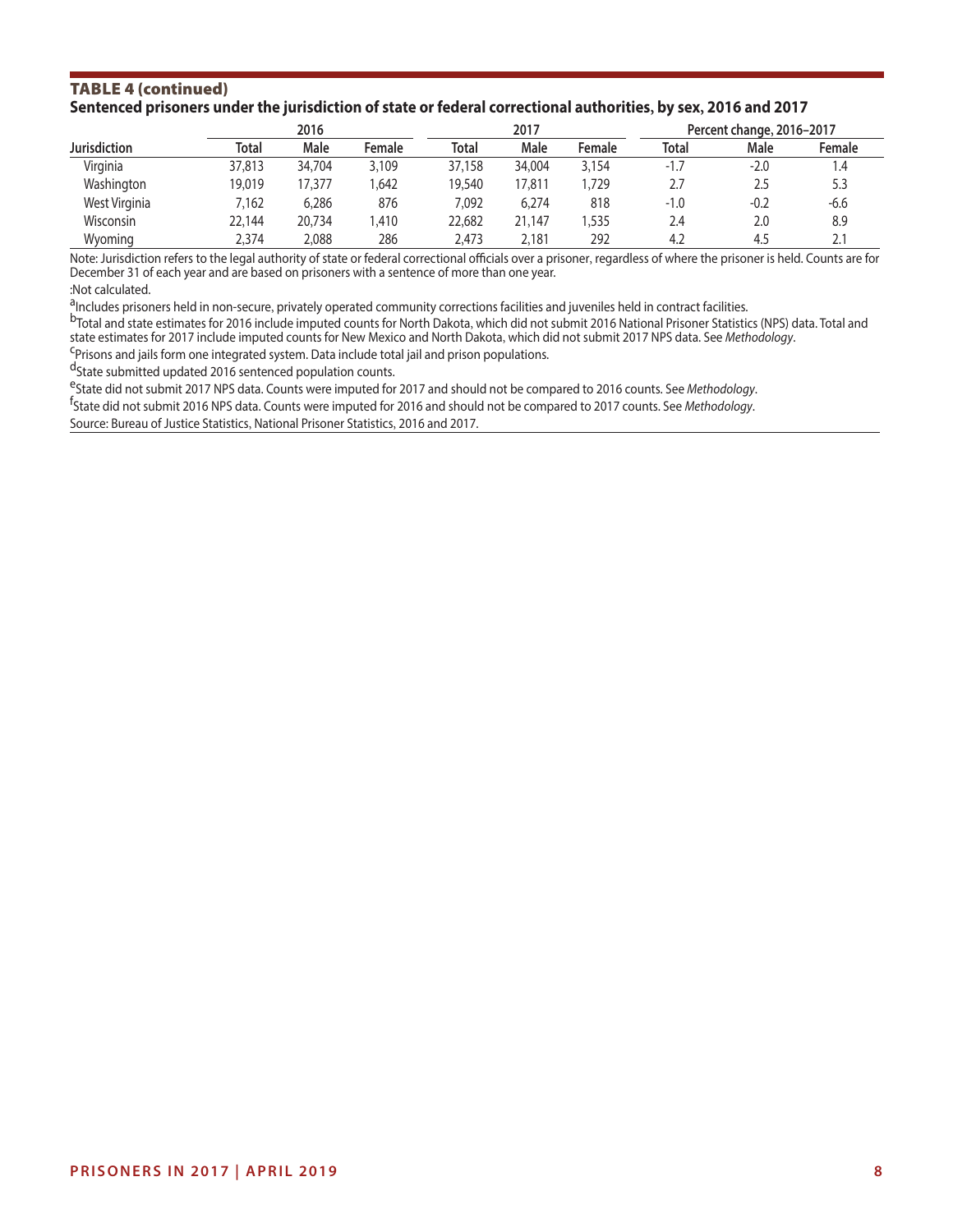#### TABLE 4 (continued) **Sentenced prisoners under the jurisdiction of state or federal correctional authorities, by sex, 2016 and 2017**

|                     |        | 2016   |        |              | 2017   |        |        | Percent change, 2016-2017 |        |  |  |
|---------------------|--------|--------|--------|--------------|--------|--------|--------|---------------------------|--------|--|--|
| <b>Jurisdiction</b> | Total  | Male   | Female | <b>Total</b> | Male   | Female | Total  | Male                      | Female |  |  |
| Virginia            | 37,813 | 34,704 | 3,109  | 37,158       | 34,004 | 3,154  | $-1.7$ | $-2.0$                    | 4.ا    |  |  |
| Washington          | 19.019 | 17.377 | .642   | 19,540       | 17.811 | .729   | 2.7    | 2.5                       | 5.3    |  |  |
| West Virginia       | 7.162  | 6,286  | 876    | 7.092        | 6,274  | 818    | $-1.0$ | $-0.2$                    | $-6.6$ |  |  |
| Wisconsin           | 22,144 | 20,734 | .410   | 22,682       | 21,147 | .535   | 2.4    | 2.0                       | 8.9    |  |  |
| Wyoming             | 2,374  | 2,088  | 286    | 2,473        | 2,181  | 292    | 4.2    | 4.5                       |        |  |  |

Note: Jurisdiction refers to the legal authority of state or federal correctional officials over a prisoner, regardless of where the prisoner is held. Counts are for December 31 of each year and are based on prisoners with a sentence of more than one year. :Not calculated.

<sup>a</sup>lncludes prisoners held in non-secure, privately operated community corrections facilities and juveniles held in contract facilities.<br><sup>b</sup>Total and state estimates for 2016 include imputed counts for North Dakota, which state estimates for 2017 include imputed counts for New Mexico and North Dakota, which did not submit 2017 NPS data. See *Methodology.*<br><sup>C</sup>Prisons and jails form one integrated system. Data include total jail and prison po

dState submitted updated 2016 sentenced population counts.

<sup>e</sup>State did not submit 2017 NPS data. Counts were imputed for 2017 and should not be compared to 2016 counts. See Methodology. State did not submit 2016 NPS data. Counts were imputed for 2016 and should not be compared to 2017 counts. See *Methodology*.

Source: Bureau of Justice Statistics, National Prisoner Statistics, 2016 and 2017.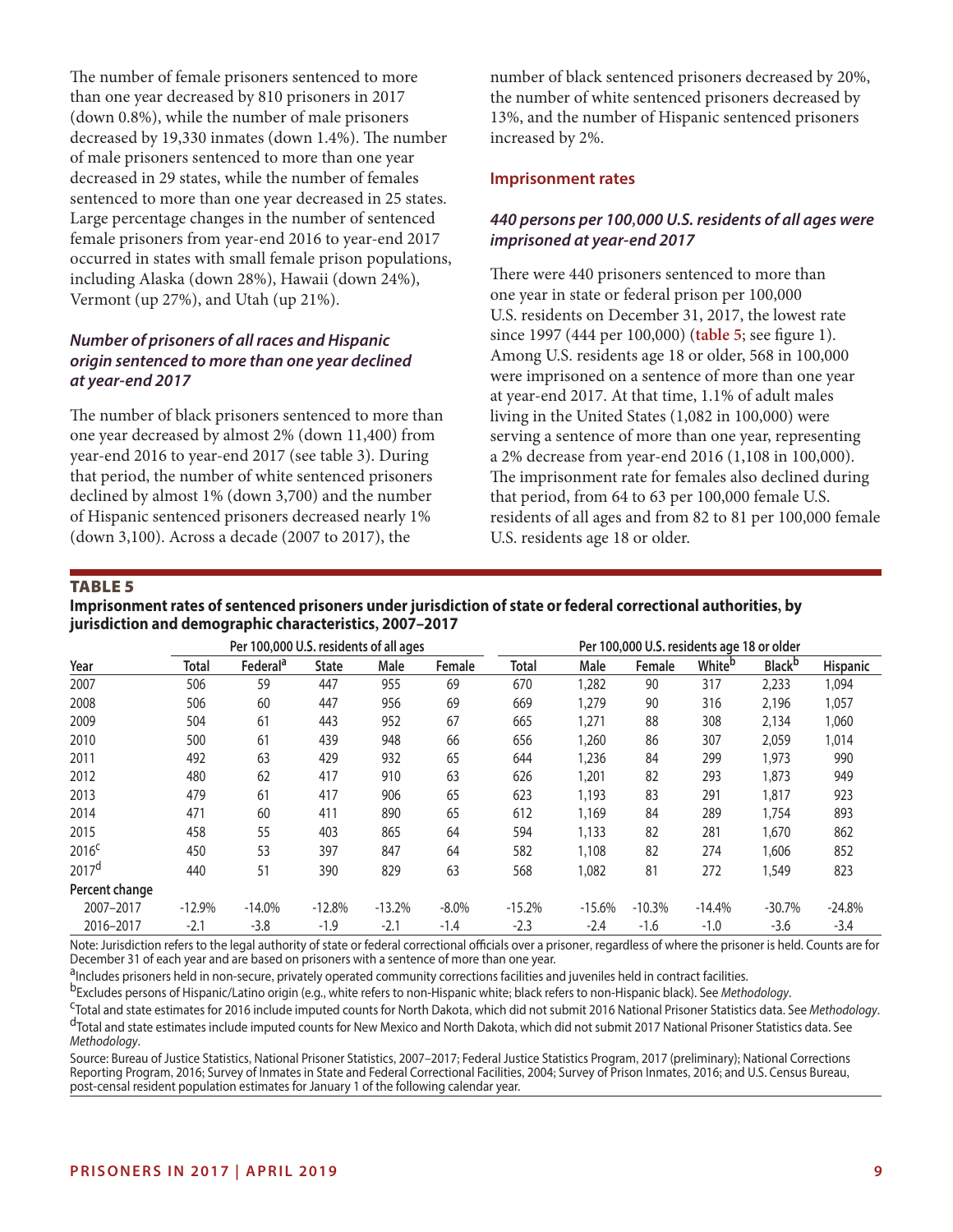The number of female prisoners sentenced to more than one year decreased by 810 prisoners in 2017 (down 0.8%), while the number of male prisoners decreased by 19,330 inmates (down 1.4%). The number of male prisoners sentenced to more than one year decreased in 29 states, while the number of females sentenced to more than one year decreased in 25 states. Large percentage changes in the number of sentenced female prisoners from year-end 2016 to year-end 2017 occurred in states with small female prison populations, including Alaska (down 28%), Hawaii (down 24%), Vermont (up 27%), and Utah (up 21%).

#### *Number of prisoners of all races and Hispanic origin sentenced to more than one year declined at year-end 2017*

The number of black prisoners sentenced to more than one year decreased by almost 2% (down 11,400) from year-end 2016 to year-end 2017 (see table 3). During that period, the number of white sentenced prisoners declined by almost 1% (down 3,700) and the number of Hispanic sentenced prisoners decreased nearly 1% (down 3,100). Across a decade (2007 to 2017), the

number of black sentenced prisoners decreased by 20%, the number of white sentenced prisoners decreased by 13%, and the number of Hispanic sentenced prisoners increased by 2%.

#### **Imprisonment rates**

# *440 persons per 100,000 U.S. residents of all ages were imprisoned at year-end 2017*

There were 440 prisoners sentenced to more than one year in state or federal prison per 100,000 U.S. residents on December 31, 2017, the lowest rate since 1997 (444 per 100,000) (**table 5**; see fgure 1). Among U.S. residents age 18 or older, 568 in 100,000 were imprisoned on a sentence of more than one year at year-end 2017. At that time, 1.1% of adult males living in the United States (1,082 in 100,000) were serving a sentence of more than one year, representing a 2% decrease from year-end 2016 (1,108 in 100,000). The imprisonment rate for females also declined during that period, from 64 to 63 per 100,000 female U.S. residents of all ages and from 82 to 81 per 100,000 female U.S. residents age 18 or older.

#### TABLE 5

**Imprisonment rates of sentenced prisoners under jurisdiction of state or federal correctional authorities, by jurisdiction and demographic characteristics, 2007–2017** 

|                   |              | Per 100,000 U.S. residents of all ages |              |          |          | Per 100,000 U.S. residents age 18 or older |          |          |                    |                |                 |  |
|-------------------|--------------|----------------------------------------|--------------|----------|----------|--------------------------------------------|----------|----------|--------------------|----------------|-----------------|--|
| Year              | <b>Total</b> | Federal <sup>a</sup>                   | <b>State</b> | Male     | Female   | <b>Total</b>                               | Male     | Female   | White <sup>b</sup> | <b>Black</b> b | <b>Hispanic</b> |  |
| 2007              | 506          | 59                                     | 447          | 955      | 69       | 670                                        | 1,282    | 90       | 317                | 2,233          | 1,094           |  |
| 2008              | 506          | 60                                     | 447          | 956      | 69       | 669                                        | 1,279    | 90       | 316                | 2,196          | 1,057           |  |
| 2009              | 504          | 61                                     | 443          | 952      | 67       | 665                                        | 1,271    | 88       | 308                | 2,134          | 1,060           |  |
| 2010              | 500          | 61                                     | 439          | 948      | 66       | 656                                        | 1,260    | 86       | 307                | 2,059          | 1,014           |  |
| 2011              | 492          | 63                                     | 429          | 932      | 65       | 644                                        | 1,236    | 84       | 299                | 1,973          | 990             |  |
| 2012              | 480          | 62                                     | 417          | 910      | 63       | 626                                        | 1,201    | 82       | 293                | 1,873          | 949             |  |
| 2013              | 479          | 61                                     | 417          | 906      | 65       | 623                                        | 1,193    | 83       | 291                | 1,817          | 923             |  |
| 2014              | 471          | 60                                     | 411          | 890      | 65       | 612                                        | 1,169    | 84       | 289                | 1,754          | 893             |  |
| 2015              | 458          | 55                                     | 403          | 865      | 64       | 594                                        | 1,133    | 82       | 281                | 1,670          | 862             |  |
| 2016 <sup>c</sup> | 450          | 53                                     | 397          | 847      | 64       | 582                                        | 1,108    | 82       | 274                | 1,606          | 852             |  |
| 2017 <sup>d</sup> | 440          | 51                                     | 390          | 829      | 63       | 568                                        | 1,082    | 81       | 272                | 1,549          | 823             |  |
| Percent change    |              |                                        |              |          |          |                                            |          |          |                    |                |                 |  |
| 2007-2017         | $-12.9%$     | $-14.0%$                               | $-12.8%$     | $-13.2%$ | $-8.0\%$ | $-15.2%$                                   | $-15.6%$ | $-10.3%$ | $-14.4%$           | $-30.7%$       | $-24.8%$        |  |
| 2016-2017         | $-2.1$       | $-3.8$                                 | $-1.9$       | $-2.1$   | $-1.4$   | $-2.3$                                     | $-2.4$   | $-1.6$   | $-1.0$             | $-3.6$         | $-3.4$          |  |

Note: Jurisdiction refers to the legal authority of state or federal correctional officials over a prisoner, regardless of where the prisoner is held. Counts are for December 31 of each year and are based on prisoners with a sentence of more than one year.

<sup>a</sup>lncludes prisoners held in non-secure, privately operated community corrections facilities and juveniles held in contract facilities.<br><sup>b</sup>Excludes persons of Hispanic/Latino origin (e.g., white refers to non-Hispanic whi *Methodology*.

Source: Bureau of Justice Statistics, National Prisoner Statistics, 2007–2017; Federal Justice Statistics Program, 2017 (preliminary); National Corrections Reporting Program, 2016; Survey of Inmates in State and Federal Correctional Facilities, 2004; Survey of Prison Inmates, 2016; and U.S. Census Bureau, post-censal resident population estimates for January 1 of the following calendar year.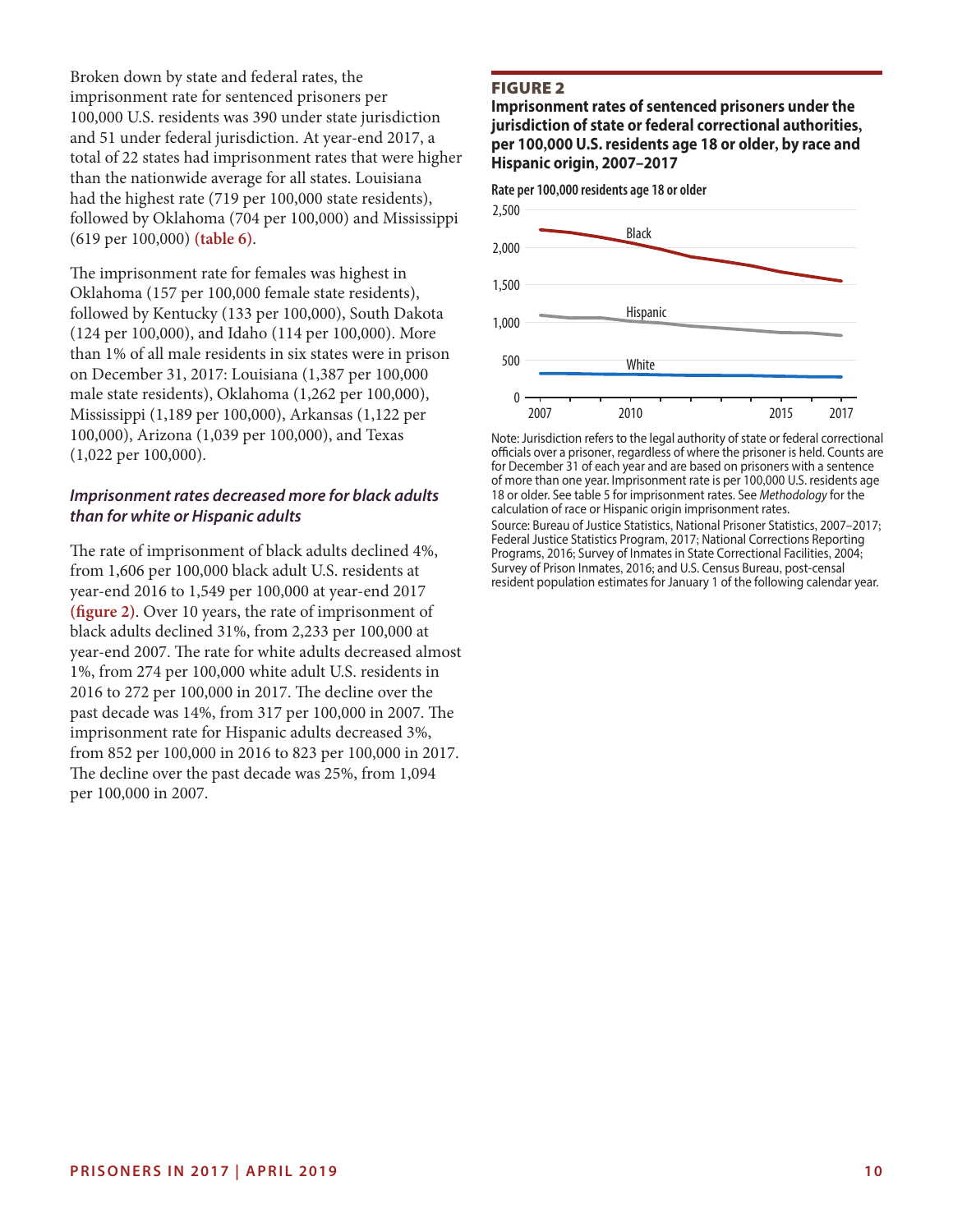Broken down by state and federal rates, the imprisonment rate for sentenced prisoners per 100,000 U.S. residents was 390 under state jurisdiction and 51 under federal jurisdiction. At year-end 2017, a total of 22 states had imprisonment rates that were higher than the nationwide average for all states. Louisiana had the highest rate (719 per 100,000 state residents), followed by Oklahoma (704 per 100,000) and Mississippi (619 per 100,000) **(table 6)**.

The imprisonment rate for females was highest in Oklahoma (157 per 100,000 female state residents), followed by Kentucky (133 per 100,000), South Dakota (124 per 100,000), and Idaho (114 per 100,000). More than 1% of all male residents in six states were in prison on December 31, 2017: Louisiana (1,387 per 100,000 male state residents), Oklahoma (1,262 per 100,000), Mississippi (1,189 per 100,000), Arkansas (1,122 per 100,000), Arizona (1,039 per 100,000), and Texas (1,022 per 100,000).

#### *Imprisonment rates decreased more for black adults than for white or Hispanic adults*

The rate of imprisonment of black adults declined 4%, from 1,606 per 100,000 black adult U.S. residents at year-end 2016 to 1,549 per 100,000 at year-end 2017 **(fgure 2)**. Over 10 years, the rate of imprisonment of black adults declined 31%, from 2,233 per 100,000 at year-end 2007. The rate for white adults decreased almost 1%, from 274 per 100,000 white adult U.S. residents in 2016 to 272 per 100,000 in 2017. The decline over the past decade was 14%, from 317 per 100,000 in 2007. The imprisonment rate for Hispanic adults decreased 3%, from 852 per 100,000 in 2016 to 823 per 100,000 in 2017. The decline over the past decade was 25%, from 1,094 per 100,000 in 2007.

#### FIGURE 2

**Imprisonment rates of sentenced prisoners under the jurisdiction of state or federal correctional authorities, per 100,000 U.S. residents age 18 or older, by race and Hispanic origin, 2007–2017** 



Note: Jurisdiction refers to the legal authority of state or federal correctional officials over a prisoner, regardless of where the prisoner is held. Counts are for December 31 of each year and are based on prisoners with a sentence of more than one year. Imprisonment rate is per 100,000 U.S. residents age 18 or older. See table 5 for imprisonment rates. See *Methodology* for the calculation of race or Hispanic origin imprisonment rates.

Source: Bureau of Justice Statistics, National Prisoner Statistics, 2007–2017; Federal Justice Statistics Program, 2017; National Corrections Reporting Programs, 2016; Survey of Inmates in State Correctional Facilities, 2004; Survey of Prison Inmates, 2016; and U.S. Census Bureau, post-censal resident population estimates for January 1 of the following calendar year.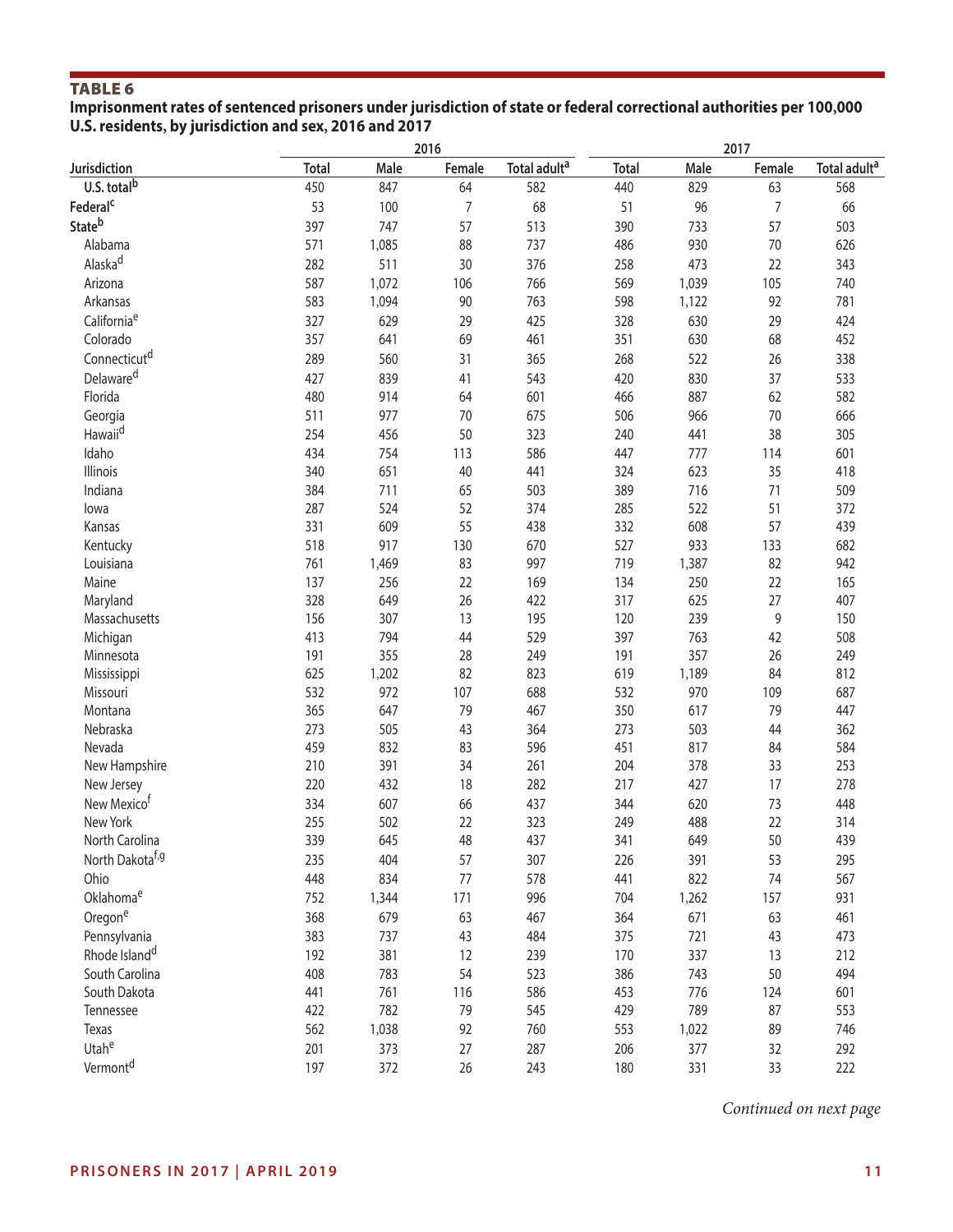**Imprisonment rates of sentenced prisoners under jurisdiction of state or federal correctional authorities per 100,000 U.S. residents, by jurisdiction and sex, 2016 and 2017** 

|                              |              |       | 2016   |                          | 2017         |       |        |                          |  |
|------------------------------|--------------|-------|--------|--------------------------|--------------|-------|--------|--------------------------|--|
| Jurisdiction                 | <b>Total</b> | Male  | Female | Total adult <sup>a</sup> | <b>Total</b> | Male  | Female | Total adult <sup>a</sup> |  |
| U.S. total <sup>b</sup>      | 450          | 847   | 64     | 582                      | 440          | 829   | 63     | 568                      |  |
| Federal <sup>c</sup>         | 53           | 100   | 7      | 68                       | 51           | 96    | 7      | 66                       |  |
| Stateb                       | 397          | 747   | 57     | 513                      | 390          | 733   | 57     | 503                      |  |
| Alabama                      | 571          | 1,085 | 88     | 737                      | 486          | 930   | 70     | 626                      |  |
| Alaska <sup>d</sup>          | 282          | 511   | 30     | 376                      | 258          | 473   | 22     | 343                      |  |
| Arizona                      | 587          | 1,072 | 106    | 766                      | 569          | 1,039 | 105    | 740                      |  |
| Arkansas                     | 583          | 1,094 | 90     | 763                      | 598          | 1,122 | 92     | 781                      |  |
| California <sup>e</sup>      | 327          | 629   | 29     | 425                      | 328          | 630   | 29     | 424                      |  |
| Colorado                     | 357          | 641   | 69     | 461                      | 351          | 630   | 68     | 452                      |  |
| Connecticut <sup>d</sup>     | 289          | 560   | 31     | 365                      | 268          | 522   | 26     | 338                      |  |
| Delaware <sup>d</sup>        | 427          | 839   | 41     | 543                      | 420          | 830   | 37     | 533                      |  |
| Florida                      | 480          | 914   | 64     | 601                      | 466          | 887   | 62     | 582                      |  |
| Georgia                      | 511          | 977   | 70     | 675                      | 506          | 966   | 70     | 666                      |  |
| Hawaii <sup>d</sup>          | 254          | 456   | 50     | 323                      | 240          | 441   | 38     | 305                      |  |
| Idaho                        | 434          | 754   | 113    | 586                      | 447          | 777   | 114    | 601                      |  |
| Illinois                     | 340          | 651   | 40     | 441                      | 324          | 623   | 35     | 418                      |  |
| Indiana                      | 384          | 711   | 65     | 503                      | 389          | 716   | 71     | 509                      |  |
| lowa                         | 287          | 524   | 52     | 374                      | 285          | 522   | 51     | 372                      |  |
| Kansas                       | 331          | 609   | 55     | 438                      | 332          | 608   | 57     | 439                      |  |
| Kentucky                     | 518          | 917   | 130    | 670                      | 527          | 933   | 133    | 682                      |  |
| Louisiana                    | 761          | 1,469 | 83     | 997                      | 719          | 1,387 | 82     | 942                      |  |
| Maine                        | 137          | 256   | 22     | 169                      | 134          | 250   | 22     | 165                      |  |
| Maryland                     | 328          | 649   | 26     | 422                      | 317          | 625   | 27     | 407                      |  |
| Massachusetts                | 156          | 307   | 13     | 195                      | 120          | 239   | 9      | 150                      |  |
| Michigan                     | 413          | 794   | 44     | 529                      | 397          | 763   | 42     | 508                      |  |
| Minnesota                    | 191          | 355   | 28     | 249                      | 191          | 357   | 26     | 249                      |  |
| Mississippi                  | 625          | 1,202 | 82     | 823                      | 619          | 1,189 | 84     | 812                      |  |
| Missouri                     | 532          | 972   | 107    | 688                      | 532          | 970   | 109    | 687                      |  |
| Montana                      | 365          | 647   | 79     | 467                      | 350          | 617   | 79     | 447                      |  |
| Nebraska                     | 273          | 505   | 43     | 364                      | 273          | 503   | 44     | 362                      |  |
| Nevada                       | 459          | 832   | 83     | 596                      | 451          | 817   | 84     | 584                      |  |
| New Hampshire                | 210          | 391   | 34     | 261                      | 204          | 378   | 33     | 253                      |  |
| New Jersey                   | 220          | 432   | 18     | 282                      | 217          | 427   | 17     | 278                      |  |
| New Mexico <sup>t</sup>      | 334          | 607   | 66     | 437                      | 344          | 620   | 73     | 448                      |  |
| New York                     | 255          | 502   | 22     | 323                      | 249          | 488   | 22     | 314                      |  |
| North Carolina               | 339          | 645   | 48     | 437                      | 341          | 649   | 50     | 439                      |  |
| North Dakota <sup>f, g</sup> | 235          | 404   | 57     | 307                      | 226          | 391   | 53     | 295                      |  |
| Ohio                         | 448          | 834   | 77     | 578                      | 441          | 822   | 74     | 567                      |  |
| Oklahomae                    | 752          | 1,344 | 171    | 996                      | 704          | 1,262 | 157    | 931                      |  |
| Oregone                      | 368          | 679   | 63     | 467                      | 364          | 671   | 63     | 461                      |  |
| Pennsylvania                 | 383          | 737   | 43     | 484                      | 375          | 721   | 43     | 473                      |  |
| Rhode Island <sup>d</sup>    | 192          | 381   | 12     | 239                      | 170          | 337   | 13     | 212                      |  |
| South Carolina               | 408          | 783   | 54     | 523                      | 386          | 743   | 50     | 494                      |  |
| South Dakota                 | 441          | 761   | 116    | 586                      | 453          | 776   | 124    | 601                      |  |
| Tennessee                    | 422          | 782   | 79     | 545                      | 429          | 789   | 87     | 553                      |  |
| Texas                        | 562          | 1,038 | 92     | 760                      | 553          | 1,022 | 89     | 746                      |  |
| Utahe                        | 201          | 373   | 27     | 287                      | 206          | 377   | 32     | 292                      |  |
| Vermont <sup>d</sup>         |              |       |        |                          |              |       |        |                          |  |
|                              | 197          | 372   | 26     | 243                      | 180          | 331   | 33     | 222                      |  |

*Continued on next page*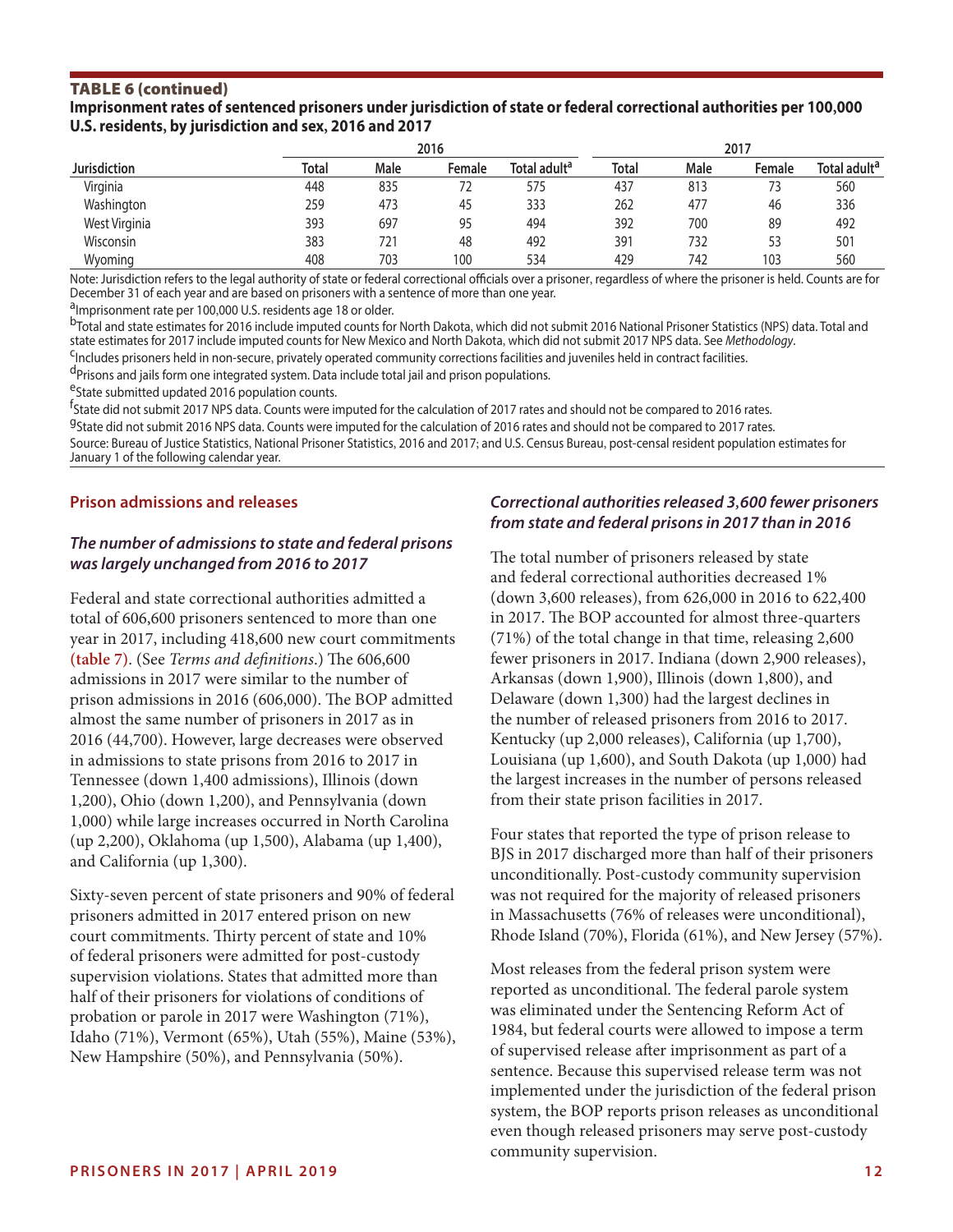#### TABLE 6 (continued)

**Imprisonment rates of sentenced prisoners under jurisdiction of state or federal correctional authorities per 100,000 U.S. residents, by jurisdiction and sex, 2016 and 2017** 

|                     |       |             | 2016   | 2017                     |              |             |        |                          |
|---------------------|-------|-------------|--------|--------------------------|--------------|-------------|--------|--------------------------|
| <b>Jurisdiction</b> | Total | <b>Male</b> | Female | Total adult <sup>a</sup> | <b>Total</b> | <b>Male</b> | Female | Total adult <sup>a</sup> |
| Virginia            | 448   | 835         | 72     | 575                      | 437          | 813         |        | 560                      |
| Washington          | 259   | 473         | 45     | 333                      | 262          | 477         | 46     | 336                      |
| West Virginia       | 393   | 697         | 95     | 494                      | 392          | 700         | 89     | 492                      |
| Wisconsin           | 383   | 721         | 48     | 492                      | 391          | 732         | 53     | 501                      |
| Wyoming             | 408   | 703         | 100    | 534                      | 429          | 742         | 103    | 560                      |

Note: Jurisdiction refers to the legal authority of state or federal correctional officials over a prisoner, regardless of where the prisoner is held. Counts are for December 31 of each year and are based on prisoners with a sentence of more than one year.

<sup>a</sup>Imprisonment rate per 100,000 U.S. residents age 18 or older.<br><sup>b</sup>Total and state estimates for 2016 include imputed counts for North Dakota, which did not submit 2016 National Prisoner Statistics (NPS) data. Total and<br>s

<sup>c</sup>Includes prisoners held in non-secure, privately operated community corrections facilities and juveniles held in contract facilities.<br><sup>d</sup>Prisons and jails form one integrated system. Data include total jail and prison p

eState submitted updated 2016 population counts.

f<br><sup>f</sup>State did not submit 2017 NPS data. Counts were imputed for the calculation of 2017 rates and should not be compared to 2016 rates. <sup>g</sup>State did not submit 2016 NPS data. Counts were imputed for the calculation of 2016 rates and should not be compared to 2017 rates. Source: Bureau of Justice Statistics, National Prisoner Statistics, 2016 and 2017; and U.S. Census Bureau, post-censal resident population estimates for January 1 of the following calendar year.

#### **Prison admissions and releases**

#### *The number of admissions to state and federal prisons was largely unchanged from 2016 to 2017*

Federal and state correctional authorities admitted a total of 606,600 prisoners sentenced to more than one year in 2017, including 418,600 new court commitments (table 7). (See *Terms and definitions*.) The 606,600 admissions in 2017 were similar to the number of prison admissions in 2016 (606,000). The BOP admitted almost the same number of prisoners in 2017 as in 2016 (44,700). However, large decreases were observed in admissions to state prisons from 2016 to 2017 in Tennessee (down 1,400 admissions), Illinois (down 1,200), Ohio (down 1,200), and Pennsylvania (down 1,000) while large increases occurred in North Carolina (up 2,200), Oklahoma (up 1,500), Alabama (up 1,400), and California (up 1,300).

Sixty-seven percent of state prisoners and 90% of federal prisoners admitted in 2017 entered prison on new court commitments. Thirty percent of state and 10% of federal prisoners were admitted for post-custody supervision violations. States that admitted more than half of their prisoners for violations of conditions of probation or parole in 2017 were Washington (71%), Idaho (71%), Vermont (65%), Utah (55%), Maine (53%), New Hampshire (50%), and Pennsylvania (50%).

#### *Correctional authorities released 3,600 fewer prisoners from state and federal prisons in 2017 than in 2016*

The total number of prisoners released by state and federal correctional authorities decreased 1% (down 3,600 releases), from 626,000 in 2016 to 622,400 in 2017. The BOP accounted for almost three-quarters (71%) of the total change in that time, releasing 2,600 fewer prisoners in 2017. Indiana (down 2,900 releases), Arkansas (down 1,900), Illinois (down 1,800), and Delaware (down 1,300) had the largest declines in the number of released prisoners from 2016 to 2017. Kentucky (up 2,000 releases), California (up 1,700), Louisiana (up 1,600), and South Dakota (up 1,000) had the largest increases in the number of persons released from their state prison facilities in 2017.

Four states that reported the type of prison release to BJS in 2017 discharged more than half of their prisoners unconditionally. Post-custody community supervision was not required for the majority of released prisoners in Massachusetts (76% of releases were unconditional), Rhode Island (70%), Florida (61%), and New Jersey (57%).

Most releases from the federal prison system were reported as unconditional. The federal parole system was eliminated under the Sentencing Reform Act of 1984, but federal courts were allowed to impose a term of supervised release afer imprisonment as part of a sentence. Because this supervised release term was not implemented under the jurisdiction of the federal prison system, the BOP reports prison releases as unconditional even though released prisoners may serve post-custody community supervision.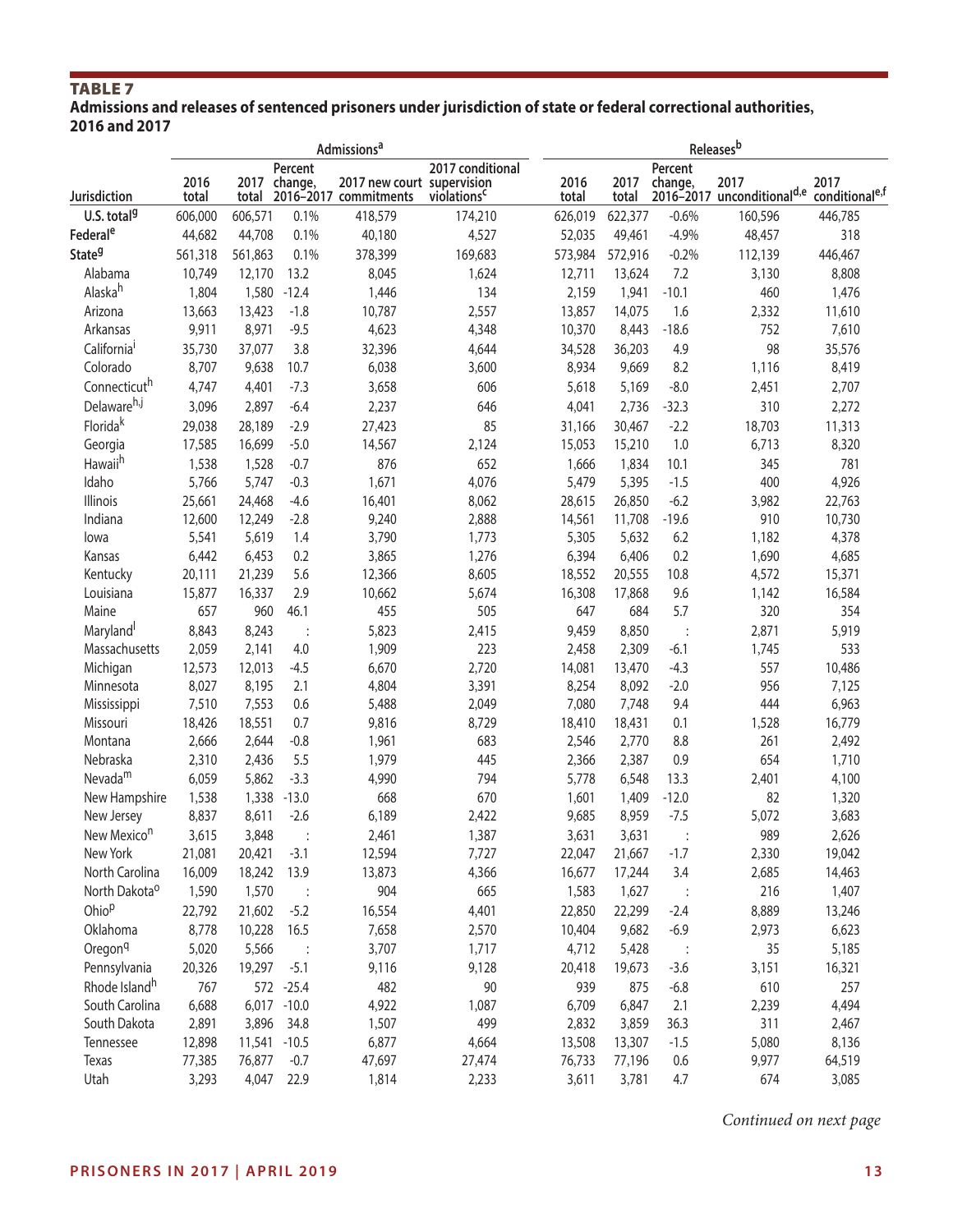# TABLE<sub>7</sub>

**Admissions and releases of sentenced prisoners under jurisdiction of state or federal correctional authorities, 2016 and 2017** 

|                           |               |         |                         | Admissions <sup>a</sup>                             |                                             | <b>Releases</b> b |               |                    |                                                |                                    |  |
|---------------------------|---------------|---------|-------------------------|-----------------------------------------------------|---------------------------------------------|-------------------|---------------|--------------------|------------------------------------------------|------------------------------------|--|
| Jurisdiction              | 2016<br>total | total   | Percent<br>2017 change, | 2017 new court supervision<br>2016-2017 commitments | 2017 conditional<br>violations <sup>c</sup> | 2016<br>total     | 2017<br>total | Percent<br>change, | 2017<br>2016-2017 unconditional <sup>d,e</sup> | 2017<br>conditional <sup>e,f</sup> |  |
| U.S. total <sup>9</sup>   | 606,000       | 606,571 | 0.1%                    | 418,579                                             | 174,210                                     | 626,019           | 622,377       | $-0.6%$            | 160,596                                        | 446,785                            |  |
| Federal <sup>e</sup>      | 44,682        | 44,708  | 0.1%                    | 40,180                                              | 4,527                                       | 52,035            | 49,461        | $-4.9%$            | 48,457                                         | 318                                |  |
| State <sup>9</sup>        | 561,318       | 561,863 | 0.1%                    | 378,399                                             | 169,683                                     | 573,984           | 572,916       | $-0.2%$            | 112,139                                        | 446,467                            |  |
| Alabama                   | 10,749        | 12,170  | 13.2                    | 8,045                                               | 1,624                                       | 12,711            | 13,624        | 7.2                | 3,130                                          | 8,808                              |  |
| Alaska <sup>h</sup>       | 1,804         | 1,580   | $-12.4$                 | 1,446                                               | 134                                         | 2,159             | 1,941         | $-10.1$            | 460                                            | 1,476                              |  |
| Arizona                   | 13,663        | 13,423  | $-1.8$                  | 10,787                                              | 2,557                                       | 13,857            | 14,075        | 1.6                | 2,332                                          | 11,610                             |  |
| Arkansas                  | 9,911         | 8,971   | $-9.5$                  | 4,623                                               | 4,348                                       | 10,370            | 8,443         | $-18.6$            | 752                                            | 7,610                              |  |
| California <sup>i</sup>   | 35,730        | 37,077  | 3.8                     | 32,396                                              | 4,644                                       | 34,528            | 36,203        | 4.9                | 98                                             | 35,576                             |  |
| Colorado                  | 8,707         | 9,638   | 10.7                    | 6,038                                               | 3,600                                       | 8,934             | 9,669         | 8.2                | 1,116                                          | 8,419                              |  |
| Connecticuth              | 4,747         | 4,401   | $-7.3$                  | 3,658                                               | 606                                         | 5,618             | 5,169         | $-8.0$             | 2,451                                          | 2,707                              |  |
| Delawareh,j               | 3,096         | 2,897   | $-6.4$                  | 2,237                                               | 646                                         | 4,041             | 2,736         | $-32.3$            | 310                                            | 2,272                              |  |
| Floridak                  | 29,038        | 28,189  | $-2.9$                  | 27,423                                              | 85                                          | 31,166            | 30,467        | $-2.2$             | 18,703                                         | 11,313                             |  |
| Georgia                   | 17,585        | 16,699  | $-5.0$                  | 14,567                                              | 2,124                                       | 15,053            | 15,210        | 1.0                | 6,713                                          | 8,320                              |  |
| Hawaii <sup>h</sup>       | 1,538         | 1,528   | $-0.7$                  | 876                                                 | 652                                         | 1,666             | 1,834         | 10.1               | 345                                            | 781                                |  |
| Idaho                     | 5,766         | 5,747   | $-0.3$                  | 1,671                                               | 4,076                                       | 5,479             | 5,395         | $-1.5$             | 400                                            | 4,926                              |  |
| <b>Illinois</b>           | 25,661        | 24,468  | $-4.6$                  | 16,401                                              | 8,062                                       | 28,615            | 26,850        | $-6.2$             | 3,982                                          | 22,763                             |  |
| Indiana                   | 12,600        | 12,249  | $-2.8$                  | 9,240                                               | 2,888                                       | 14,561            | 11,708        | $-19.6$            | 910                                            | 10,730                             |  |
| lowa                      | 5,541         | 5,619   | 1.4                     | 3,790                                               | 1,773                                       | 5,305             | 5,632         | 6.2                | 1,182                                          | 4,378                              |  |
| Kansas                    | 6,442         | 6,453   | 0.2                     | 3,865                                               | 1,276                                       | 6,394             | 6,406         | 0.2                | 1,690                                          | 4,685                              |  |
| Kentucky                  | 20,111        | 21,239  | 5.6                     | 12,366                                              | 8,605                                       | 18,552            | 20,555        | 10.8               | 4,572                                          | 15,371                             |  |
| Louisiana                 | 15,877        | 16,337  | 2.9                     | 10,662                                              | 5,674                                       | 16,308            | 17,868        | 9.6                | 1,142                                          | 16,584                             |  |
| Maine                     | 657           | 960     | 46.1                    | 455                                                 | 505                                         | 647               | 684           | 5.7                | 320                                            | 354                                |  |
| Maryland                  | 8,843         | 8,243   |                         | 5,823                                               | 2,415                                       | 9,459             | 8,850         | $\ddot{\cdot}$     | 2,871                                          | 5,919                              |  |
| Massachusetts             | 2,059         | 2,141   | 4.0                     | 1,909                                               | 223                                         | 2,458             | 2,309         | $-6.1$             | 1,745                                          | 533                                |  |
| Michigan                  | 12,573        | 12,013  | $-4.5$                  | 6,670                                               | 2,720                                       | 14,081            | 13,470        | $-4.3$             | 557                                            | 10,486                             |  |
| Minnesota                 | 8,027         | 8,195   | 2.1                     | 4,804                                               | 3,391                                       | 8,254             | 8,092         | $-2.0$             | 956                                            | 7,125                              |  |
| Mississippi               | 7,510         | 7,553   | 0.6                     | 5,488                                               | 2,049                                       | 7,080             | 7,748         | 9.4                | 444                                            | 6,963                              |  |
| Missouri                  | 18,426        | 18,551  | 0.7                     | 9,816                                               | 8,729                                       | 18,410            | 18,431        | 0.1                | 1,528                                          | 16,779                             |  |
| Montana                   | 2,666         | 2,644   | $-0.8$                  | 1,961                                               | 683                                         | 2,546             | 2,770         | 8.8                | 261                                            | 2,492                              |  |
| Nebraska                  | 2,310         | 2,436   | 5.5                     | 1,979                                               | 445                                         | 2,366             | 2,387         | 0.9                | 654                                            | 1,710                              |  |
| Nevada <sup>m</sup>       | 6,059         | 5,862   | $-3.3$                  | 4,990                                               | 794                                         | 5,778             | 6,548         | 13.3               | 2,401                                          | 4,100                              |  |
| New Hampshire             | 1,538         | 1,338   | $-13.0$                 | 668                                                 | 670                                         | 1,601             | 1,409         | $-12.0$            | 82                                             | 1,320                              |  |
| New Jersey                | 8,837         | 8,611   | $-2.6$                  | 6,189                                               | 2,422                                       | 9,685             | 8,959         | $-7.5$             | 5,072                                          | 3,683                              |  |
| New Mexico <sup>n</sup>   | 3,615         | 3,848   |                         | 2,461                                               | 1,387                                       | 3,631             | 3,631         |                    | 989                                            | 2,626                              |  |
| New York                  | 21,081        | 20,421  | $-3.1$                  | 12,594                                              | 7,727                                       | 22,047            | 21,667        | $-1.7$             | 2,330                                          | 19,042                             |  |
| North Carolina            | 16,009        | 18,242  | 13.9                    | 13,873                                              | 4,366                                       | 16,677            | 17,244        | 3.4                | 2,685                                          | 14,463                             |  |
|                           |               |         |                         |                                                     | 665                                         |                   |               |                    |                                                |                                    |  |
| North Dakota <sup>o</sup> | 1,590         | 1,570   | $\ddot{\phantom{1}}$    | 904                                                 |                                             | 1,583             | 1,627         | $\ddot{\cdot}$     | 216                                            | 1,407                              |  |
| Ohio <sup>p</sup>         | 22,792        | 21,602  | $-5.2$                  | 16,554                                              | 4,401                                       | 22,850            | 22,299        | $-2.4$             | 8,889                                          | 13,246                             |  |
| Oklahoma                  | 8,778         | 10,228  | 16.5                    | 7,658                                               | 2,570                                       | 10,404            | 9,682         | $-6.9$             | 2,973                                          | 6,623                              |  |
| Oregon <sup>q</sup>       | 5,020         | 5,566   |                         | 3,707                                               | 1,717                                       | 4,712             | 5,428         | $\cdot$            | 35                                             | 5,185                              |  |
| Pennsylvania              | 20,326        | 19,297  | $-5.1$                  | 9,116                                               | 9,128                                       | 20,418            | 19,673        | $-3.6$             | 3,151                                          | 16,321                             |  |
| Rhode Island <sup>h</sup> | 767           |         | 572 -25.4               | 482                                                 | 90                                          | 939               | 875           | $-6.8$             | 610                                            | 257                                |  |
| South Carolina            | 6,688         |         | 6,017 -10.0             | 4,922                                               | 1,087                                       | 6,709             | 6,847         | 2.1                | 2,239                                          | 4,494                              |  |
| South Dakota              | 2,891         | 3,896   | 34.8                    | 1,507                                               | 499                                         | 2,832             | 3,859         | 36.3               | 311                                            | 2,467                              |  |
| Tennessee                 | 12,898        |         | 11,541 -10.5            | 6,877                                               | 4,664                                       | 13,508            | 13,307        | $-1.5$             | 5,080                                          | 8,136                              |  |
| Texas                     | 77,385        | 76,877  | $-0.7$                  | 47,697                                              | 27,474                                      | 76,733            | 77,196        | 0.6                | 9,977                                          | 64,519                             |  |
| Utah                      | 3,293         | 4,047   | 22.9                    | 1,814                                               | 2,233                                       | 3,611             | 3,781         | 4.7                | 674                                            | 3,085                              |  |

*Continued on next page*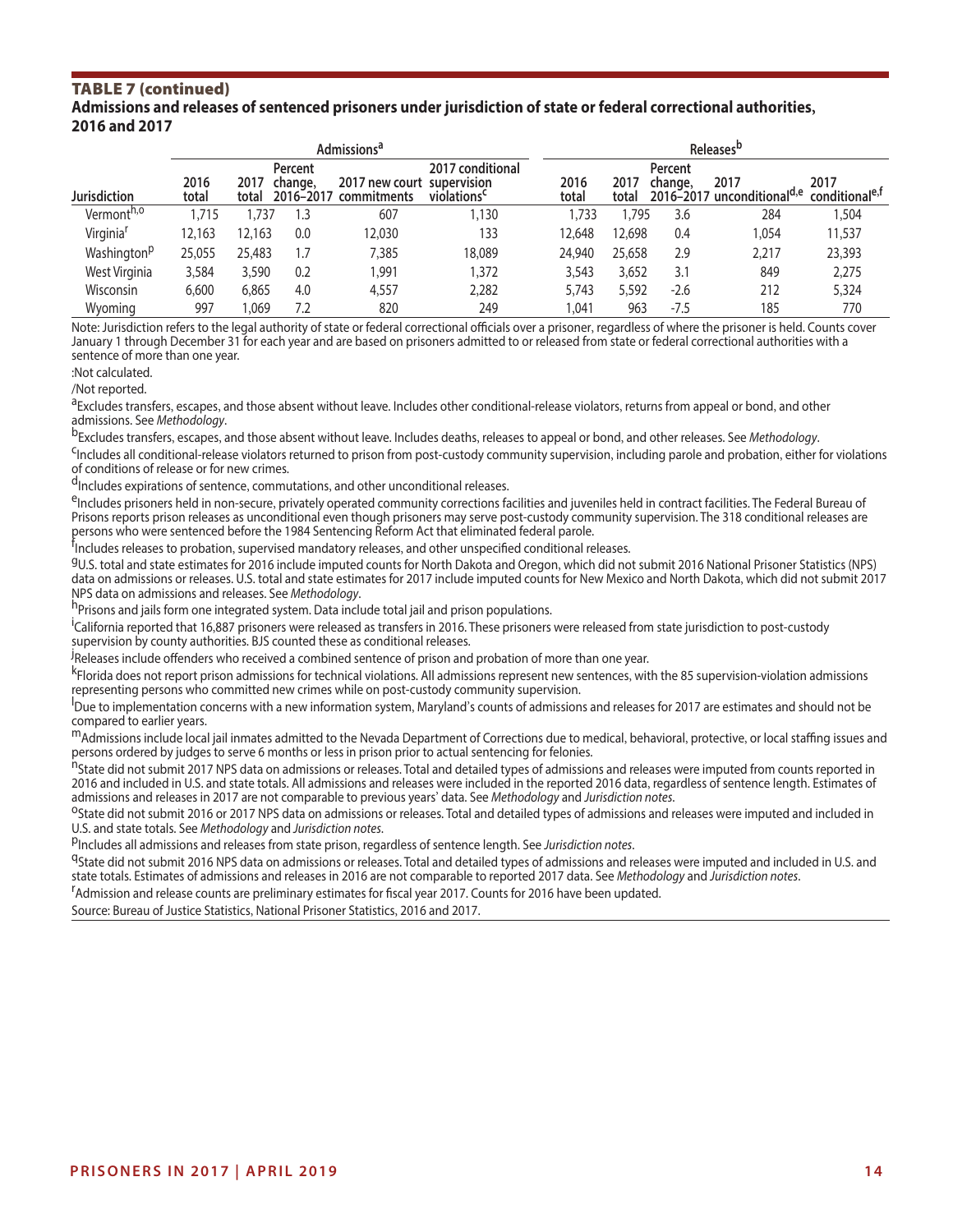#### TABLE 7 (continued) **Admissions and releases of sentenced prisoners under jurisdiction of state or federal correctional authorities, 2016 and 2017**

|                         |               |               |                                 | Admissions <sup>a</sup>       |                                                            | Releases <sup>b</sup> |               |                    |                                    |                                    |  |  |
|-------------------------|---------------|---------------|---------------------------------|-------------------------------|------------------------------------------------------------|-----------------------|---------------|--------------------|------------------------------------|------------------------------------|--|--|
| Jurisdiction            | 2016<br>total | 2017<br>total | Percent<br>change,<br>2016-2017 | 2017 new court<br>commitments | 2017 conditional<br>supervision<br>violations <sup>c</sup> | 2016<br>total         | 2017<br>total | Percent<br>change, | 2017<br>2016-2017 unconditionald,e | 2017<br>conditional <sup>e,f</sup> |  |  |
| Vermont <sup>h,o</sup>  | 1,715         | .737          | 1.3                             | 607                           | 1,130                                                      | 1.733                 | 1.795         | 3.6                | 284                                | 504, ا                             |  |  |
| Virginia <sup>r</sup>   | 12,163        | 12.163        | 0.0                             | 12.030                        | 133                                                        | 12,648                | 12,698        | 0.4                | 1.054                              | 11,537                             |  |  |
| Washington <sup>p</sup> | 25,055        | 25,483        | 1.7                             | 7.385                         | 18,089                                                     | 24,940                | 25,658        | 2.9                | 2,217                              | 23,393                             |  |  |
| West Virginia           | 3,584         | 3,590         | 0.2                             | 1.991                         | 1.372                                                      | 3,543                 | 3,652         | 3.1                | 849                                | 2,275                              |  |  |
| Wisconsin               | 6,600         | 6,865         | 4.0                             | 4,557                         | 2,282                                                      | 5,743                 | 5,592         | $-2.6$             | 212                                | 5,324                              |  |  |
| Wyoming                 | 997           | .069          | 7.2                             | 820                           | 249                                                        | ,041                  | 963           | $-7.5$             | 185                                | 770                                |  |  |

Note: Jurisdiction refers to the legal authority of state or federal correctional officials over a prisoner, regardless of where the prisoner is held. Counts cover January 1 through December 31 for each year and are based on prisoners admitted to or released from state or federal correctional authorities with a sentence of more than one year.

:Not calculated.

/Not reported.

a Excludes transfers, escapes, and those absent without leave. Includes other conditional-release violators, returns from appeal or bond, and other admissions. See *Methodology*.

<sup>b</sup>Excludes transfers, escapes, and those absent without leave. Includes deaths, releases to appeal or bond, and other releases. See *Methodology*.<br><sup>C</sup>Includes all conditional-release violators returned to prison from post

of conditions of release or for new crimes.

<sup>d</sup>Includes expirations of sentence, commutations, and other unconditional releases.<br><sup>e</sup>Includes prisoners held in non-secure, privately operated community corrections facilities and juveniles held in contract facilities. Prisons reports prison releases as unconditional even though prisoners may serve post-custody community supervision. The 318 conditional releases are persons who were sentenced before the 1984 Sentencing Reform Act that eliminated federal parole.

<sup>f</sup>Includes releases to probation, supervised mandatory releases, and other unspecified conditional releases.

gU.S. total and state estimates for 2016 include imputed counts for North Dakota and Oregon, which did not submit 2016 National Prisoner Statistics (NPS) data on admissions or releases. U.S. total and state estimates for 2017 include imputed counts for New Mexico and North Dakota, which did not submit 2017<br>NPS data on admissions and releases. See *Methodology*.

<sup>h</sup>Prisons and jails form one integrated system. Data include total jail and prison populations.

<sup>i</sup>California reported that 16,887 prisoners were released as transfers in 2016. These prisoners were released from state jurisdiction to post-custody supervision by county authorities. BJS counted these as conditional releases.

.<br>PReleases include offenders who received a combined sentence of prison and probation of more than one year.

kFlorida does not report prison admissions for technical violations. All admissions represent new sentences, with the 85 supervision-violation admissions representing persons who committed new crimes while on post-custody community supervision.

Due to implementation concerns with a new information system, Maryland's counts of admissions and releases for 2017 are estimates and should not be compared to earlier years.

<sup>m</sup>Admissions include local jail inmates admitted to the Nevada Department of Corrections due to medical, behavioral, protective, or local staffing issues and persons ordered by judges to serve 6 months or less in prison prior to actual sentencing for felonies.

.<br><sup>N</sup>State did not submit 2017 NPS data on admissions or releases. Total and detailed types of admissions and releases were imputed from counts reported in 2016 and included in U.S. and state totals. All admissions and releases were included in the reported 2016 data, regardless of sentence length. Estimates of admissions and releases in 2017 are not comparable to previous ye

<sup>O</sup>State did not submit 2016 or 2017 NPS data on admissions or releases. Total and detailed types of admissions and releases were imputed and included in<br>U.S. and state totals. See Methodology and Jurisdiction notes.

PIncludes all admissions and releases from state prison, regardless of sentence length. See Jurisdiction notes.<br><sup>Q</sup>State did not submit 2016 NPS data on admissions or releases. Total and detailed types of admissions and re state totals. Estimates of admissions and releases in 2016 are not comparable to reported 2017 data. See *Methodology* and *Jurisdiction notes*. r

<sup>r</sup>Admission and release counts are preliminary estimates for fiscal year 2017. Counts for 2016 have been updated.

Source: Bureau of Justice Statistics, National Prisoner Statistics, 2016 and 2017.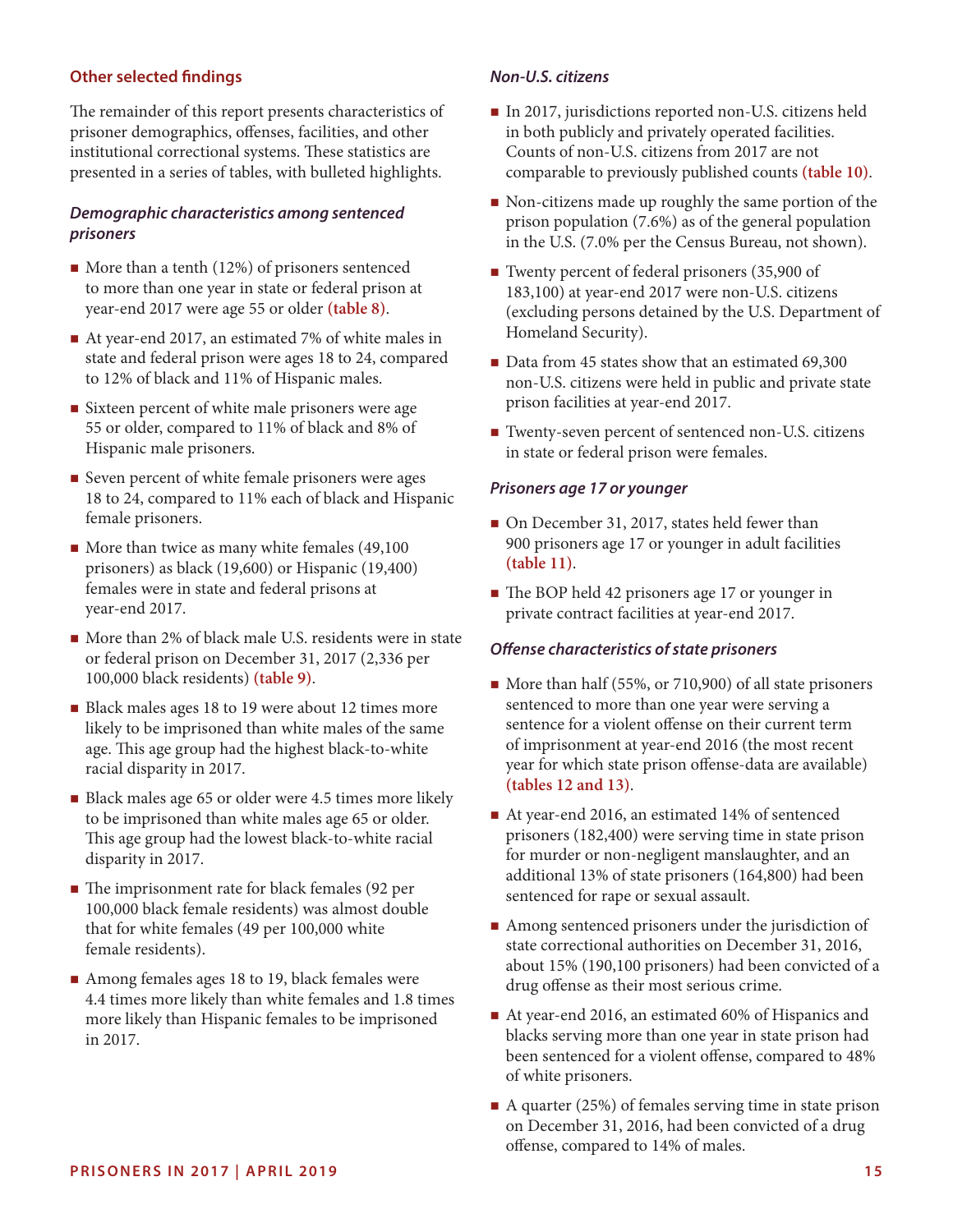#### **Other selected fndings**

The remainder of this report presents characteristics of prisoner demographics, ofenses, facilities, and other institutional correctional systems. These statistics are presented in a series of tables, with bulleted highlights.

#### *Demographic characteristics among sentenced prisoners*

- $\blacksquare$  More than a tenth (12%) of prisoners sentenced to more than one year in state or federal prison at year-end 2017 were age 55 or older **(table 8)**.
- At year-end 2017, an estimated 7% of white males in state and federal prison were ages 18 to 24, compared to 12% of black and 11% of Hispanic males.
- Sixteen percent of white male prisoners were age 55 or older, compared to 11% of black and 8% of Hispanic male prisoners.
- Seven percent of white female prisoners were ages 18 to 24, compared to 11% each of black and Hispanic female prisoners.
- $\blacksquare$  More than twice as many white females (49,100 prisoners) as black (19,600) or Hispanic (19,400) females were in state and federal prisons at year-end 2017.
- More than 2% of black male U.S. residents were in state or federal prison on December 31, 2017 (2,336 per 100,000 black residents) **(table 9)**.
- Black males ages 18 to 19 were about 12 times more likely to be imprisoned than white males of the same age. This age group had the highest black-to-white racial disparity in 2017.
- Black males age 65 or older were 4.5 times more likely to be imprisoned than white males age 65 or older. This age group had the lowest black-to-white racial disparity in 2017.
- $\blacksquare$  The imprisonment rate for black females (92 per 100,000 black female residents) was almost double that for white females (49 per 100,000 white female residents).
- Among females ages 18 to 19, black females were 4.4 times more likely than white females and 1.8 times more likely than Hispanic females to be imprisoned in 2017.

#### *Non-U.S. citizens*

- In 2017, jurisdictions reported non-U.S. citizens held in both publicly and privately operated facilities. Counts of non-U.S. citizens from 2017 are not comparable to previously published counts **(table 10)**.
- Non-citizens made up roughly the same portion of the prison population (7.6%) as of the general population in the U.S. (7.0% per the Census Bureau, not shown).
- Twenty percent of federal prisoners (35,900 of 183,100) at year-end 2017 were non-U.S. citizens (excluding persons detained by the U.S. Department of Homeland Security).
- Data from 45 states show that an estimated 69,300 non-U.S. citizens were held in public and private state prison facilities at year-end 2017.
- Twenty-seven percent of sentenced non-U.S. citizens in state or federal prison were females.

#### *Prisoners age 17 or younger*

- On December 31, 2017, states held fewer than 900 prisoners age 17 or younger in adult facilities **(table 11)**.
- The BOP held 42 prisoners age 17 or younger in private contract facilities at year-end 2017.

#### *Ofense characteristics of state prisoners*

- More than half (55%, or 710,900) of all state prisoners sentenced to more than one year were serving a sentence for a violent offense on their current term of imprisonment at year-end 2016 (the most recent year for which state prison offense-data are available) **(tables 12 and 13)**.
- At year-end 2016, an estimated 14% of sentenced prisoners (182,400) were serving time in state prison for murder or non-negligent manslaughter, and an additional 13% of state prisoners (164,800) had been sentenced for rape or sexual assault.
- Among sentenced prisoners under the jurisdiction of state correctional authorities on December 31, 2016, about 15% (190,100 prisoners) had been convicted of a drug offense as their most serious crime.
- At year-end 2016, an estimated 60% of Hispanics and blacks serving more than one year in state prison had been sentenced for a violent offense, compared to 48% of white prisoners.
- A quarter (25%) of females serving time in state prison on December 31, 2016, had been convicted of a drug ofense, compared to 14% of males.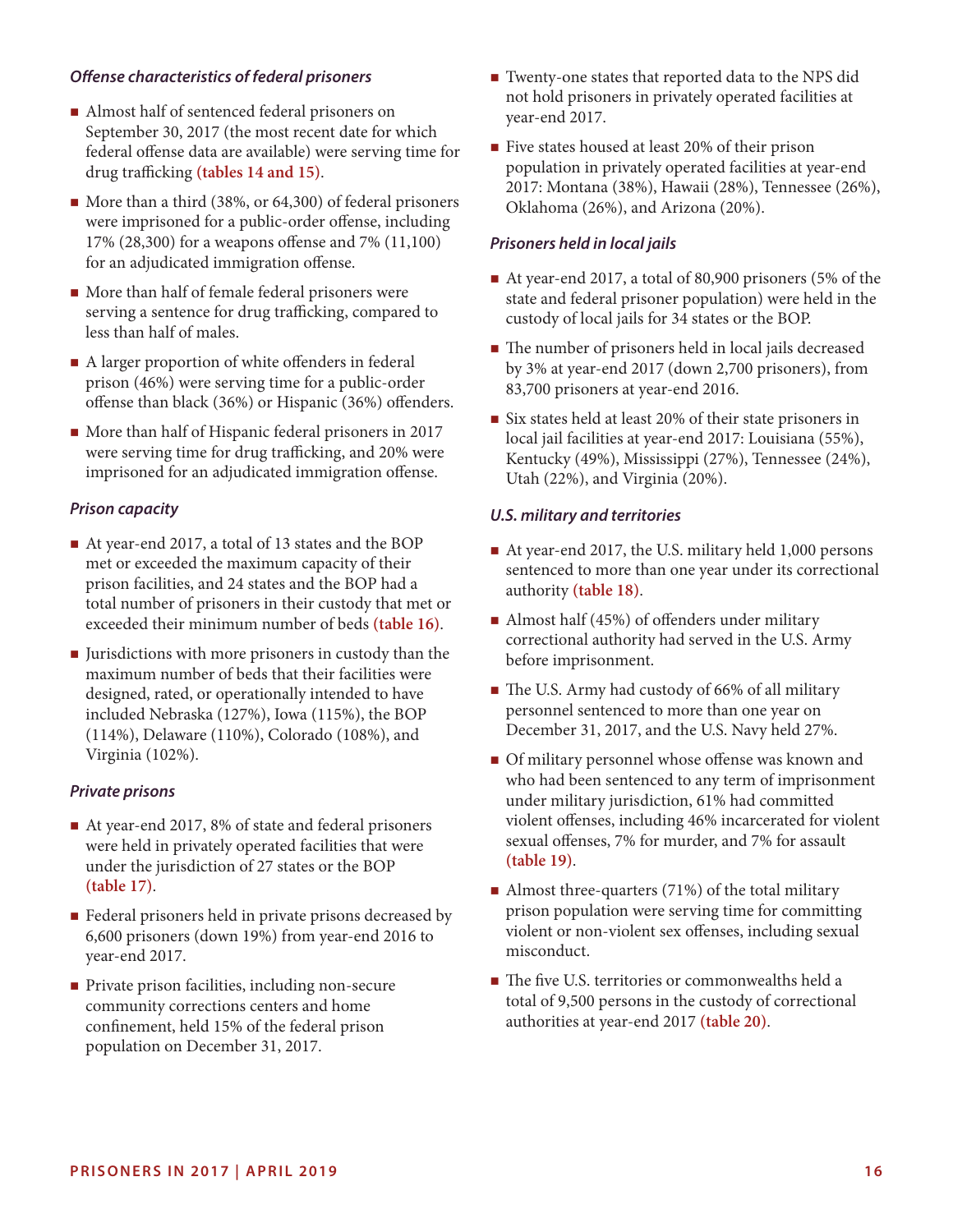#### *Ofense characteristics of federal prisoners*

- Almost half of sentenced federal prisoners on September 30, 2017 (the most recent date for which federal offense data are available) were serving time for drug trafficking (tables 14 and 15).
- More than a third (38%, or 64,300) of federal prisoners were imprisoned for a public-order ofense, including 17% (28,300) for a weapons ofense and 7% (11,100) for an adjudicated immigration ofense.
- $\blacksquare$  More than half of female federal prisoners were serving a sentence for drug trafficking, compared to less than half of males.
- A larger proportion of white offenders in federal prison (46%) were serving time for a public-order ofense than black (36%) or Hispanic (36%) ofenders.
- More than half of Hispanic federal prisoners in 2017 were serving time for drug trafficking, and 20% were imprisoned for an adjudicated immigration offense.

#### *Prison capacity*

- At year-end 2017, a total of 13 states and the BOP met or exceeded the maximum capacity of their prison facilities, and 24 states and the BOP had a total number of prisoners in their custody that met or exceeded their minimum number of beds **(table 16)**.
- I Jurisdictions with more prisoners in custody than the maximum number of beds that their facilities were designed, rated, or operationally intended to have included Nebraska (127%), Iowa (115%), the BOP (114%), Delaware (110%), Colorado (108%), and Virginia (102%).

#### *Private prisons*

- At year-end 2017, 8% of state and federal prisoners were held in privately operated facilities that were under the jurisdiction of 27 states or the BOP **(table 17)**.
- **Federal prisoners held in private prisons decreased by** 6,600 prisoners (down 19%) from year-end 2016 to year-end 2017.
- **Private prison facilities, including non-secure** community corrections centers and home confnement, held 15% of the federal prison population on December 31, 2017.
- Twenty-one states that reported data to the NPS did not hold prisoners in privately operated facilities at year-end 2017.
- Five states housed at least 20% of their prison population in privately operated facilities at year-end 2017: Montana (38%), Hawaii (28%), Tennessee (26%), Oklahoma (26%), and Arizona (20%).

#### *Prisoners held in local jails*

- At year-end 2017, a total of 80,900 prisoners (5% of the state and federal prisoner population) were held in the custody of local jails for 34 states or the BOP.
- $\blacksquare$  The number of prisoners held in local jails decreased by 3% at year-end 2017 (down 2,700 prisoners), from 83,700 prisoners at year-end 2016.
- Six states held at least 20% of their state prisoners in local jail facilities at year-end 2017: Louisiana (55%), Kentucky (49%), Mississippi (27%), Tennessee (24%), Utah (22%), and Virginia (20%).

#### *U.S. military and territories*

- At year-end 2017, the U.S. military held 1,000 persons sentenced to more than one year under its correctional authority **(table 18)**.
- Almost half (45%) of offenders under military correctional authority had served in the U.S. Army before imprisonment.
- $\blacksquare$  The U.S. Army had custody of 66% of all military personnel sentenced to more than one year on December 31, 2017, and the U.S. Navy held 27%.
- **O**f military personnel whose offense was known and who had been sentenced to any term of imprisonment under military jurisdiction, 61% had committed violent ofenses, including 46% incarcerated for violent sexual ofenses, 7% for murder, and 7% for assault **(table 19)**.
- Almost three-quarters  $(71%)$  of the total military prison population were serving time for committing violent or non-violent sex ofenses, including sexual misconduct.
- $\blacksquare$  The five U.S. territories or commonwealths held a total of 9,500 persons in the custody of correctional authorities at year-end 2017 **(table 20)**.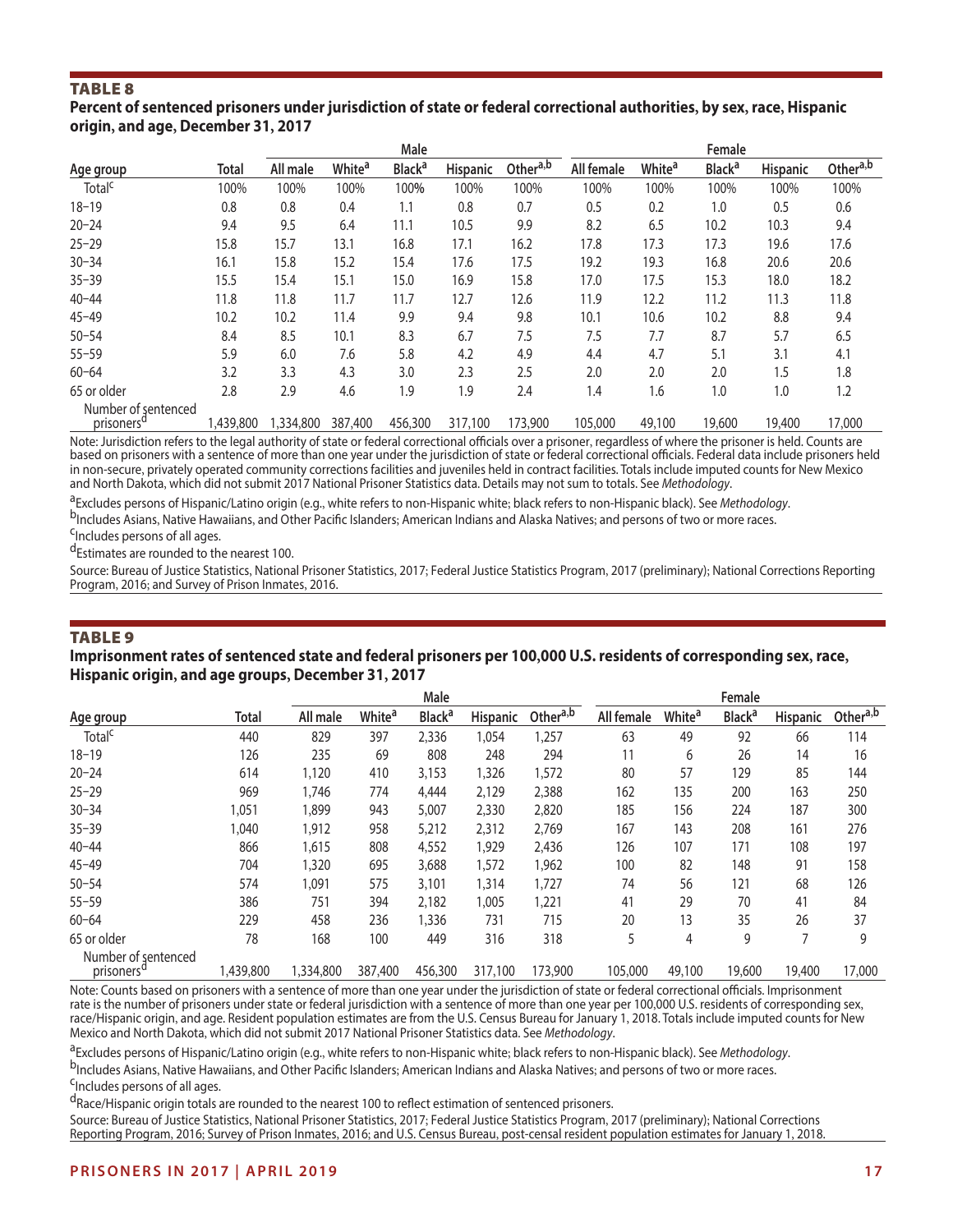#### **Percent of sentenced prisoners under jurisdiction of state or federal correctional authorities, by sex, race, Hispanic origin, and age, December 31, 2017**

|                                               |              |           |                    | Male                     |                 |          |            |                    | Female                   |                 |                      |
|-----------------------------------------------|--------------|-----------|--------------------|--------------------------|-----------------|----------|------------|--------------------|--------------------------|-----------------|----------------------|
| Age group                                     | <b>Total</b> | All male  | White <sup>a</sup> | <b>Black<sup>a</sup></b> | <b>Hispanic</b> | Othera,b | All female | White <sup>a</sup> | <b>Black<sup>a</sup></b> | <b>Hispanic</b> | Other <sup>a,b</sup> |
| Total <sup>c</sup>                            | 100%         | 100%      | 100%               | 100%                     | 100%            | 100%     | 100%       | 100%               | 100%                     | 100%            | 100%                 |
| $18 - 19$                                     | 0.8          | 0.8       | 0.4                | 1.1                      | 0.8             | 0.7      | 0.5        | 0.2                | 1.0                      | 0.5             | 0.6                  |
| $20 - 24$                                     | 9.4          | 9.5       | 6.4                | 11.1                     | 10.5            | 9.9      | 8.2        | 6.5                | 10.2                     | 10.3            | 9.4                  |
| $25 - 29$                                     | 15.8         | 15.7      | 13.1               | 16.8                     | 17.1            | 16.2     | 17.8       | 17.3               | 17.3                     | 19.6            | 17.6                 |
| $30 - 34$                                     | 16.1         | 15.8      | 15.2               | 15.4                     | 17.6            | 17.5     | 19.2       | 19.3               | 16.8                     | 20.6            | 20.6                 |
| $35 - 39$                                     | 15.5         | 15.4      | 15.1               | 15.0                     | 16.9            | 15.8     | 17.0       | 17.5               | 15.3                     | 18.0            | 18.2                 |
| $40 - 44$                                     | 11.8         | 11.8      | 11.7               | 11.7                     | 12.7            | 12.6     | 11.9       | 12.2               | 11.2                     | 11.3            | 11.8                 |
| $45 - 49$                                     | 10.2         | 10.2      | 11.4               | 9.9                      | 9.4             | 9.8      | 10.1       | 10.6               | 10.2                     | 8.8             | 9.4                  |
| $50 - 54$                                     | 8.4          | 8.5       | 10.1               | 8.3                      | 6.7             | 7.5      | 7.5        | 7.7                | 8.7                      | 5.7             | 6.5                  |
| $55 - 59$                                     | 5.9          | 6.0       | 7.6                | 5.8                      | 4.2             | 4.9      | 4.4        | 4.7                | 5.1                      | 3.1             | 4.1                  |
| $60 - 64$                                     | 3.2          | 3.3       | 4.3                | 3.0                      | 2.3             | 2.5      | 2.0        | 2.0                | 2.0                      | 1.5             | 1.8                  |
| 65 or older                                   | 2.8          | 2.9       | 4.6                | 1.9                      | 1.9             | 2.4      | 1.4        | 1.6                | 1.0                      | 1.0             | 1.2                  |
| Number of sentenced<br>prisoners <sup>d</sup> | 1,439,800    | 1,334,800 | 387,400            | 456,300                  | 317,100         | 173,900  | 105,000    | 49,100             | 19,600                   | 19,400          | 17,000               |

Note: Jurisdiction refers to the legal authority of state or federal correctional officials over a prisoner, regardless of where the prisoner is held. Counts are based on prisoners with a sentence of more than one year under the jurisdiction of state or federal correctional officials. Federal data include prisoners held in non-secure, privately operated community corrections facilities and juveniles held in contract facilities. Totals include imputed counts for New Mexico and North Dakota, which did not submit 2017 National Prisoner Statistics data. Details may not sum to totals. See *Methodology*.

<sup>a</sup>Excludes persons of Hispanic/Latino origin (e.g., white refers to non-Hispanic white; black refers to non-Hispanic black). See *Methodology.*<br><sup>b</sup>Includes Asians, Native Hawaiians, and Other Pacific Islanders; American I

d<sub>Estimates are rounded to the nearest 100.</sub>

Source: Bureau of Justice Statistics, National Prisoner Statistics, 2017; Federal Justice Statistics Program, 2017 (preliminary); National Corrections Reporting Program, 2016; and Survey of Prison Inmates, 2016.

#### TABLE 9

#### **Imprisonment rates of sentenced state and federal prisoners per 100,000 U.S. residents of corresponding sex, race, Hispanic origin, and age groups, December 31, 2017**

|                                               |              |           |                          | Male                     |                 |                      |            |                          | Female                   |                 |                      |
|-----------------------------------------------|--------------|-----------|--------------------------|--------------------------|-----------------|----------------------|------------|--------------------------|--------------------------|-----------------|----------------------|
| Age group                                     | <b>Total</b> | All male  | <b>White<sup>a</sup></b> | <b>Black<sup>a</sup></b> | <b>Hispanic</b> | Other <sup>a,b</sup> | All female | <b>White<sup>a</sup></b> | <b>Black<sup>a</sup></b> | <b>Hispanic</b> | Other <sup>a,b</sup> |
| Total <sup>c</sup>                            | 440          | 829       | 397                      | 2,336                    | 1,054           | 1,257                | 63         | 49                       | 92                       | 66              | 114                  |
| $18 - 19$                                     | 126          | 235       | 69                       | 808                      | 248             | 294                  | 11         | 6                        | 26                       | 14              | 16                   |
| $20 - 24$                                     | 614          | 1,120     | 410                      | 3,153                    | 1,326           | 1,572                | 80         | 57                       | 129                      | 85              | 144                  |
| $25 - 29$                                     | 969          | 1,746     | 774                      | 4,444                    | 2,129           | 2,388                | 162        | 135                      | 200                      | 163             | 250                  |
| $30 - 34$                                     | 1,051        | 1,899     | 943                      | 5,007                    | 2,330           | 2,820                | 185        | 156                      | 224                      | 187             | 300                  |
| $35 - 39$                                     | 1,040        | 1,912     | 958                      | 5,212                    | 2,312           | 2,769                | 167        | 143                      | 208                      | 161             | 276                  |
| $40 - 44$                                     | 866          | 1,615     | 808                      | 4,552                    | 1,929           | 2,436                | 126        | 107                      | 171                      | 108             | 197                  |
| $45 - 49$                                     | 704          | 320       | 695                      | 3,688                    | 1,572           | 1,962                | 100        | 82                       | 148                      | 91              | 158                  |
| $50 - 54$                                     | 574          | 091, ا    | 575                      | 3,101                    | 1,314           | 1,727                | 74         | 56                       | 121                      | 68              | 126                  |
| $55 - 59$                                     | 386          | 751       | 394                      | 2,182                    | 1,005           | 1,221                | 41         | 29                       | 70                       | 41              | 84                   |
| $60 - 64$                                     | 229          | 458       | 236                      | 1,336                    | 731             | 715                  | 20         | 13                       | 35                       | 26              | 37                   |
| 65 or older                                   | 78           | 168       | 100                      | 449                      | 316             | 318                  |            | 4                        | 9                        |                 | 9                    |
| Number of sentenced<br>prisoners <sup>d</sup> | 1,439,800    | 1,334,800 | 387,400                  | 456,300                  | 317,100         | 173,900              | 105,000    | 49,100                   | 19,600                   | 19,400          | 17,000               |

Note: Counts based on prisoners with a sentence of more than one year under the jurisdiction of state or federal correctional officials. Imprisonment rate is the number of prisoners under state or federal jurisdiction with a sentence of more than one year per 100,000 U.S. residents of corresponding sex, race/Hispanic origin, and age. Resident population estimates are from the U.S. Census Bureau for January 1, 2018. Totals include imputed counts for New Mexico and North Dakota, which did not submit 2017 National Prisoner Statistics data. See *Methodology*.

<sup>a</sup>Excludes persons of Hispanic/Latino origin (e.g., white refers to non-Hispanic white; black refers to non-Hispanic black). See *Methodology.*<br><sup>b</sup>Includes Asians, Native Hawaiians, and Other Pacific Islanders; American I

dRace/Hispanic origin totals are rounded to the nearest 100 to reflect estimation of sentenced prisoners.

Source: Bureau of Justice Statistics, National Prisoner Statistics, 2017; Federal Justice Statistics Program, 2017 (preliminary); National Corrections Reporting Program, 2016; Survey of Prison Inmates, 2016; and U.S. Census Bureau, post-censal resident population estimates for January 1, 2018.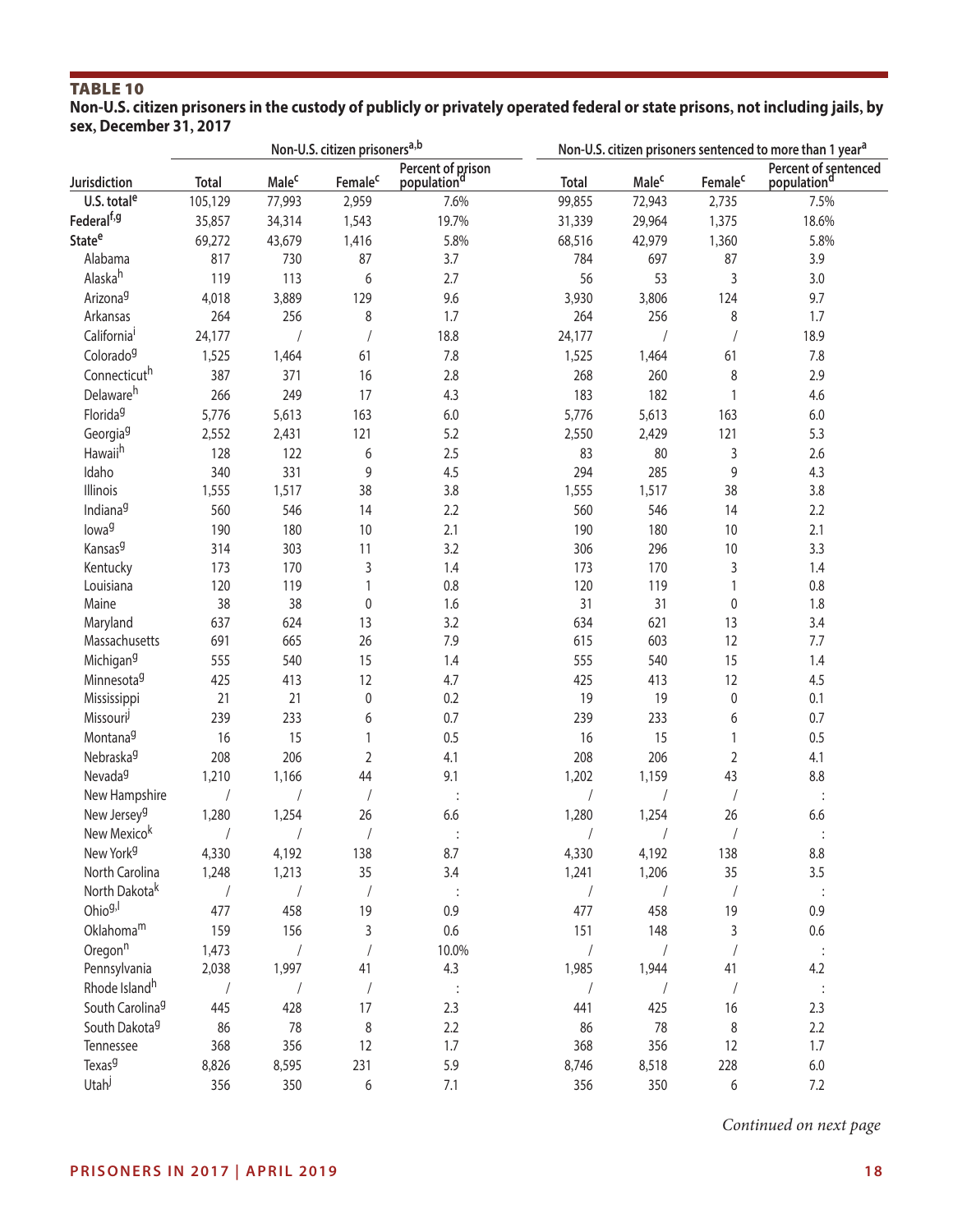#### **Non-U.S. citizen prisoners in the custody of publicly or privately operated federal or state prisons, not including jails, by sex, December 31, 2017**

|                             |              |                         | Non-U.S. citizen prisoners <sup>a,b</sup> |                                              | Non-U.S. citizen prisoners sentenced to more than 1 year <sup>a</sup> |                         |                             |                                     |
|-----------------------------|--------------|-------------------------|-------------------------------------------|----------------------------------------------|-----------------------------------------------------------------------|-------------------------|-----------------------------|-------------------------------------|
| Jurisdiction                | <b>Total</b> | <b>Male<sup>c</sup></b> | Female <sup>c</sup>                       | Percent of prison<br>population <sup>d</sup> | <b>Total</b>                                                          | <b>Male<sup>c</sup></b> | Female <sup>c</sup>         | Percent of sentenced<br>populationd |
| U.S. total <sup>e</sup>     | 105,129      | 77,993                  | 2,959                                     | 7.6%                                         | 99,855                                                                | 72,943                  | 2,735                       | 7.5%                                |
| Federal <sup>f,g</sup>      | 35,857       | 34,314                  | 1,543                                     | 19.7%                                        | 31,339                                                                | 29,964                  | 1,375                       | 18.6%                               |
| State <sup>e</sup>          | 69,272       | 43,679                  | 1,416                                     | 5.8%                                         | 68,516                                                                | 42,979                  | 1,360                       | 5.8%                                |
| Alabama                     | 817          | 730                     | 87                                        | 3.7                                          | 784                                                                   | 697                     | 87                          | 3.9                                 |
| Alaskah                     | 119          | 113                     | 6                                         | 2.7                                          | 56                                                                    | 53                      | 3                           | 3.0                                 |
| Arizona <sup>g</sup>        | 4,018        | 3,889                   | 129                                       | 9.6                                          | 3,930                                                                 | 3,806                   | 124                         | 9.7                                 |
| Arkansas                    | 264          | 256                     | 8                                         | 1.7                                          | 264                                                                   | 256                     | 8                           | 1.7                                 |
| California <sup>i</sup>     | 24,177       | $\sqrt{2}$              |                                           | 18.8                                         | 24,177                                                                | $\sqrt{2}$              |                             | 18.9                                |
| Colorado <sup>g</sup>       | 1,525        | 1,464                   | 61                                        | 7.8                                          | 1,525                                                                 | 1,464                   | 61                          | $7.8$                               |
| Connecticuth                | 387          | 371                     | 16                                        | 2.8                                          | 268                                                                   | 260                     | 8                           | 2.9                                 |
| Delawareh                   | 266          | 249                     | 17                                        | 4.3                                          | 183                                                                   | 182                     | $\mathbf{1}$                | 4.6                                 |
| Florida <sup>9</sup>        | 5,776        | 5,613                   | 163                                       | $6.0\,$                                      | 5,776                                                                 | 5,613                   | 163                         | $6.0\,$                             |
| Georgia <sup>g</sup>        | 2,552        | 2,431                   | 121                                       | 5.2                                          | 2,550                                                                 | 2,429                   | 121                         | 5.3                                 |
| Hawaii <sup>h</sup>         | 128          | 122                     | 6                                         | 2.5                                          | 83                                                                    | 80                      | $\sqrt{3}$                  | 2.6                                 |
| Idaho                       | 340          | 331                     | 9                                         | 4.5                                          | 294                                                                   | 285                     | 9                           | 4.3                                 |
| Illinois                    | 1,555        | 1,517                   | 38                                        | 3.8                                          | 1,555                                                                 | 1,517                   | 38                          | 3.8                                 |
| Indiana <sup>9</sup>        | 560          | 546                     | 14                                        | 2.2                                          | 560                                                                   | 546                     | 14                          | 2.2                                 |
| lowa <sup>g</sup>           | 190          | 180                     | $10$                                      | 2.1                                          | 190                                                                   | 180                     | $10$                        | 2.1                                 |
| Kansas <sup>9</sup>         |              |                         |                                           |                                              |                                                                       |                         |                             |                                     |
|                             | 314          | 303                     | 11                                        | 3.2                                          | 306                                                                   | 296                     | $10$                        | 3.3                                 |
| Kentucky<br>Louisiana       | 173          | 170                     | 3<br>1                                    | 1.4<br>0.8                                   | 173<br>120                                                            | 170                     | $\mathsf 3$<br>$\mathbf{1}$ | 1.4<br>0.8                          |
| Maine                       | 120<br>38    | 119<br>38               | $\pmb{0}$                                 | 1.6                                          | 31                                                                    | 119<br>31               |                             | 1.8                                 |
|                             | 637          | 624                     | 13                                        | 3.2                                          | 634                                                                   | 621                     | $\pmb{0}$<br>13             | 3.4                                 |
| Maryland<br>Massachusetts   | 691          | 665                     | 26                                        | 7.9                                          | 615                                                                   | 603                     | 12                          | 7.7                                 |
|                             |              |                         |                                           |                                              |                                                                       |                         |                             |                                     |
| Michigan <sup>g</sup>       | 555          | 540                     | 15                                        | 1.4                                          | 555                                                                   | 540                     | 15                          | 1.4                                 |
| Minnesota <sup>9</sup>      | 425          | 413                     | 12                                        | 4.7                                          | 425                                                                   | 413                     | 12                          | 4.5                                 |
| Mississippi                 | 21           | 21                      | $\pmb{0}$                                 | 0.2                                          | 19                                                                    | 19                      | $\pmb{0}$                   | 0.1                                 |
| Missouri                    | 239          | 233                     | 6                                         | 0.7                                          | 239                                                                   | 233                     | 6                           | 0.7                                 |
| Montana <sup>g</sup>        | 16           | 15                      | 1                                         | 0.5                                          | 16                                                                    | 15                      | $\mathbf{1}$                | 0.5                                 |
| Nebraska <sup>g</sup>       | 208          | 206                     | $\overline{2}$                            | 4.1                                          | 208                                                                   | 206                     | $\overline{2}$              | 4.1                                 |
| Nevada <sup>g</sup>         | 1,210        | 1,166                   | 44                                        | 9.1                                          | 1,202                                                                 | 1,159                   | 43                          | 8.8                                 |
| New Hampshire               |              |                         |                                           |                                              |                                                                       |                         | $\sqrt{2}$                  |                                     |
| New Jersey <sup>g</sup>     | 1,280        | 1,254                   | 26                                        | 6.6                                          | 1,280                                                                 | 1,254                   | 26                          | 6.6                                 |
| New Mexicok                 |              |                         |                                           |                                              |                                                                       |                         |                             |                                     |
| New York <sup>g</sup>       | 4,330        | 4,192                   | 138                                       | 8.7                                          | 4,330                                                                 | 4,192                   | 138                         | 8.8                                 |
| North Carolina              | 1,248        | 1,213                   | 35                                        | 3.4                                          | 1,241                                                                 | 1,206                   | 35                          | 3.5                                 |
| North Dakota <sup>k</sup>   |              | $\sqrt{2}$              | $\sqrt{2}$                                |                                              | $\sqrt{2}$                                                            | $\sqrt{2}$              |                             | $\therefore$                        |
| Ohio <sup>g,l</sup>         | 477          | 458                     | 19                                        | 0.9                                          | 477                                                                   | 458                     | 19                          | 0.9                                 |
| Oklahomam                   | 159          | 156                     | 3                                         | $0.6\,$                                      | 151                                                                   | 148                     | 3                           | $0.6\,$                             |
| Oregon <sup>n</sup>         | 1,473        | $\sqrt{\phantom{a}}$    |                                           | 10.0%                                        | $\sqrt{2}$                                                            | $\sqrt{2}$              |                             | $\langle 1 \rangle$                 |
| Pennsylvania                | 2,038        | 1,997                   | 41                                        | 4.3                                          | 1,985                                                                 | 1,944                   | 41                          | 4.2                                 |
| Rhode Island <sup>h</sup>   |              |                         | $\sqrt{2}$                                | $\ddot{\phantom{a}}$                         | $\sqrt{\phantom{a}}$                                                  | $\sqrt{2}$              |                             | $\ddot{\cdot}$                      |
| South Carolina <sup>9</sup> | 445          | 428                     | 17                                        | 2.3                                          | 441                                                                   | 425                     | 16                          | 2.3                                 |
| South Dakota <sup>9</sup>   | 86           | 78                      | 8                                         | 2.2                                          | 86                                                                    | 78                      | 8                           | 2.2                                 |
| Tennessee                   | 368          | 356                     | 12                                        | 1.7                                          | 368                                                                   | 356                     | 12                          | 1.7                                 |
| Texas <sup>9</sup>          | 8,826        | 8,595                   | 231                                       | 5.9                                          | 8,746                                                                 | 8,518                   | 228                         | $6.0\,$                             |
| Utah                        | 356          | 350                     | 6                                         | 7.1                                          | 356                                                                   | 350                     | 6                           | 7.2                                 |

*Continued on next page*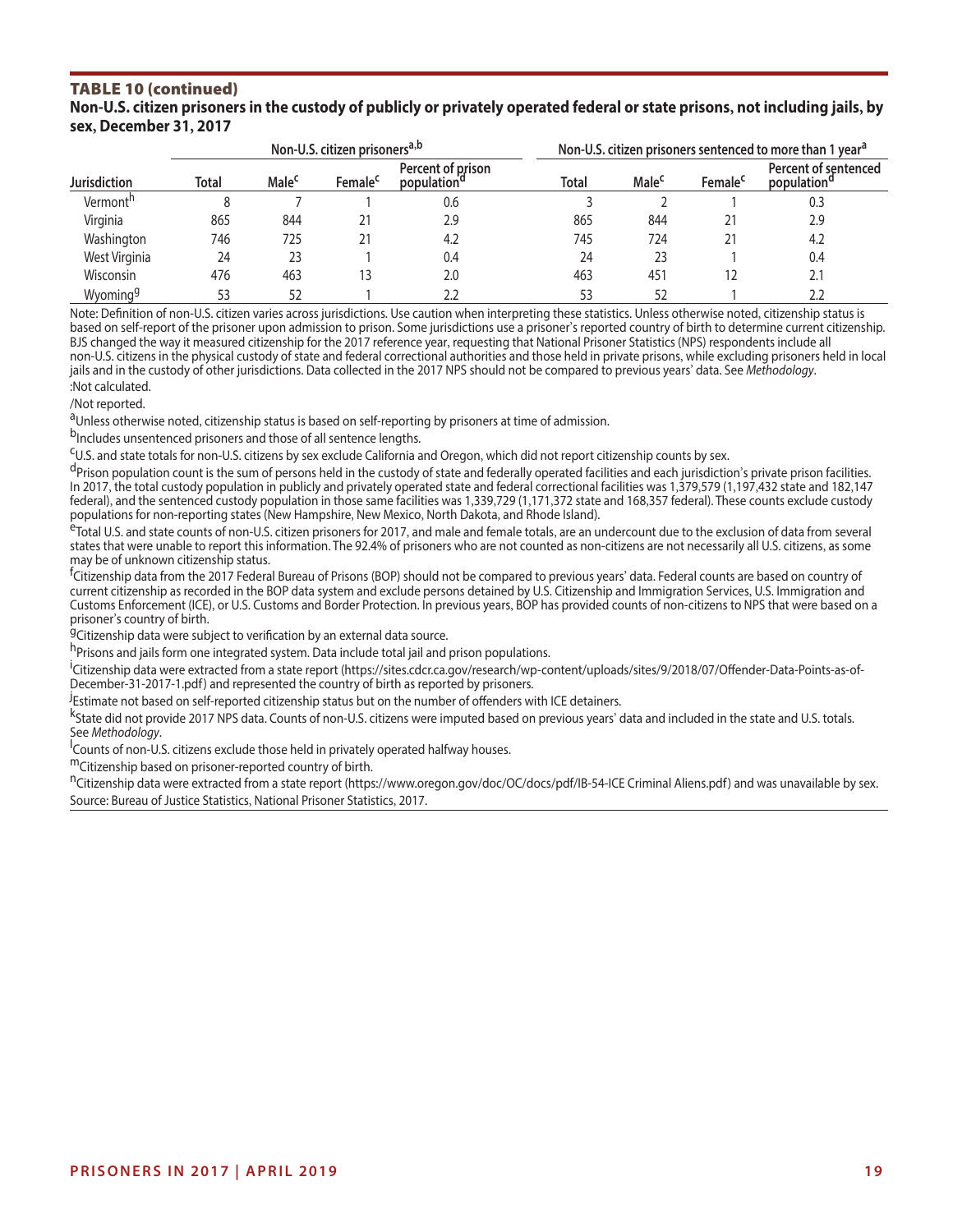#### TABLE 10 (continued) **Non-U.S. citizen prisoners in the custody of publicly or privately operated federal or state prisons, not including jails, by sex, December 31, 2017**

|                      |       |                   | Non-U.S. citizen prisoners <sup>a,b</sup> |                                              |              | Non-U.S. citizen prisoners sentenced to more than 1 year <sup>d</sup> |                     |                                                 |  |  |
|----------------------|-------|-------------------|-------------------------------------------|----------------------------------------------|--------------|-----------------------------------------------------------------------|---------------------|-------------------------------------------------|--|--|
| <b>Jurisdiction</b>  | Total | Male <sup>c</sup> | Female <sup>c</sup>                       | Percent of prison<br>population <sup>a</sup> | <b>Total</b> | Male <sup>c</sup>                                                     | Female <sup>c</sup> | Percent of sentenced<br>population <sup>a</sup> |  |  |
| Vermont <sup>h</sup> |       |                   |                                           | 0.6                                          |              |                                                                       |                     | 0.3                                             |  |  |
| Virginia             | 865   | 844               |                                           | 2.9                                          | 865          | 844                                                                   | 21                  | 2.9                                             |  |  |
| Washington           | 746   | 725               |                                           | 4.2                                          | 745          | 724                                                                   | 21                  | 4.2                                             |  |  |
| West Virginia        | 24    | 23                |                                           | 0.4                                          | 24           | 23                                                                    |                     | 0.4                                             |  |  |
| Wisconsin            | 476   | 463               | 13                                        | 2.0                                          | 463          | 451                                                                   | 12                  | 2.1                                             |  |  |
| Wyoming <sup>g</sup> | 53    | 52                |                                           |                                              | 53           |                                                                       |                     | 2.2                                             |  |  |

Note: Defnition of non-U.S. citizen varies across jurisdictions. Use caution when interpreting these statistics. Unless otherwise noted, citizenship status is based on self-report of the prisoner upon admission to prison. Some jurisdictions use a prisoner's reported country of birth to determine current citizenship. BJS changed the way it measured citizenship for the 2017 reference year, requesting that National Prisoner Statistics (NPS) respondents include all non-U.S. citizens in the physical custody of state and federal correctional authorities and those held in private prisons, while excluding prisoners held in local jails and in the custody of other jurisdictions. Data collected in the 2017 NPS should not be compared to previous years' data. See *Methodology*. :Not calculated.

/Not reported.

<sup>a</sup>Unless otherwise noted, citizenship status is based on self-reporting by prisoners at time of admission.<br><sup>b</sup>Includes unsentenced prisoners and those of all sentence lengths.

<sup>C</sup>U.S. and state totals for non-U.S. citizens by sex exclude California and Oregon, which did not report citizenship counts by sex.<br><sup>d</sup>Prison population count is the sum of persons held in the custody of state and federal In 2017, the total custody population in publicly and privately operated state and federal correctional facilities was 1,379,579 (1,197,432 state and 182,147 federal), and the sentenced custody population in those same facilities was 1,339,729 (1,171,372 state and 168,357 federal). These counts exclude custody<br>populations for non-reporting states (New Hampshire, New Mexico, Nor

eTotal U.S. and state counts of non-U.S. citizen prisoners for 2017, and male and female totals, are an undercount due to the exclusion of data from several states that were unable to report this information. The 92.4% of prisoners who are not counted as non-citizens are not necessarily all U.S. citizens, as some may be of unknown citizenship status.

f<br><sup>f</sup>Citizenship data from the 2017 Federal Bureau of Prisons (BOP) should not be compared to previous years' data. Federal counts are based on country of current citizenship as recorded in the BOP data system and exclude persons detained by U.S. Citizenship and Immigration Services, U.S. Immigration and Customs Enforcement (ICE), or U.S. Customs and Border Protection. In previous years, BOP has provided counts of non-citizens to NPS that were based on a prisoner's country of birth.

<sup>9</sup>Citizenship data were subject to verification by an external data source.

h<sub>Prisons and jails form one integrated system. Data include total jail and prison populations.</sub>

i<br>Citizenship data were extracted from a state report (https://sites.cdcr.ca.gov/research/wp-content/uploads/sites/9/2018/07/Offender-Data-Points-as-of-December-31-2017-1.pdf) and represented the country of birth as reported by prisoners.

.<br>Estimate not based on self-reported citizenship status but on the number of offenders with ICE detainers.

k<sub>State</sub> did not provide 2017 NPS data. Counts of non-U.S. citizens were imputed based on previous years' data and included in the state and U.S. totals. See Methodology.

Counts of non-U.S. citizens exclude those held in privately operated halfway houses.

<sup>m</sup>Citizenship based on prisoner-reported country of birth.

nCitizenship data were extracted from a state report (<https://www.oregon.gov/doc/OC/docs/pdf/IB-54-ICE>Criminal Aliens.pdf) and was unavailable by sex. Source: Bureau of Justice Statistics, National Prisoner Statistics, 2017.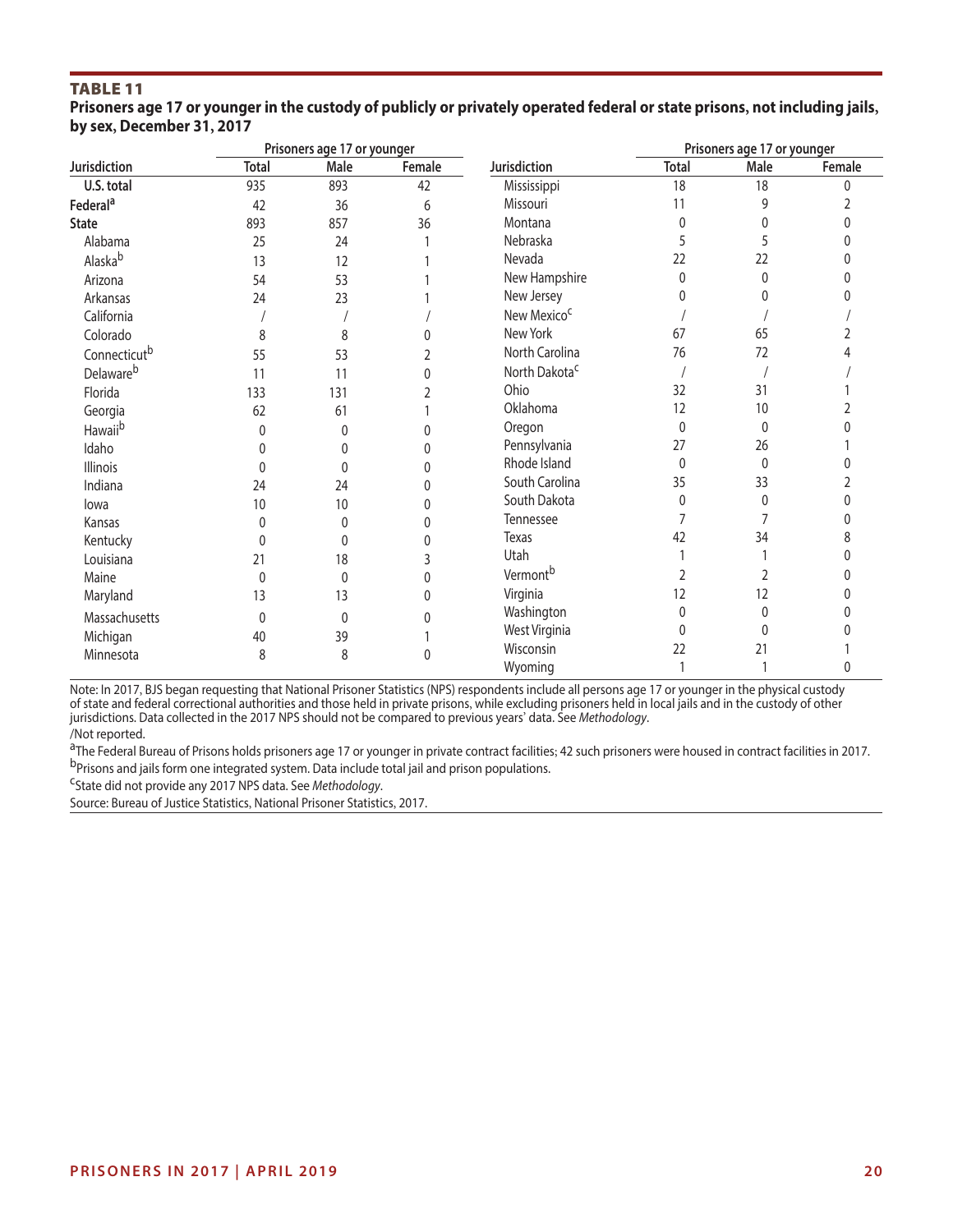|                           | Prisoners age 17 or younger in the custody of publicly or privately operated federal or state prisons, not including jails, |  |
|---------------------------|-----------------------------------------------------------------------------------------------------------------------------|--|
| by sex, December 31, 2017 |                                                                                                                             |  |

|                          |              | Prisoners age 17 or younger |        |                           | Prisoners age 17 or younger |              |        |  |
|--------------------------|--------------|-----------------------------|--------|---------------------------|-----------------------------|--------------|--------|--|
| Jurisdiction             | <b>Total</b> | Male                        | Female | Jurisdiction              | <b>Total</b>                | Male         | Female |  |
| U.S. total               | 935          | 893                         | 42     | Mississippi               | 18                          | 18           | 0      |  |
| Federal <sup>a</sup>     | 42           | 36                          | 6      | Missouri                  | 11                          | 9            |        |  |
| <b>State</b>             | 893          | 857                         | 36     | Montana                   | $\mathbf{0}$                | 0            |        |  |
| Alabama                  | 25           | 24                          |        | Nebraska                  | 5                           |              |        |  |
| Alaskab                  | 13           | 12                          |        | Nevada                    | 22                          | 22           |        |  |
| Arizona                  | 54           | 53                          |        | New Hampshire             | $\mathbf{0}$                | $\Omega$     | U      |  |
| Arkansas                 | 24           | 23                          |        | New Jersey                | 0                           | 0            |        |  |
| California               |              |                             |        | New Mexico <sup>c</sup>   |                             |              |        |  |
| Colorado                 | 8            | 8                           |        | New York                  | 67                          | 65           |        |  |
| Connecticut <sup>b</sup> | 55           | 53                          |        | North Carolina            | 76                          | 72           |        |  |
| Delawareb                | 11           | 11                          | 0      | North Dakota <sup>c</sup> |                             |              |        |  |
| Florida                  | 133          | 131                         | 2      | Ohio                      | 32                          | 31           |        |  |
| Georgia                  | 62           | 61                          |        | Oklahoma                  | 12                          | 10           |        |  |
| Hawaii <sup>b</sup>      |              | 0                           | N      | Oregon                    | $\mathbf 0$                 | $\Omega$     |        |  |
| Idaho                    | 0            | 0                           | 0      | Pennsylvania              | 27                          | 26           |        |  |
| Illinois                 | 0            | 0                           | 0      | Rhode Island              | $\mathbf 0$                 | $\Omega$     |        |  |
| Indiana                  | 24           | 24                          | 0      | South Carolina            | 35                          | 33           |        |  |
| lowa                     | 10           | 10                          | 0      | South Dakota              | $\mathbf{0}$                | $\Omega$     | 0      |  |
| Kansas                   | 0            | 0                           | 0      | Tennessee                 |                             |              |        |  |
| Kentucky                 | 0            | $\mathbf{0}$                |        | Texas                     | 42                          | 34           | 8      |  |
| Louisiana                | 21           | 18                          |        | Utah                      |                             |              |        |  |
| Maine                    | 0            | 0                           | 0      | Vermont <sup>b</sup>      | 2                           |              |        |  |
| Maryland                 | 13           | 13                          | 0      | Virginia                  | 12                          | 12           | 0      |  |
| Massachusetts            | 0            | 0                           |        | Washington                | 0                           | $\mathbf{0}$ |        |  |
| Michigan                 | 40           | 39                          |        | West Virginia             | 0                           | $\Omega$     |        |  |
| Minnesota                | 8            | 8                           | 0      | Wisconsin                 | 22                          | 21           |        |  |
|                          |              |                             |        | Wyoming                   | 1                           |              | 0      |  |

Note: In 2017, BJS began requesting that National Prisoner Statistics (NPS) respondents include all persons age 17 or younger in the physical custody of state and federal correctional authorities and those held in private prisons, while excluding prisoners held in local jails and in the custody of other jurisdictions. Data collected in the 2017 NPS should not be compared to previous years' data. See *Methodology*.

/Not reported.

<sup>a</sup>The Federal Bureau of Prisons holds prisoners age 17 or younger in private contract facilities; 42 such prisoners were housed in contract facilities in 2017.<br><sup>b</sup>Prisons and jails form one integrated system. Data includ

cState did not provide any 2017 NPS data. See *Methodology*.

Source: Bureau of Justice Statistics, National Prisoner Statistics, 2017.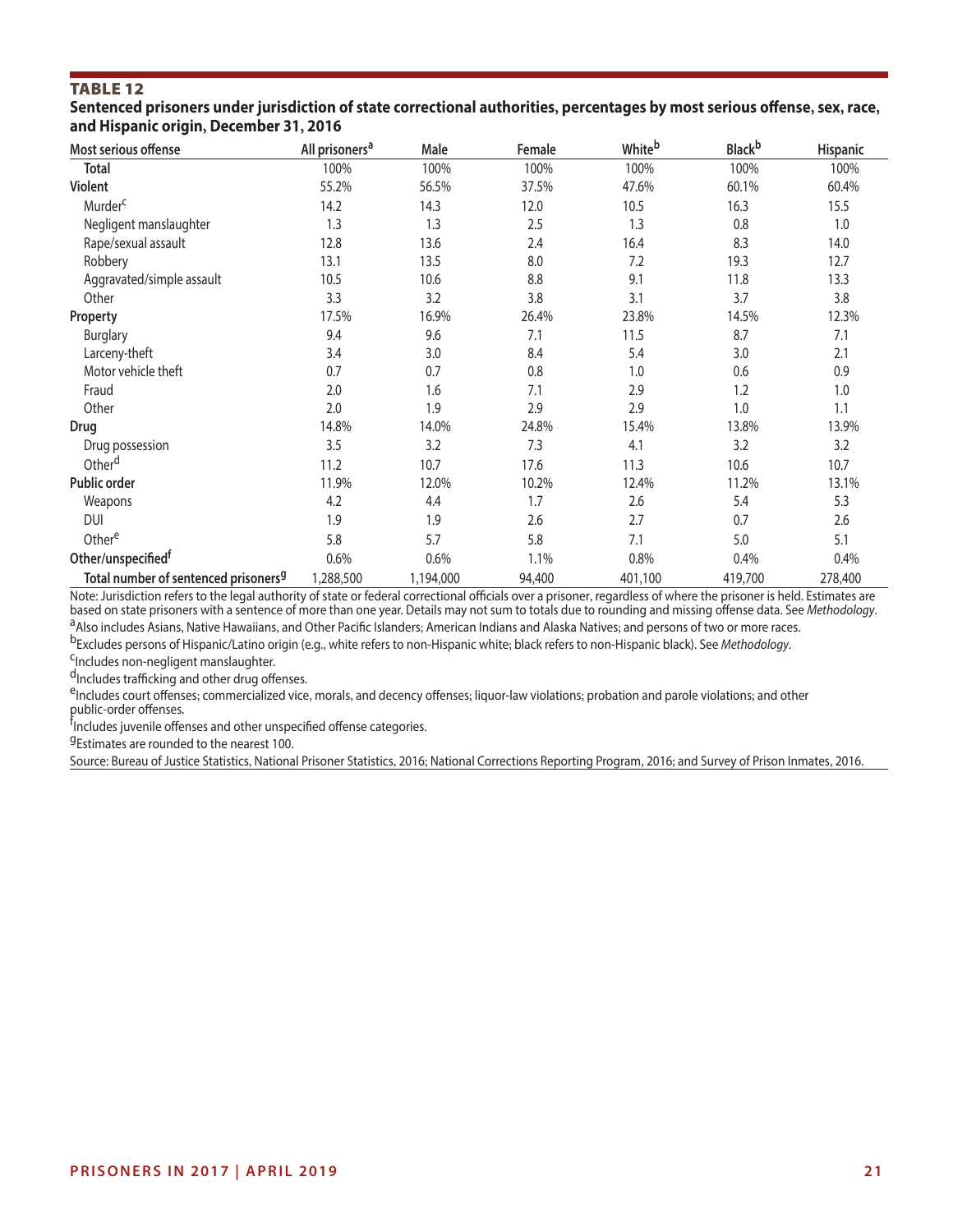**Sentenced prisoners under jurisdiction of state correctional authorities, percentages by most serious ofense, sex, race, and Hispanic origin, December 31, 2016** 

| Most serious offense                             | All prisoners <sup>a</sup> | Male      | Female | Whiteb  | <b>Black</b> b | Hispanic |
|--------------------------------------------------|----------------------------|-----------|--------|---------|----------------|----------|
| Total                                            | 100%                       | 100%      | 100%   | 100%    | 100%           | 100%     |
| Violent                                          | 55.2%                      | 56.5%     | 37.5%  | 47.6%   | 60.1%          | 60.4%    |
| Murder <sup>c</sup>                              | 14.2                       | 14.3      | 12.0   | 10.5    | 16.3           | 15.5     |
| Negligent manslaughter                           | 1.3                        | 1.3       | 2.5    | 1.3     | 0.8            | 1.0      |
| Rape/sexual assault                              | 12.8                       | 13.6      | 2.4    | 16.4    | 8.3            | 14.0     |
| Robbery                                          | 13.1                       | 13.5      | 8.0    | 7.2     | 19.3           | 12.7     |
| Aggravated/simple assault                        | 10.5                       | 10.6      | 8.8    | 9.1     | 11.8           | 13.3     |
| Other                                            | 3.3                        | 3.2       | 3.8    | 3.1     | 3.7            | 3.8      |
| Property                                         | 17.5%                      | 16.9%     | 26.4%  | 23.8%   | 14.5%          | 12.3%    |
| <b>Burglary</b>                                  | 9.4                        | 9.6       | 7.1    | 11.5    | 8.7            | 7.1      |
| Larceny-theft                                    | 3.4                        | 3.0       | 8.4    | 5.4     | 3.0            | 2.1      |
| Motor vehicle theft                              | 0.7                        | 0.7       | 0.8    | 1.0     | 0.6            | 0.9      |
| Fraud                                            | 2.0                        | 1.6       | 7.1    | 2.9     | 1.2            | 1.0      |
| Other                                            | 2.0                        | 1.9       | 2.9    | 2.9     | 1.0            | 1.1      |
| Drug                                             | 14.8%                      | 14.0%     | 24.8%  | 15.4%   | 13.8%          | 13.9%    |
| Drug possession                                  | 3.5                        | 3.2       | 7.3    | 4.1     | 3.2            | 3.2      |
| Other <sup>d</sup>                               | 11.2                       | 10.7      | 17.6   | 11.3    | 10.6           | 10.7     |
| Public order                                     | 11.9%                      | 12.0%     | 10.2%  | 12.4%   | 11.2%          | 13.1%    |
| Weapons                                          | 4.2                        | 4.4       | 1.7    | 2.6     | 5.4            | 5.3      |
| DUI                                              | 1.9                        | 1.9       | 2.6    | 2.7     | 0.7            | 2.6      |
| Othere                                           | 5.8                        | 5.7       | 5.8    | 7.1     | 5.0            | 5.1      |
| Other/unspecified <sup>t</sup>                   | 0.6%                       | 0.6%      | 1.1%   | 0.8%    | 0.4%           | 0.4%     |
| Total number of sentenced prisoners <sup>9</sup> | 1,288,500                  | 1,194,000 | 94,400 | 401,100 | 419,700        | 278,400  |

Note: Jurisdiction refers to the legal authority of state or federal correctional officials over a prisoner, regardless of where the prisoner is held. Estimates are<br>based on state prisoners with a sentence of more than one <sup>a</sup>Also includes Asians, Native Hawaiians, and Other Pacific Islanders; American Indians and Alaska Natives; and persons of two or more races.<br><sup>b</sup>Excludes persons of Hispanic/Latino origin (e.g., white refers to non-Hispan

d<sub>Includes</sub> trafficking and other drug offenses.

eIncludes court offenses; commercialized vice, morals, and decency offenses; liquor-law violations; probation and parole violations; and other public-order offenses.

f<br><sup>f</sup>Includes juvenile offenses and other unspecified offense categories.

<sup>g</sup>Estimates are rounded to the nearest 100.

Source: Bureau of Justice Statistics, National Prisoner Statistics, 2016; National Corrections Reporting Program, 2016; and Survey of Prison Inmates, 2016.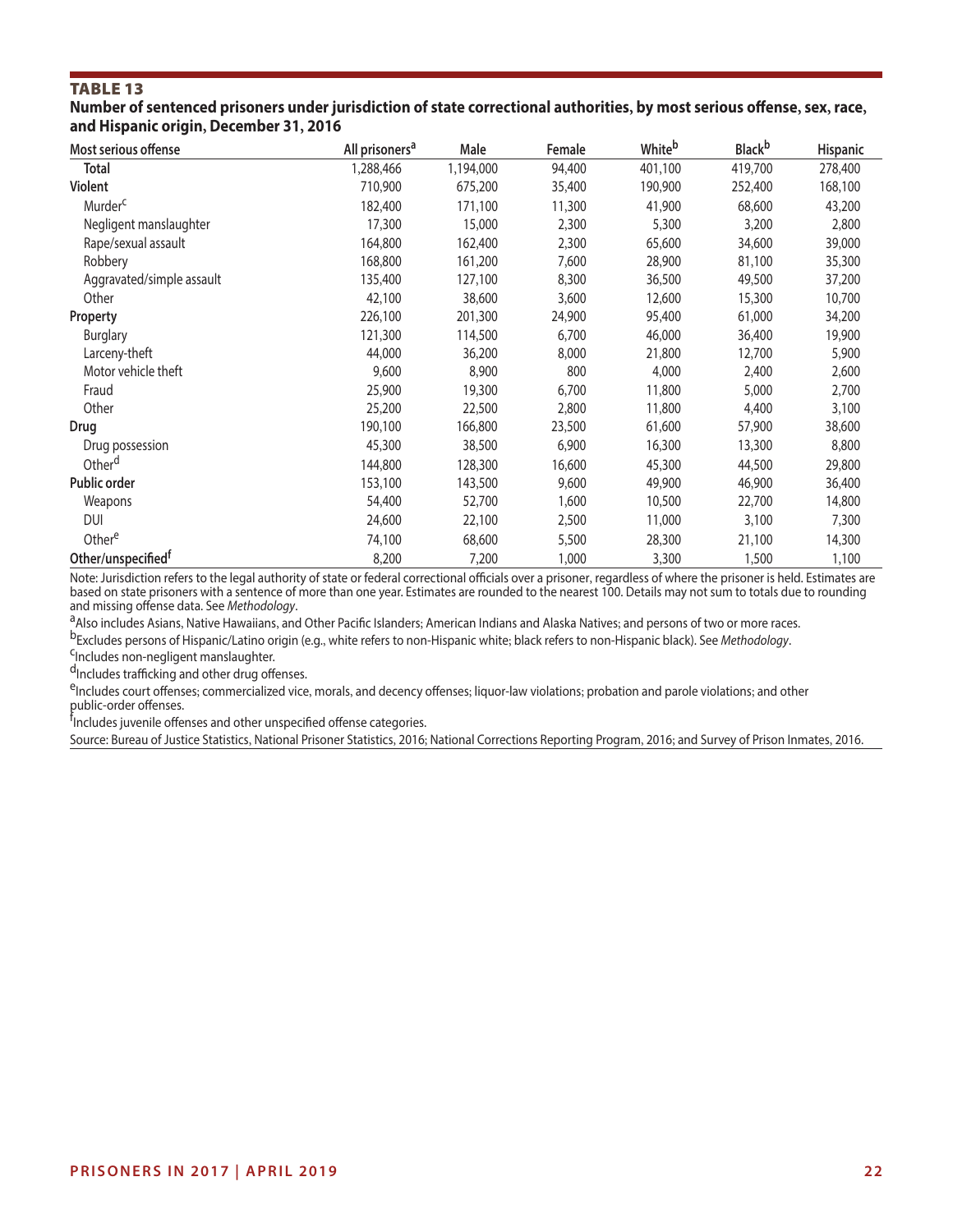**Number of sentenced prisoners under jurisdiction of state correctional authorities, by most serious ofense, sex, race, and Hispanic origin, December 31, 2016** 

| Most serious offense           | All prisoners <sup>a</sup> | Male      | Female | White <sup>b</sup> | <b>Black</b> b | Hispanic |
|--------------------------------|----------------------------|-----------|--------|--------------------|----------------|----------|
| <b>Total</b>                   | 1,288,466                  | 1,194,000 | 94,400 | 401,100            | 419,700        | 278,400  |
| <b>Violent</b>                 | 710,900                    | 675,200   | 35,400 | 190,900            | 252,400        | 168,100  |
| Murder <sup>c</sup>            | 182,400                    | 171,100   | 11,300 | 41,900             | 68,600         | 43,200   |
| Negligent manslaughter         | 17,300                     | 15,000    | 2,300  | 5,300              | 3,200          | 2,800    |
| Rape/sexual assault            | 164,800                    | 162,400   | 2,300  | 65,600             | 34,600         | 39,000   |
| Robbery                        | 168,800                    | 161,200   | 7,600  | 28,900             | 81,100         | 35,300   |
| Aggravated/simple assault      | 135,400                    | 127,100   | 8,300  | 36,500             | 49,500         | 37,200   |
| Other                          | 42,100                     | 38,600    | 3,600  | 12,600             | 15,300         | 10,700   |
| Property                       | 226,100                    | 201,300   | 24,900 | 95,400             | 61,000         | 34,200   |
| <b>Burglary</b>                | 121,300                    | 114,500   | 6,700  | 46,000             | 36,400         | 19,900   |
| Larceny-theft                  | 44,000                     | 36,200    | 8,000  | 21,800             | 12,700         | 5,900    |
| Motor vehicle theft            | 9,600                      | 8,900     | 800    | 4,000              | 2,400          | 2,600    |
| Fraud                          | 25,900                     | 19,300    | 6,700  | 11,800             | 5,000          | 2,700    |
| Other                          | 25,200                     | 22,500    | 2,800  | 11,800             | 4,400          | 3,100    |
| Drug                           | 190,100                    | 166,800   | 23,500 | 61,600             | 57,900         | 38,600   |
| Drug possession                | 45,300                     | 38,500    | 6,900  | 16,300             | 13,300         | 8,800    |
| Other <sup>d</sup>             | 144,800                    | 128,300   | 16,600 | 45,300             | 44,500         | 29,800   |
| Public order                   | 153,100                    | 143,500   | 9,600  | 49,900             | 46,900         | 36,400   |
| Weapons                        | 54,400                     | 52,700    | 1,600  | 10,500             | 22,700         | 14,800   |
| <b>DUI</b>                     | 24,600                     | 22,100    | 2,500  | 11,000             | 3,100          | 7,300    |
| Othere                         | 74,100                     | 68,600    | 5,500  | 28,300             | 21,100         | 14,300   |
| Other/unspecified <sup>t</sup> | 8,200                      | 7,200     | 1,000  | 3,300              | 1,500          | 1,100    |

Note: Jurisdiction refers to the legal authority of state or federal correctional officials over a prisoner, regardless of where the prisoner is held. Estimates are based on state prisoners with a sentence of more than one year. Estimates are rounded to the nearest 100. Details may not sum to totals due to rounding<br>and missing offense data. See *Methodology*.

<sup>a</sup>Also includes Asians, Native Hawaiians, and Other Pacific Islanders; American Indians and Alaska Natives; and persons of two or more races.<br><sup>b</sup>Excludes persons of Hispanic/Latino origin (e.g., white refers to non-Hispan

 $d$ Includes trafficking and other drug offenses.

eIncludes court offenses; commercialized vice, morals, and decency offenses; liquor-law violations; probation and parole violations; and other

public-order offenses.<br><sup>f</sup>includes juvenile offenses and other unspecified offense categories.

Source: Bureau of Justice Statistics, National Prisoner Statistics, 2016; National Corrections Reporting Program, 2016; and Survey of Prison Inmates, 2016.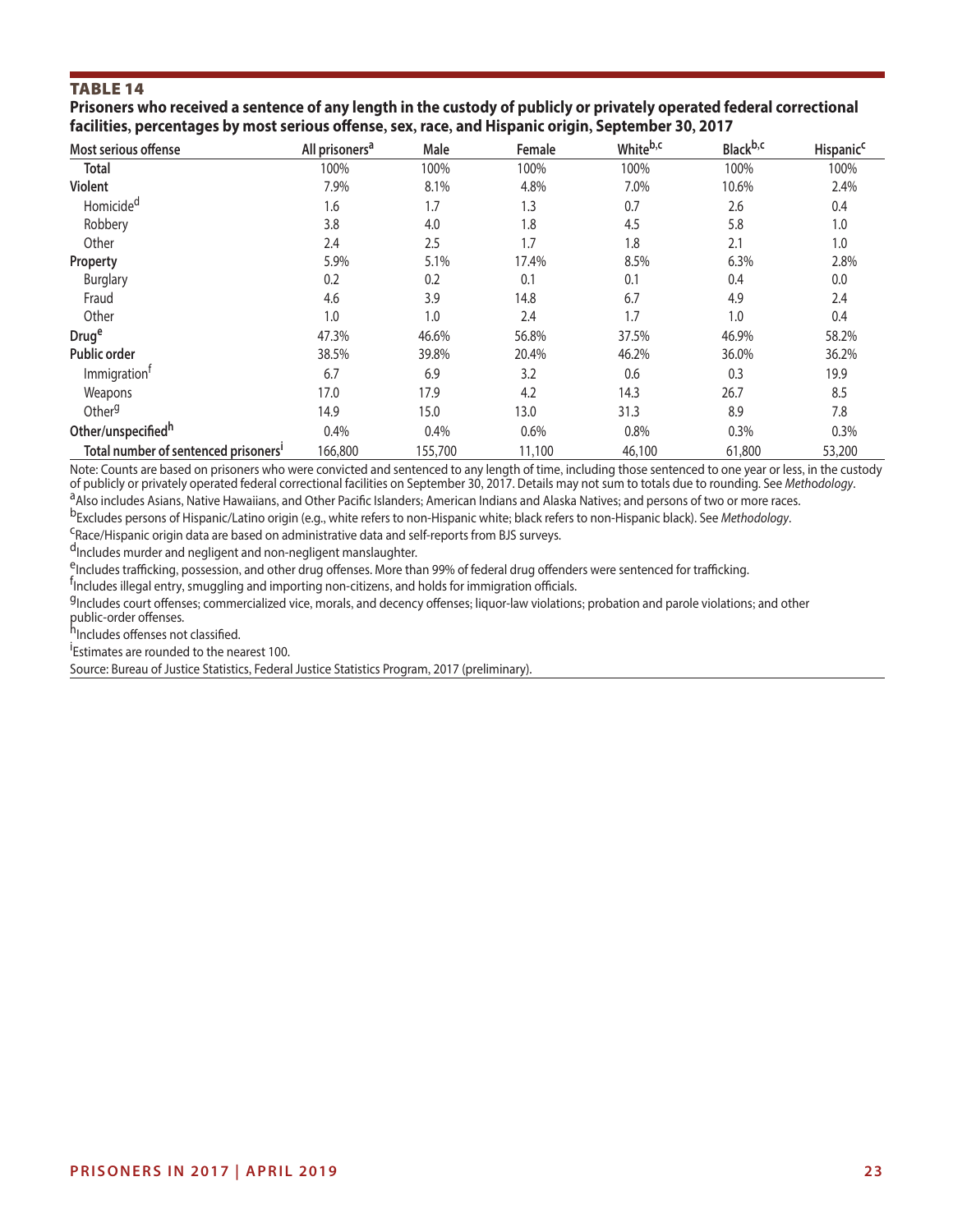**Prisoners who received a sentence of any length in the custody of publicly or privately operated federal correctional facilities, percentages by most serious ofense, sex, race, and Hispanic origin, September 30, 2017** 

| Most serious offense                             | All prisoners <sup>a</sup> | Male    | Female | White <sup>b,c</sup> | Black <sup>b,c</sup> | <b>Hispanic<sup>c</sup></b> |
|--------------------------------------------------|----------------------------|---------|--------|----------------------|----------------------|-----------------------------|
| <b>Total</b>                                     | 100%                       | 100%    | 100%   | 100%                 | 100%                 | 100%                        |
| Violent                                          | 7.9%                       | 8.1%    | 4.8%   | 7.0%                 | 10.6%                | 2.4%                        |
| Homicide <sup>d</sup>                            | 1.6                        | 1.7     | 1.3    | 0.7                  | 2.6                  | 0.4                         |
| Robbery                                          | 3.8                        | 4.0     | 1.8    | 4.5                  | 5.8                  | 1.0                         |
| Other                                            | 2.4                        | 2.5     | 1.7    | 1.8                  | 2.1                  | 1.0                         |
| Property                                         | 5.9%                       | 5.1%    | 17.4%  | 8.5%                 | 6.3%                 | 2.8%                        |
| <b>Burglary</b>                                  | 0.2                        | 0.2     | 0.1    | 0.1                  | 0.4                  | 0.0                         |
| Fraud                                            | 4.6                        | 3.9     | 14.8   | 6.7                  | 4.9                  | 2.4                         |
| Other                                            | 1.0                        | 1.0     | 2.4    | 1.7                  | 1.0                  | 0.4                         |
| Druge                                            | 47.3%                      | 46.6%   | 56.8%  | 37.5%                | 46.9%                | 58.2%                       |
| <b>Public order</b>                              | 38.5%                      | 39.8%   | 20.4%  | 46.2%                | 36.0%                | 36.2%                       |
| Immigration <sup>†</sup>                         | 6.7                        | 6.9     | 3.2    | 0.6                  | 0.3                  | 19.9                        |
| Weapons                                          | 17.0                       | 17.9    | 4.2    | 14.3                 | 26.7                 | 8.5                         |
| Other <sup>g</sup>                               | 14.9                       | 15.0    | 13.0   | 31.3                 | 8.9                  | 7.8                         |
| Other/unspecifiedh                               | 0.4%                       | 0.4%    | 0.6%   | 0.8%                 | 0.3%                 | 0.3%                        |
| Total number of sentenced prisoners <sup>1</sup> | 166,800                    | 155,700 | 11,100 | 46,100               | 61,800               | 53,200                      |

Note: Counts are based on prisoners who were convicted and sentenced to any length of time, including those sentenced to one year or less, in the custody<br>of publicly or privately operated federal correctional facilities on <sup>a</sup> Also includes Asians, Native Hawaiians, and Other Pacific Islanders; American Indians and Alaska Natives; and persons of two or more races.<br><sup>b</sup>Excludes persons of Hispanic/Latino origin (e.g., white refers to non-Hispa

d<sub>Includes</sub> murder and negligent and non-negligent manslaughter.

eIncludes trafficking, possession, and other drug offenses. More than 99% of federal drug offenders were sentenced for trafficking.

 $\frac{f_{\text{I}}}{f_{\text{II}}}$  illegal entry, smuggling and importing non-citizens, and holds for immigration officials.

<sup>g</sup>Includes court offenses; commercialized vice, morals, and decency offenses; liquor-law violations; probation and parole violations; and other public-order offenses.<br><sup>h</sup>Includes offenses not classified.

**Estimates are rounded to the nearest 100.** 

Source: Bureau of Justice Statistics, Federal Justice Statistics Program, 2017 (preliminary).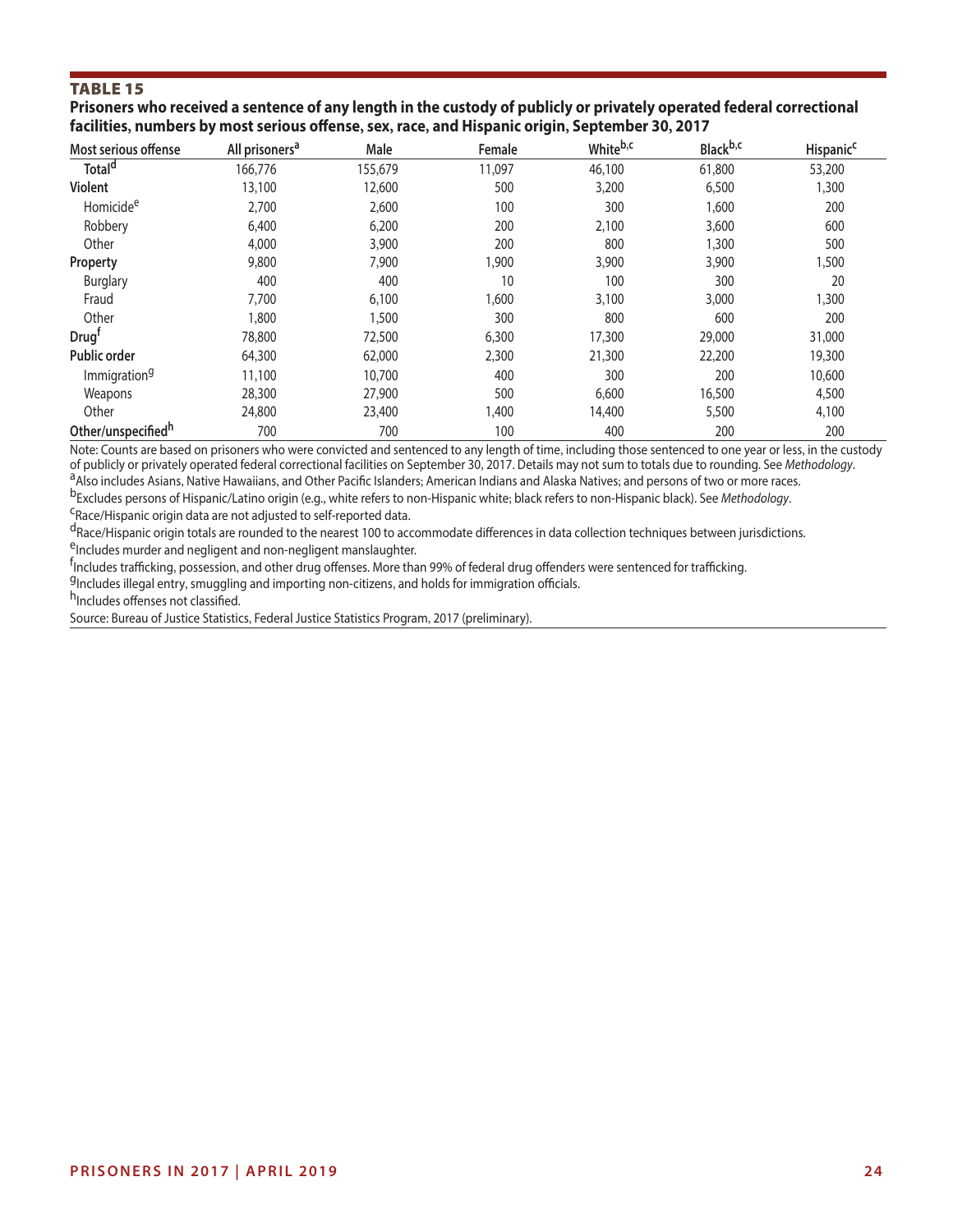#### **Prisoners who received a sentence of any length in the custody of publicly or privately operated federal correctional facilities, numbers by most serious ofense, sex, race, and Hispanic origin, September 30, 2017**

| Most serious offense     | All prisoners <sup>a</sup> | Male    | Female | Whiteb,c | Black <sup>b,c</sup> | Hispanic <sup>c</sup> |
|--------------------------|----------------------------|---------|--------|----------|----------------------|-----------------------|
| Total <sup>d</sup>       | 166,776                    | 155,679 | 11,097 | 46,100   | 61,800               | 53,200                |
| <b>Violent</b>           | 13,100                     | 12,600  | 500    | 3,200    | 6,500                | 1,300                 |
| Homicide <sup>e</sup>    | 2,700                      | 2,600   | 100    | 300      | 1,600                | 200                   |
| Robbery                  | 6,400                      | 6,200   | 200    | 2,100    | 3,600                | 600                   |
| Other                    | 4,000                      | 3,900   | 200    | 800      | 1,300                | 500                   |
| Property                 | 9,800                      | 7,900   | 1,900  | 3,900    | 3,900                | 1,500                 |
| <b>Burglary</b>          | 400                        | 400     | 10     | 100      | 300                  | 20                    |
| Fraud                    | 7,700                      | 6,100   | 1,600  | 3,100    | 3,000                | 1,300                 |
| Other                    | 1,800                      | 1,500   | 300    | 800      | 600                  | 200                   |
| Drug                     | 78,800                     | 72,500  | 6,300  | 17,300   | 29,000               | 31,000                |
| <b>Public order</b>      | 64,300                     | 62,000  | 2,300  | 21,300   | 22,200               | 19,300                |
| Immigration <sup>9</sup> | 11,100                     | 10,700  | 400    | 300      | 200                  | 10,600                |
| Weapons                  | 28,300                     | 27,900  | 500    | 6,600    | 16,500               | 4,500                 |
| Other                    | 24,800                     | 23,400  | 1,400  | 14,400   | 5,500                | 4,100                 |
| Other/unspecifiedh       | 700                        | 700     | 100    | 400      | 200                  | 200                   |

Note: Counts are based on prisoners who were convicted and sentenced to any length of time, including those sentenced to one year or less, in the custody<br>of publicly or privately operated federal correctional facilities on

<sup>a</sup> Also includes Asians, Native Hawaiians, and Other Pacific Islanders; American Indians and Alaska Natives; and persons of two or more races.<br><sup>b</sup>Excludes persons of Hispanic/Latino origin (e.g., white refers to non-Hispa

dRace/Hispanic origin totals are rounded to the nearest 100 to accommodate differences in data collection techniques between jurisdictions. eIncludes murder and negligent and non-negligent manslaughter.

fincludes trafficking, possession, and other drug offenses. More than 99% of federal drug offenders were sentenced for trafficking.

 $\frac{q_{\text{Includes}}}{q_{\text{Includes}}}$  entry, smuggling and importing non-citizens, and holds for immigration officials.<br>h<sub>Includes</sub> offenses not classified.

Source: Bureau of Justice Statistics, Federal Justice Statistics Program, 2017 (preliminary).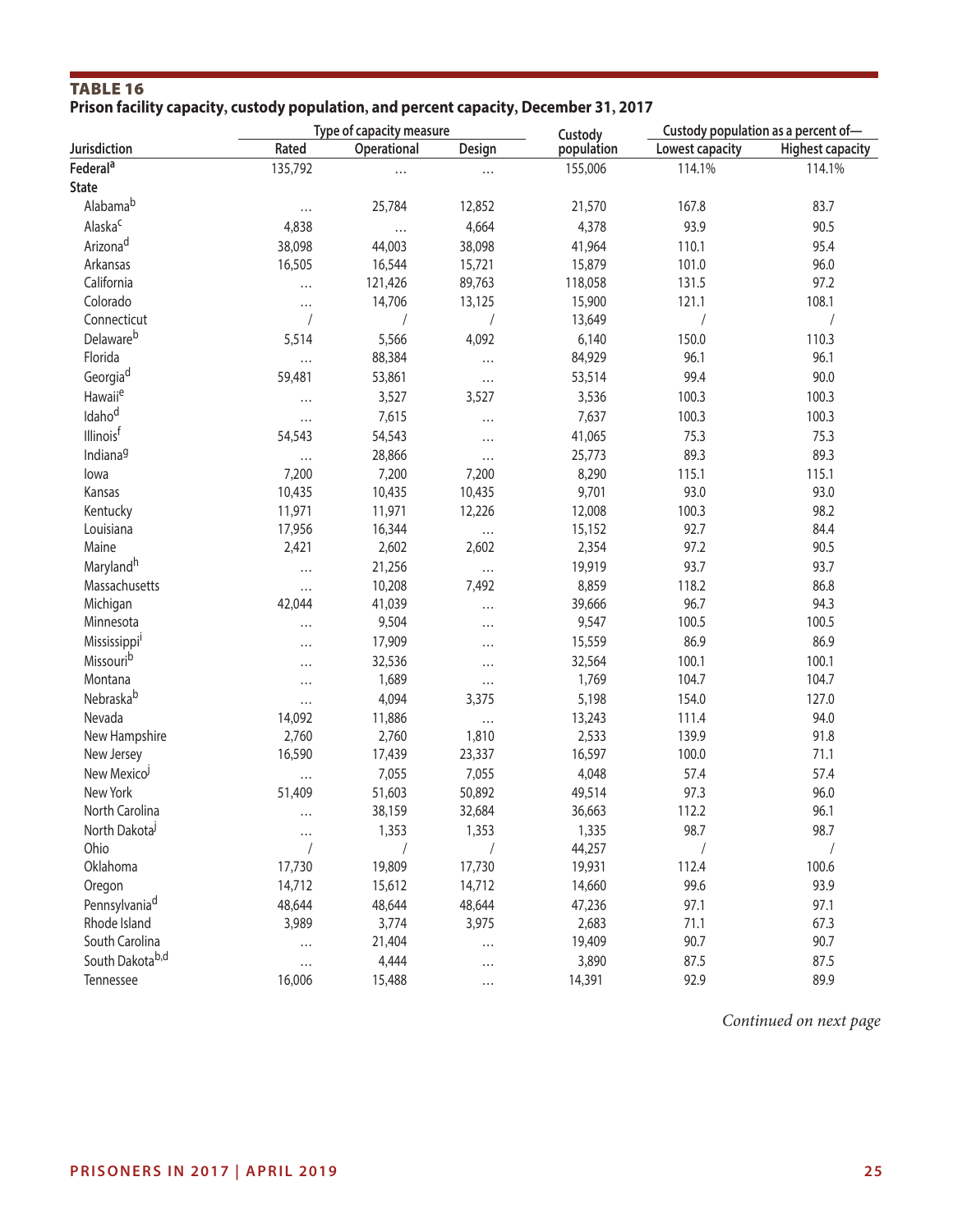# TABLE 16 **Prison facility capacity, custody population, and percent capacity, December 31, 2017**

|                       |                    | Type of capacity measure |                   | Custody         | Custody population as a percent of- |                         |  |
|-----------------------|--------------------|--------------------------|-------------------|-----------------|-------------------------------------|-------------------------|--|
| Jurisdiction          | Rated              | Operational              | Design            | population      | Lowest capacity                     | <b>Highest capacity</b> |  |
| Federal <sup>a</sup>  | 135,792            | $\cdots$                 | $\cdots$          | 155,006         | 114.1%                              | 114.1%                  |  |
| <b>State</b>          |                    |                          |                   |                 |                                     |                         |  |
| Alabama <sup>b</sup>  | $\cdots$           | 25,784                   | 12,852            | 21,570          | 167.8                               | 83.7                    |  |
| Alaska <sup>c</sup>   | 4,838              | $\cdots$                 | 4,664             | 4,378           | 93.9                                | 90.5                    |  |
| Arizona <sup>d</sup>  | 38,098             | 44,003                   | 38,098            | 41,964          | 110.1                               | 95.4                    |  |
| Arkansas              | 16,505             | 16,544                   | 15,721            | 15,879          | 101.0                               | 96.0                    |  |
| California            | $\cdots$           | 121,426                  | 89,763            | 118,058         | 131.5                               | 97.2                    |  |
| Colorado              | $\cdots$           | 14,706                   | 13,125            | 15,900          | 121.1                               | 108.1                   |  |
| Connecticut           | $\prime$           |                          |                   | 13,649          |                                     |                         |  |
| Delaware <sup>b</sup> | 5,514              | 5,566                    | 4,092             | 6,140           | 150.0                               | 110.3                   |  |
| Florida               |                    | 88,384                   |                   | 84,929          | 96.1                                | 96.1                    |  |
| Georgia <sup>d</sup>  | 59,481             | 53,861                   | $\cdots$          | 53,514          | 99.4                                | 90.0                    |  |
| Hawaii <sup>e</sup>   | $\cdots$           | 3,527                    | 3,527             | 3,536           | 100.3                               | 100.3                   |  |
| Idaho <sup>d</sup>    |                    | 7,615                    | $\cdots$          | 7,637           | 100.3                               | 100.3                   |  |
| Illinoisf             | $\cdots$<br>54,543 | 54,543                   |                   | 41,065          | 75.3                                | 75.3                    |  |
| Indiana <sup>9</sup>  |                    | 28,866                   | $\cdots$          | 25,773          | 89.3                                | 89.3                    |  |
| lowa                  | $\cdots$<br>7,200  | 7,200                    | $\cdots$<br>7,200 | 8,290           | 115.1                               | 115.1                   |  |
| Kansas                | 10,435             | 10,435                   | 10,435            | 9,701           | 93.0                                | 93.0                    |  |
| Kentucky              | 11,971             | 11,971                   | 12,226            | 12,008          | 100.3                               | 98.2                    |  |
| Louisiana             | 17,956             |                          |                   |                 | 92.7                                | 84.4                    |  |
| Maine                 | 2,421              | 16,344<br>2,602          | $\cdots$<br>2,602 | 15,152<br>2,354 | 97.2                                | 90.5                    |  |
|                       |                    |                          |                   |                 |                                     |                         |  |
| Maryland <sup>h</sup> | $\cdots$           | 21,256                   | $\cdots$          | 19,919          | 93.7                                | 93.7                    |  |
| Massachusetts         | $\cdots$           | 10,208                   | 7,492             | 8,859           | 118.2                               | 86.8                    |  |
| Michigan              | 42,044             | 41,039                   | $\cdots$          | 39,666          | 96.7                                | 94.3                    |  |
| Minnesota             | $\cdots$           | 9,504                    | $\cdots$          | 9,547           | 100.5                               | 100.5                   |  |
| Mississippi           | $\cdots$           | 17,909                   | $\cdots$          | 15,559          | 86.9                                | 86.9                    |  |
| Missourib             | $\cdots$           | 32,536                   | $\cdots$          | 32,564          | 100.1                               | 100.1                   |  |
| Montana               | $\cdots$           | 1,689                    | $\cdots$          | 1,769           | 104.7                               | 104.7                   |  |
| Nebraska <sup>b</sup> | $\cdots$           | 4,094                    | 3,375             | 5,198           | 154.0                               | 127.0                   |  |
| Nevada                | 14,092             | 11,886                   | $\cdots$          | 13,243          | 111.4                               | 94.0                    |  |
| New Hampshire         | 2,760              | 2,760                    | 1,810             | 2,533           | 139.9                               | 91.8                    |  |
| New Jersey            | 16,590             | 17,439                   | 23,337            | 16,597          | 100.0                               | 71.1                    |  |
| New Mexicol           | $\cdots$           | 7,055                    | 7,055             | 4,048           | 57.4                                | 57.4                    |  |
| New York              | 51,409             | 51,603                   | 50,892            | 49,514          | 97.3                                | 96.0                    |  |
| North Carolina        | $\cdots$           | 38,159                   | 32,684            | 36,663          | 112.2                               | 96.1                    |  |
| North Dakota          | $\cdots$           | 1,353                    | 1,353             | 1,335           | 98.7                                | 98.7                    |  |
| Ohio                  |                    |                          |                   | 44,257          |                                     |                         |  |
| Oklahoma              | 17,730             | 19,809                   | 17,730            | 19,931          | 112.4                               | 100.6                   |  |
| Oregon                | 14,712             | 15,612                   | 14,712            | 14,660          | 99.6                                | 93.9                    |  |
| Pennsylvaniad         | 48,644             | 48,644                   | 48,644            | 47,236          | 97.1                                | 97.1                    |  |
| Rhode Island          | 3,989              | 3,774                    | 3,975             | 2,683           | 71.1                                | 67.3                    |  |
| South Carolina        | $\cdots$           | 21,404                   | $\cdots$          | 19,409          | 90.7                                | 90.7                    |  |
| South Dakotab,d       | $\cdots$           | 4,444                    | $\cdots$          | 3,890           | 87.5                                | 87.5                    |  |
| Tennessee             | 16,006             | 15,488                   | $\cdots$          | 14,391          | 92.9                                | 89.9                    |  |

*Continued on next page*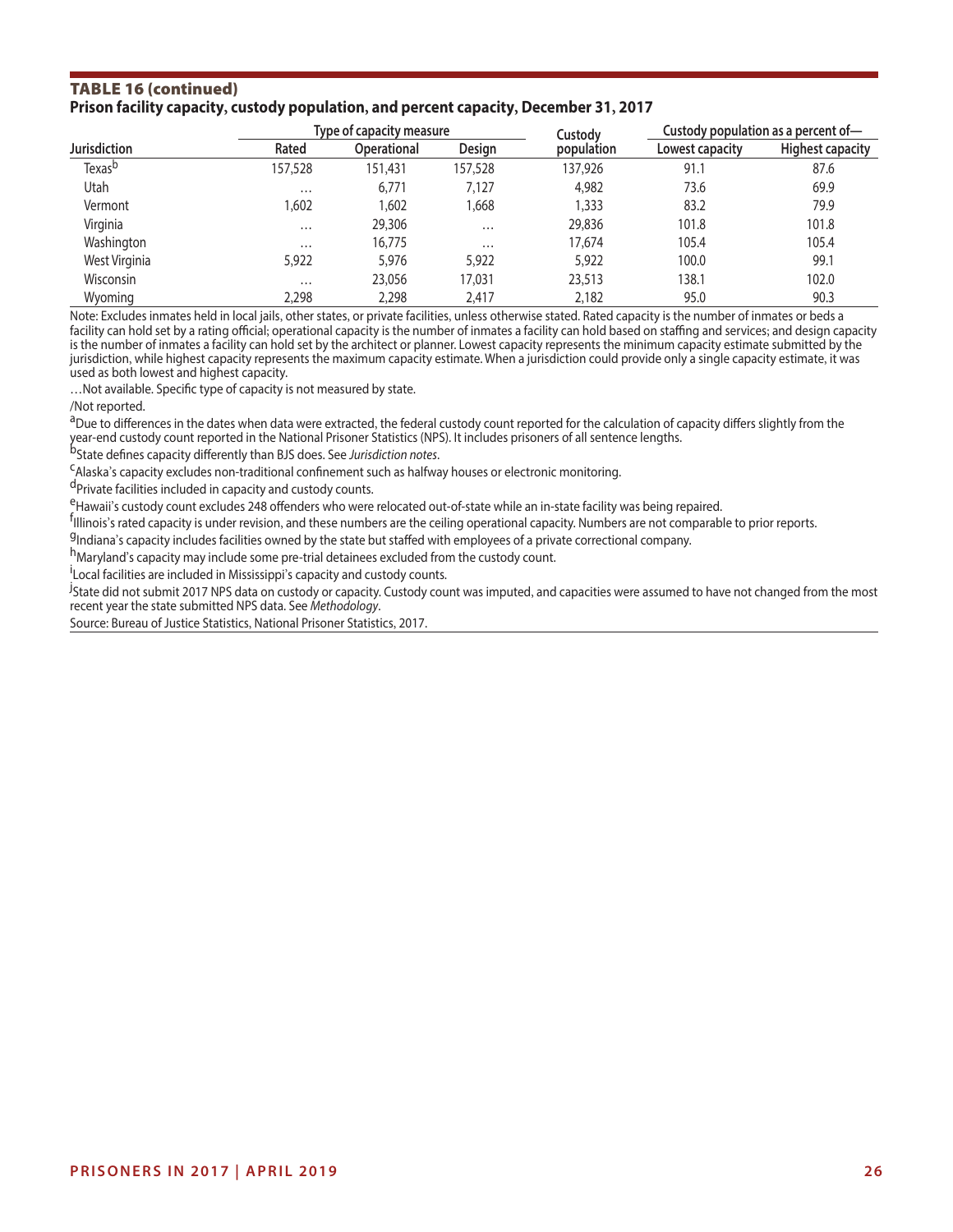#### TABLE 16 (continued) **Prison facility capacity, custody population, and percent capacity, December 31, 2017**

|                     |          | Type of capacity measure |          | Custody    | Custody population as a percent of- |                         |  |
|---------------------|----------|--------------------------|----------|------------|-------------------------------------|-------------------------|--|
| <b>Jurisdiction</b> | Rated    | <b>Operational</b>       | Design   | population | Lowest capacity                     | <b>Highest capacity</b> |  |
| Texas <sup>b</sup>  | 157,528  | 151.431                  | 157.528  | 137.926    | 91.1                                | 87.6                    |  |
| Utah                | $\cdots$ | 6,771                    | 7,127    | 4,982      | 73.6                                | 69.9                    |  |
| Vermont             | .602     | 1.602                    | 1.668    | 1,333      | 83.2                                | 79.9                    |  |
| Virginia            | $\cdots$ | 29,306                   | $\cdots$ | 29,836     | 101.8                               | 101.8                   |  |
| Washington          | $\cdots$ | 16,775                   | $\cdots$ | 17,674     | 105.4                               | 105.4                   |  |
| West Virginia       | 5,922    | 5,976                    | 5,922    | 5,922      | 100.0                               | 99.1                    |  |
| Wisconsin           | $\cdots$ | 23,056                   | 17.031   | 23,513     | 138.1                               | 102.0                   |  |
| Wyoming             | 2,298    | 2,298                    | 2,417    | 2,182      | 95.0                                | 90.3                    |  |

Note: Excludes inmates held in local jails, other states, or private facilities, unless otherwise stated. Rated capacity is the number of inmates or beds a facility can hold set by a rating official; operational capacity is the number of inmates a facility can hold based on staffing and services; and design capacity is the number of inmates a facility can hold set by the architect or planner. Lowest capacity represents the minimum capacity estimate submitted by the jurisdiction, while highest capacity represents the maximum capacity estimate. When a jurisdiction could provide only a single capacity estimate, it was used as both lowest and highest capacity.

…Not available. Specifc type of capacity is not measured by state.

/Not reported.

<sup>a</sup>Due to differences in the dates when data were extracted, the federal custody count reported for the calculation of capacity differs slightly from the year-end custody count reported in the National Prisoner Statistics (NPS). It includes prisoners of all sentence lengths.<br><sup>b</sup>State defines capacity differently than BJS does. See *Jurisdiction notes*.

<sup>C</sup>Alaska's capacity excludes non-traditional confinement such as halfway houses or electronic monitoring.<br><sup>d</sup>Private facilities included in capacity and custody counts.

eHawaii's custody count excludes 248 offenders who were relocated out-of-state while an in-state facility was being repaired.

<sup>f</sup>illinois's rated capacity is under revision, and these numbers are the ceiling operational capacity. Numbers are not comparable to prior reports.

<sup>g</sup>Indiana's capacity includes facilities owned by the state but staffed with employees of a private correctional company.<br>h<sub>Maryland's capacity may include some pre-trial detainees excluded from the custody count.</sub>

Local facilities are included in Mississippi's capacity and custody counts.

<sup>j</sup>State did not submit 2017 NPS data on custody or capacity. Custody count was imputed, and capacities were assumed to have not changed from the most recent year the state submitted NPS data. See *Methodology*.

Source: Bureau of Justice Statistics, National Prisoner Statistics, 2017.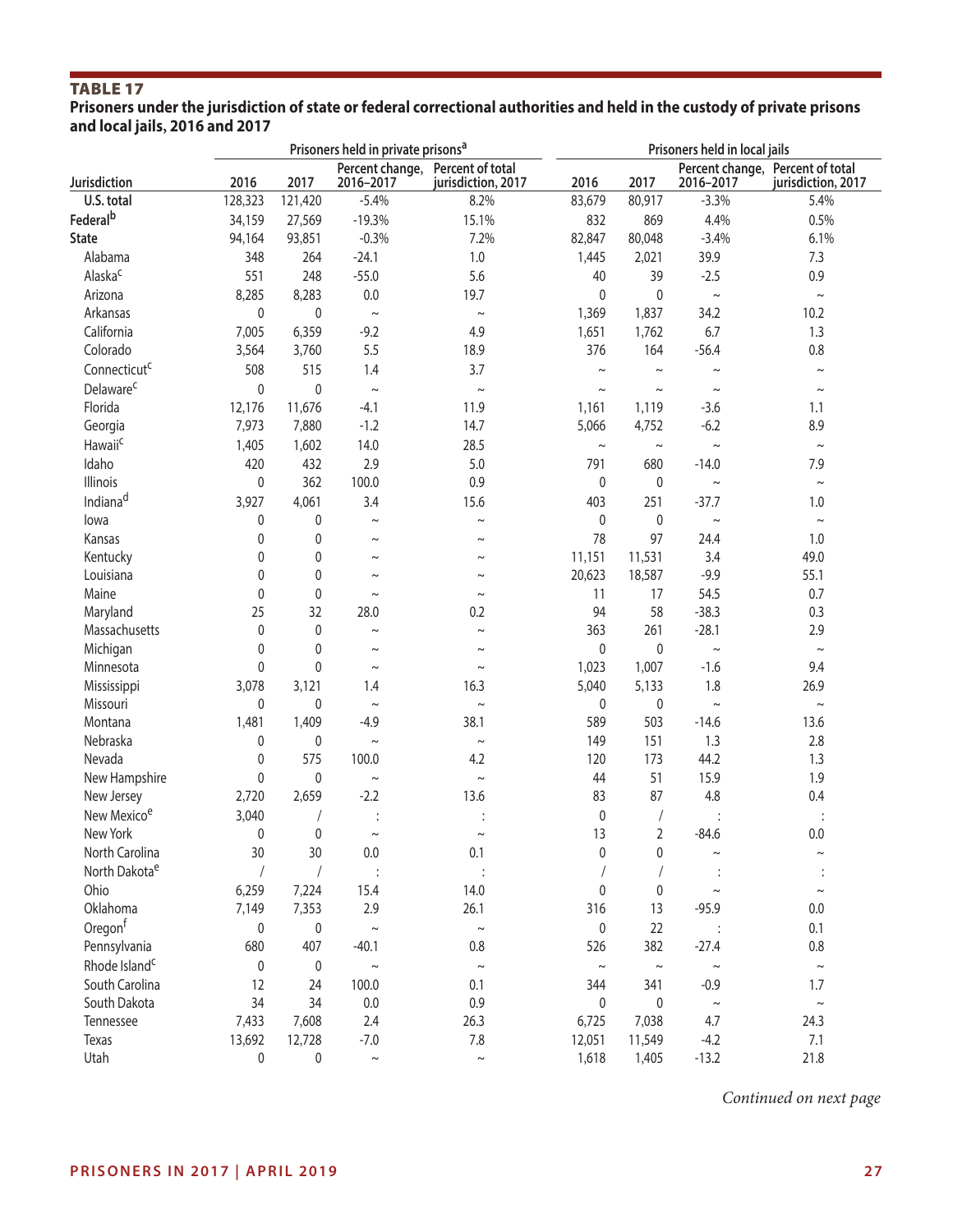#### **Prisoners under the jurisdiction of state or federal correctional authorities and held in the custody of private prisons and local jails, 2016 and 2017**

|                           |              |              | Prisoners held in private prisons <sup>a</sup> |                                        |             | Prisoners held in local jails |             |                                                        |  |  |
|---------------------------|--------------|--------------|------------------------------------------------|----------------------------------------|-------------|-------------------------------|-------------|--------------------------------------------------------|--|--|
| Jurisdiction              | 2016         | 2017         | Percent change,<br>2016-2017                   | Percent of total<br>jurisdiction, 2017 | 2016        | 2017                          | 2016-2017   | Percent change, Percent of total<br>jurisdiction, 2017 |  |  |
| U.S. total                | 128,323      | 121,420      | $-5.4%$                                        | 8.2%                                   | 83,679      | 80,917                        | $-3.3%$     | 5.4%                                                   |  |  |
| Federal <sup>b</sup>      | 34,159       | 27,569       | $-19.3%$                                       | 15.1%                                  | 832         | 869                           | 4.4%        | 0.5%                                                   |  |  |
| <b>State</b>              | 94,164       | 93,851       | $-0.3%$                                        | 7.2%                                   | 82,847      | 80,048                        | $-3.4%$     | 6.1%                                                   |  |  |
| Alabama                   | 348          | 264          | $-24.1$                                        | 1.0                                    | 1,445       | 2,021                         | 39.9        | 7.3                                                    |  |  |
| Alaska <sup>c</sup>       | 551          | 248          | $-55.0$                                        | 5.6                                    | 40          | 39                            | $-2.5$      | 0.9                                                    |  |  |
| Arizona                   | 8,285        | 8,283        | 0.0                                            | 19.7                                   | 0           | 0                             | $\sim$      | $\sim$                                                 |  |  |
| Arkansas                  | 0            | $\mathbf 0$  | $\thicksim$                                    | $\sim$                                 | 1,369       | 1,837                         | 34.2        | 10.2                                                   |  |  |
| California                | 7,005        | 6,359        | $-9.2$                                         | 4.9                                    | 1,651       | 1,762                         | 6.7         | 1.3                                                    |  |  |
| Colorado                  | 3,564        | 3,760        | 5.5                                            | 18.9                                   | 376         | 164                           | $-56.4$     | 0.8                                                    |  |  |
| Connecticut <sup>c</sup>  | 508          | 515          | 1.4                                            | 3.7                                    | $\sim$      | $\thicksim$                   | $\thicksim$ | $\thicksim$                                            |  |  |
| Delaware <sup>c</sup>     | $\pmb{0}$    | $\pmb{0}$    | $\thicksim$                                    | $\thicksim$                            | $\thicksim$ | $\thicksim$                   | $\thicksim$ | $\thicksim$                                            |  |  |
| Florida                   | 12,176       | 11,676       | $-4.1$                                         | 11.9                                   | 1,161       | 1,119                         | $-3.6$      | 1.1                                                    |  |  |
| Georgia                   | 7,973        | 7,880        | $-1.2$                                         | 14.7                                   | 5,066       | 4,752                         | $-6.2$      | 8.9                                                    |  |  |
| Hawaii <sup>c</sup>       | 1,405        | 1,602        | 14.0                                           | 28.5                                   | $\thicksim$ | $\thicksim$                   | $\thicksim$ | $\thicksim$                                            |  |  |
| Idaho                     | 420          | 432          | 2.9                                            | $5.0$                                  | 791         | 680                           | $-14.0$     | 7.9                                                    |  |  |
| Illinois                  | 0            | 362          | 100.0                                          | 0.9                                    | 0           | 0                             | $\thicksim$ | $\sim$                                                 |  |  |
| Indiana <sup>d</sup>      | 3,927        | 4,061        | 3.4                                            | 15.6                                   | 403         | 251                           | $-37.7$     | 1.0                                                    |  |  |
| lowa                      | 0            | 0            | $\sim$                                         | $\sim$                                 | 0           | $\pmb{0}$                     | $\thicksim$ | $\thicksim$                                            |  |  |
| Kansas                    | 0            | 0            | $\sim$                                         | $\sim$                                 | 78          | 97                            | 24.4        | 1.0                                                    |  |  |
| Kentucky                  | 0            | $\mathbf 0$  | $\sim$                                         | $\sim$                                 | 11,151      | 11,531                        | 3.4         | 49.0                                                   |  |  |
| Louisiana                 | 0            | $\mathbf 0$  | $\sim$                                         | $\sim$                                 | 20,623      | 18,587                        | $-9.9$      | 55.1                                                   |  |  |
| Maine                     | $\mathbf{0}$ | $\mathbf 0$  | $\thicksim$                                    | $\sim$                                 | 11          | 17                            | 54.5        | 0.7                                                    |  |  |
| Maryland                  | 25           | 32           | 28.0                                           | 0.2                                    | 94          | 58                            | $-38.3$     | 0.3                                                    |  |  |
| Massachusetts             | $\mathbf{0}$ | $\mathbf 0$  | $\thicksim$                                    | $\sim$                                 | 363         | 261                           | $-28.1$     | 2.9                                                    |  |  |
| Michigan                  | 0            | 0            | $\sim$                                         | $\sim$                                 | 0           | 0                             | $\thicksim$ | $\thicksim$                                            |  |  |
| Minnesota                 | 0            | 0            | $\thicksim$                                    | $\thicksim$                            | 1,023       | 1,007                         | $-1.6$      | 9.4                                                    |  |  |
| Mississippi               | 3,078        | 3,121        | 1.4                                            | 16.3                                   | 5,040       | 5,133                         | 1.8         | 26.9                                                   |  |  |
| Missouri                  | 0            | 0            | $\thicksim$                                    | $\thicksim$                            | 0           | 0                             | $\sim$      | $\thicksim$                                            |  |  |
| Montana                   | 1,481        | 1,409        | $-4.9$                                         | 38.1                                   | 589         | 503                           | $-14.6$     | 13.6                                                   |  |  |
| Nebraska                  | 0            | 0            | $\thicksim$                                    | $\sim$                                 | 149         | 151                           | 1.3         | 2.8                                                    |  |  |
| Nevada                    | 0            | 575          | 100.0                                          | 4.2                                    | 120         | 173                           | 44.2        | 1.3                                                    |  |  |
| New Hampshire             | 0            | 0            | $\thicksim$                                    | $\sim$                                 | 44          | 51                            | 15.9        | 1.9                                                    |  |  |
| New Jersey                | 2,720        | 2,659        | $-2.2$                                         | 13.6                                   | 83          | 87                            | 4.8         | 0.4                                                    |  |  |
| New Mexico <sup>e</sup>   | 3,040        |              |                                                |                                        | $\pmb{0}$   |                               |             |                                                        |  |  |
| New York                  | 0            | $\mathbf{0}$ | $\sim$                                         | $\sim$                                 | 13          | $\overline{2}$                | $-84.6$     | 0.0                                                    |  |  |
| North Carolina            | 30           | 30           | 0.0                                            | 0.1                                    | 0           | 0                             | $\thicksim$ | $\thicksim$                                            |  |  |
| North Dakota <sup>e</sup> |              |              |                                                |                                        |             |                               |             |                                                        |  |  |
| Ohio                      | 6,259        | 7,224        | 15.4                                           | 14.0                                   | 0           | 0                             | $\tilde{}$  | $\thicksim$                                            |  |  |
| Oklahoma                  | 7,149        | 7,353        | 2.9                                            | 26.1                                   | 316         | 13                            | $-95.9$     | 0.0                                                    |  |  |
| Oregon <sup>f</sup>       | 0            | 0            | $\sim$                                         | $\thicksim$                            | 0           | 22                            |             | 0.1                                                    |  |  |
| Pennsylvania              | 680          | 407          | $-40.1$                                        | $0.8\,$                                | 526         | 382                           | $-27.4$     | 0.8                                                    |  |  |
| Rhode Island <sup>c</sup> | 0            | 0            | $\thicksim$                                    | $\thicksim$                            | $\sim$      | $\thicksim$                   | $\thicksim$ | $\thicksim$                                            |  |  |
| South Carolina            | 12           | 24           | 100.0                                          | 0.1                                    | 344         | 341                           | $-0.9$      | 1.7                                                    |  |  |
| South Dakota              | 34           | 34           | $0.0\,$                                        | 0.9                                    | 0           | 0                             | $\thicksim$ | $\thicksim$                                            |  |  |
| Tennessee                 | 7,433        | 7,608        | 2.4                                            | 26.3                                   | 6,725       | 7,038                         | 4.7         | 24.3                                                   |  |  |
| Texas                     | 13,692       | 12,728       | $-7.0$                                         | $7.8$                                  | 12,051      | 11,549                        | $-4.2$      | 7.1                                                    |  |  |
| Utah                      | 0            | 0            | $\thicksim$                                    | $\sim$                                 | 1,618       | 1,405                         | $-13.2$     | 21.8                                                   |  |  |

*Continued on next page*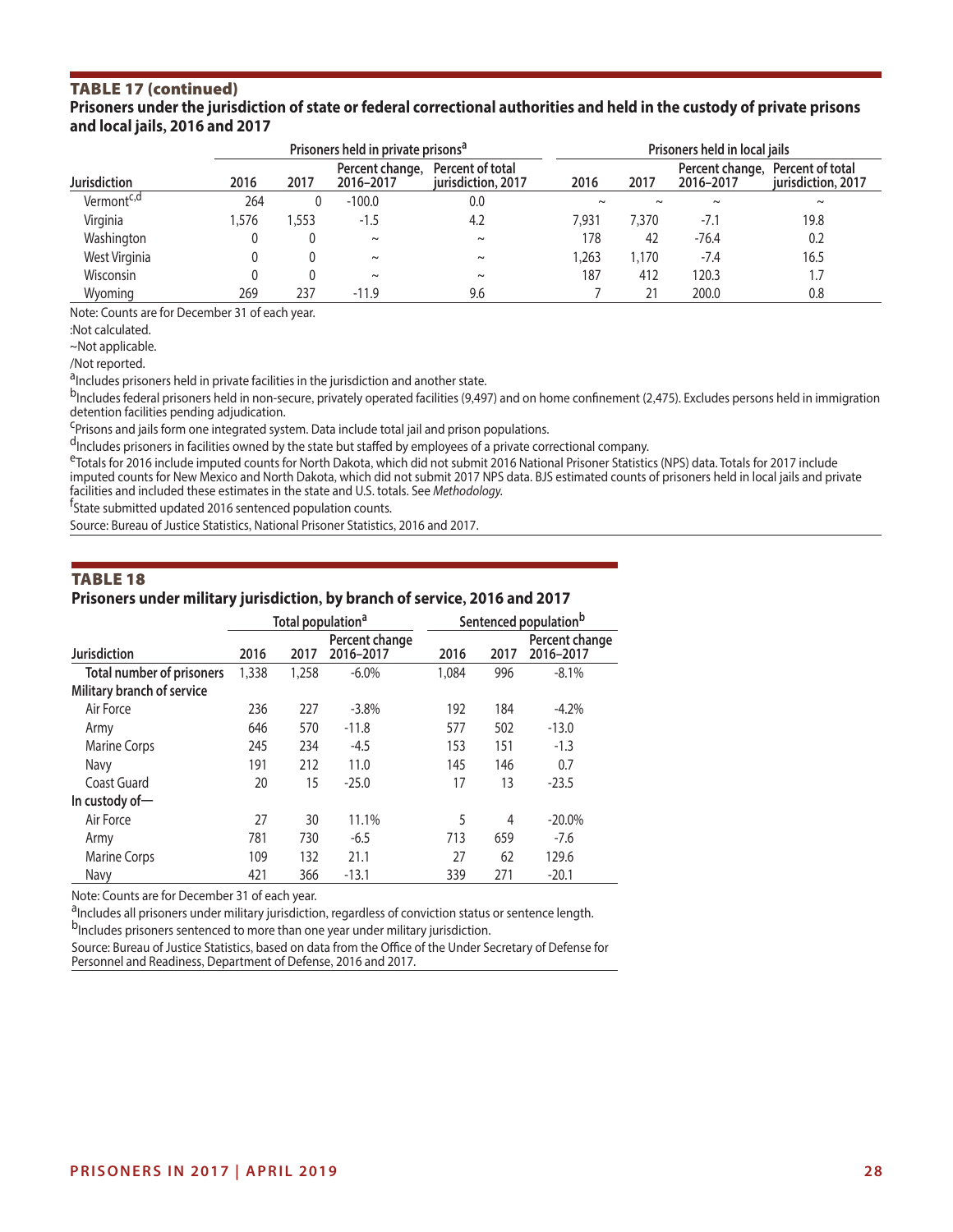#### TABLE 17 (continued) **Prisoners under the jurisdiction of state or federal correctional authorities and held in the custody of private prisons and local jails, 2016 and 2017**

|                        |      |      | Prisoners held in private prisons <sup>a</sup> |                                        | Prisoners held in local jails |        |                              |                                        |  |
|------------------------|------|------|------------------------------------------------|----------------------------------------|-------------------------------|--------|------------------------------|----------------------------------------|--|
| <b>Jurisdiction</b>    | 2016 | 2017 | Percent change,<br>2016-2017                   | Percent of total<br>jurisdiction, 2017 | 2016                          | 2017   | Percent change,<br>2016-2017 | Percent of total<br>jurisdiction, 2017 |  |
| Vermont <sup>c,d</sup> | 264  |      | $-100.0$                                       | 0.0                                    | $\sim$                        | $\sim$ | $\sim$                       | $\sim$                                 |  |
| Virginia               | .576 | .553 | $-1.5$                                         | 4.2                                    | 7.931                         | 7,370  | $-7.1$                       | 19.8                                   |  |
| Washington             |      |      | $\sim$                                         | $\sim$                                 | 178                           | 42     | $-76.4$                      | 0.2                                    |  |
| West Virginia          |      |      | $\sim$                                         | $\sim$                                 | .263                          | 1,170  | $-7.4$                       | 16.5                                   |  |
| Wisconsin              |      |      | $\sim$                                         | $\sim$                                 | 187                           | 412    | 120.3                        | $\mathbf{L}$                           |  |
| Wyoming                | 269  | 237  | $-11.9$                                        | 9.6                                    |                               |        | 200.0                        | 0.8                                    |  |

Note: Counts are for December 31 of each year.

:Not calculated.

~Not applicable.

/Not reported.

<sup>d</sup>Includes prisoners held in private facilities in the jurisdiction and another state.

b<sub>Includes</sub> federal prisoners held in non-secure, privately operated facilities (9,497) and on home confinement (2,475). Excludes persons held in immigration detention facilities pending adjudication.

<sup>C</sup>Prisons and jails form one integrated system. Data include total jail and prison populations.

dIncludes prisoners in facilities owned by the state but staffed by employees of a private correctional company.

eTotals for 2016 include imputed counts for North Dakota, which did not submit 2016 National Prisoner Statistics (NPS) data. Totals for 2017 include imputed counts for New Mexico and North Dakota, which did not submit 2017 NPS data. BJS estimated counts of prisoners held in local jails and private facilities and included these estimates in the state and U.S. totals. See *Methodology.* <sup>f</sup>

<sup>f</sup>State submitted updated 2016 sentenced population counts.

Source: Bureau of Justice Statistics, National Prisoner Statistics, 2016 and 2017.

#### TABLE 18

#### **Prisoners under military jurisdiction, by branch of service, 2016 and 2017**

|                                  |       | Total population <sup>a</sup> |                             | Sentenced population <sup>b</sup> |      |                             |  |
|----------------------------------|-------|-------------------------------|-----------------------------|-----------------------------------|------|-----------------------------|--|
| <b>Jurisdiction</b>              | 2016  | 2017                          | Percent change<br>2016-2017 | 2016                              | 2017 | Percent change<br>2016-2017 |  |
| <b>Total number of prisoners</b> | 1,338 | 1,258                         | $-6.0\%$                    | 1,084                             | 996  | $-8.1%$                     |  |
| Military branch of service       |       |                               |                             |                                   |      |                             |  |
| Air Force                        | 236   | 227                           | $-3.8\%$                    | 192                               | 184  | $-4.2%$                     |  |
| Army                             | 646   | 570                           | $-11.8$                     | 577                               | 502  | $-13.0$                     |  |
| <b>Marine Corps</b>              | 245   | 234                           | $-4.5$                      | 153                               | 151  | $-1.3$                      |  |
| Navy                             | 191   | 212                           | 11.0                        | 145                               | 146  | 0.7                         |  |
| Coast Guard                      | 20    | 15                            | $-25.0$                     | 17                                | 13   | $-23.5$                     |  |
| In custody of $-$                |       |                               |                             |                                   |      |                             |  |
| Air Force                        | 27    | 30                            | 11.1%                       | 5                                 | 4    | $-20.0\%$                   |  |
| Army                             | 781   | 730                           | $-6.5$                      | 713                               | 659  | $-7.6$                      |  |
| <b>Marine Corps</b>              | 109   | 132                           | 21.1                        | 27                                | 62   | 129.6                       |  |
| Navy                             | 421   | 366                           | $-13.1$                     | 339                               | 271  | $-20.1$                     |  |

Note: Counts are for December 31 of each year.

<sup>a</sup>Includes all prisoners under military jurisdiction, regardless of conviction status or sentence length.<br><sup>b</sup>Includes prisoners sentenced to more than one year under military jurisdiction.

Source: Bureau of Justice Statistics, based on data from the Office of the Under Secretary of Defense for Personnel and Readiness, Department of Defense, 2016 and 2017.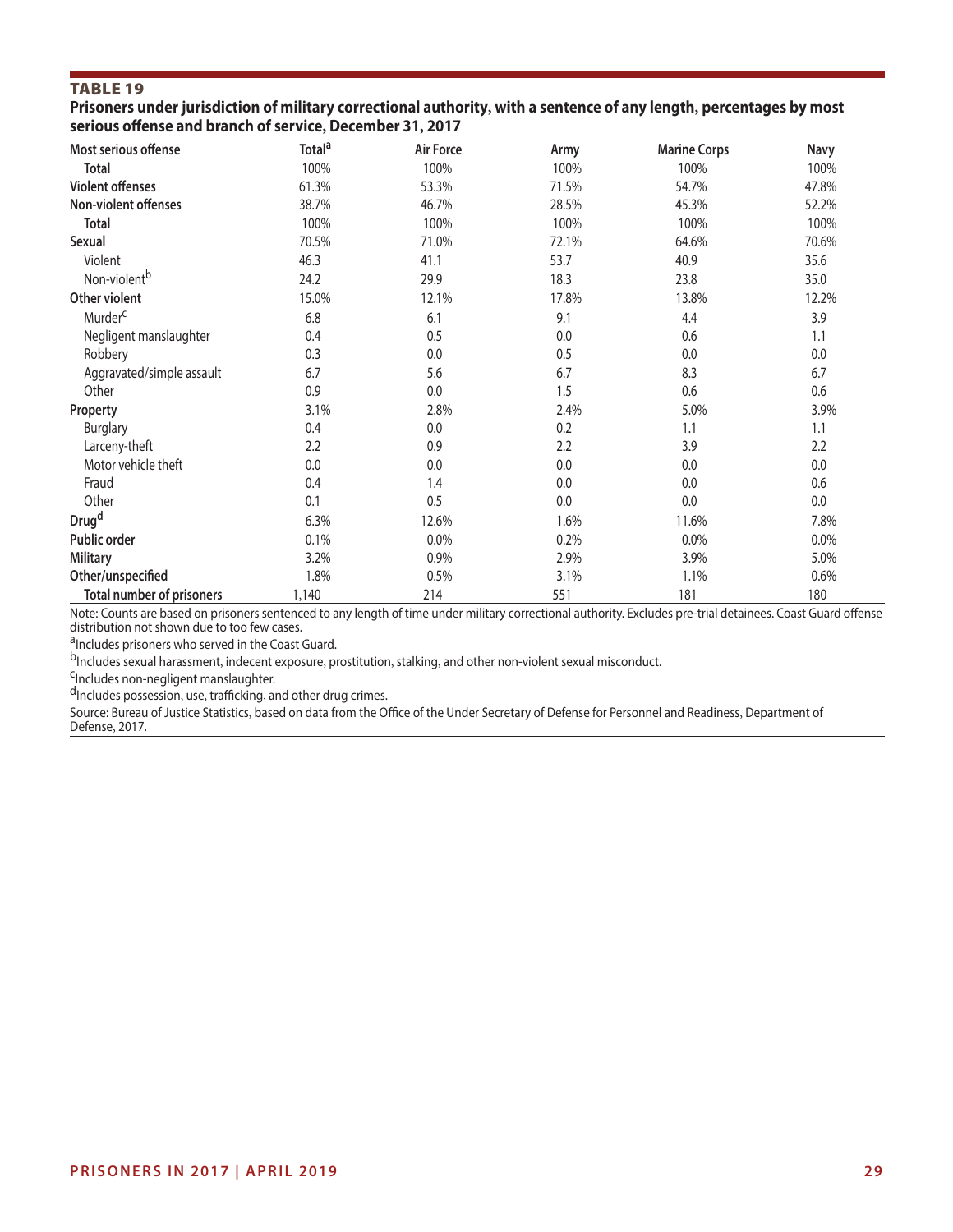**Prisoners under jurisdiction of military correctional authority, with a sentence of any length, percentages by most serious ofense and branch of service, December 31, 2017** 

| Most serious offense             | Total <sup>a</sup> | Air Force | Army  | <b>Marine Corps</b> | Navy    |
|----------------------------------|--------------------|-----------|-------|---------------------|---------|
| <b>Total</b>                     | 100%               | 100%      | 100%  | 100%                | 100%    |
| <b>Violent offenses</b>          | 61.3%              | 53.3%     | 71.5% | 54.7%               | 47.8%   |
| Non-violent offenses             | 38.7%              | 46.7%     | 28.5% | 45.3%               | 52.2%   |
| <b>Total</b>                     | 100%               | 100%      | 100%  | 100%                | 100%    |
| Sexual                           | 70.5%              | 71.0%     | 72.1% | 64.6%               | 70.6%   |
| Violent                          | 46.3               | 41.1      | 53.7  | 40.9                | 35.6    |
| Non-violent <sup>b</sup>         | 24.2               | 29.9      | 18.3  | 23.8                | 35.0    |
| Other violent                    | 15.0%              | 12.1%     | 17.8% | 13.8%               | 12.2%   |
| Murder <sup>c</sup>              | 6.8                | 6.1       | 9.1   | 4.4                 | 3.9     |
| Negligent manslaughter           | 0.4                | 0.5       | 0.0   | 0.6                 | 1.1     |
| Robbery                          | 0.3                | 0.0       | 0.5   | 0.0                 | 0.0     |
| Aggravated/simple assault        | 6.7                | 5.6       | 6.7   | 8.3                 | 6.7     |
| Other                            | 0.9                | 0.0       | 1.5   | 0.6                 | 0.6     |
| Property                         | 3.1%               | 2.8%      | 2.4%  | 5.0%                | 3.9%    |
| <b>Burglary</b>                  | 0.4                | 0.0       | 0.2   | 1.1                 | 1.1     |
| Larceny-theft                    | 2.2                | 0.9       | 2.2   | 3.9                 | 2.2     |
| Motor vehicle theft              | 0.0                | 0.0       | 0.0   | 0.0                 | 0.0     |
| Fraud                            | 0.4                | 1.4       | 0.0   | 0.0                 | 0.6     |
| Other                            | 0.1                | 0.5       | 0.0   | 0.0                 | $0.0\,$ |
| Drug <sup>d</sup>                | 6.3%               | 12.6%     | 1.6%  | 11.6%               | 7.8%    |
| Public order                     | 0.1%               | 0.0%      | 0.2%  | 0.0%                | 0.0%    |
| <b>Military</b>                  | 3.2%               | 0.9%      | 2.9%  | 3.9%                | 5.0%    |
| Other/unspecified                | 1.8%               | 0.5%      | 3.1%  | 1.1%                | 0.6%    |
| <b>Total number of prisoners</b> | 1,140              | 214       | 551   | 181                 | 180     |

Note: Counts are based on prisoners sentenced to any length of time under military correctional authority. Excludes pre-trial detainees. Coast Guard ofense distribution not shown due to too few cases.

aIncludes prisoners who served in the Coast Guard.

bIncludes sexual harassment, indecent exposure, prostitution, stalking, and other non-violent sexual misconduct.<br><sup>C</sup>Includes non-negligent manslaughter.

dIncludes possession, use, trafficking, and other drug crimes.

Source: Bureau of Justice Statistics, based on data from the Office of the Under Secretary of Defense for Personnel and Readiness, Department of Defense, 2017.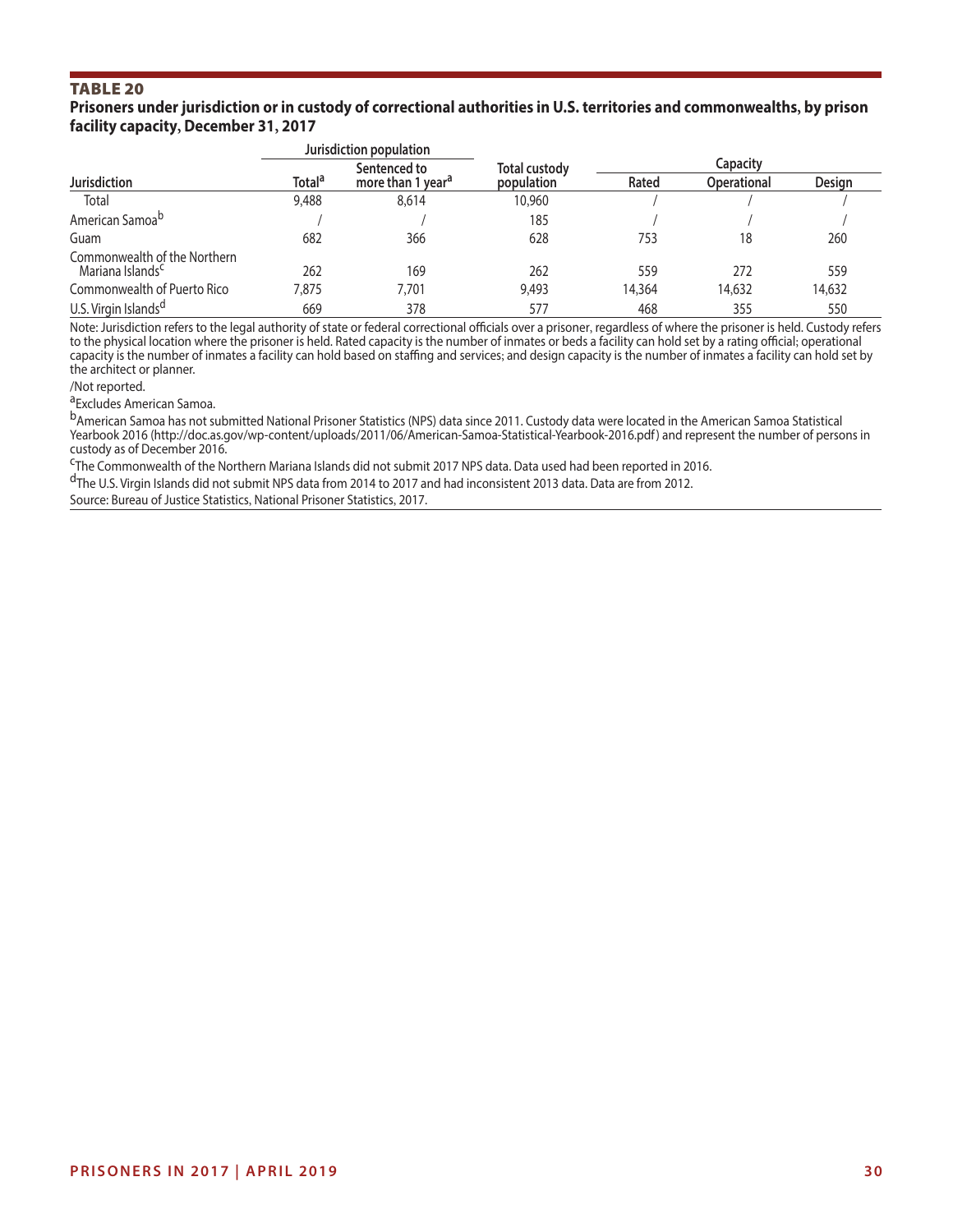#### **Prisoners under jurisdiction or in custody of correctional authorities in U.S. territories and commonwealths, by prison facility capacity, December 31, 2017**

|                                                              |                          | Jurisdiction population       |               |          |                    |        |  |  |
|--------------------------------------------------------------|--------------------------|-------------------------------|---------------|----------|--------------------|--------|--|--|
|                                                              | Sentenced to             |                               | Total custody | Capacity |                    |        |  |  |
| <b>Jurisdiction</b>                                          | <b>Total<sup>a</sup></b> | more than 1 year <sup>a</sup> | population    | Rated    | <b>Operational</b> | Design |  |  |
| Total                                                        | 9,488                    | 8,614                         | 10,960        |          |                    |        |  |  |
| American Samoa <sup>b</sup>                                  |                          |                               | 185           |          |                    |        |  |  |
| Guam                                                         | 682                      | 366                           | 628           | 753      | 18                 | 260    |  |  |
| Commonwealth of the Northern<br>Mariana Islands <sup>c</sup> | 262                      | 169                           | 262           | 559      | 272                | 559    |  |  |
| Commonwealth of Puerto Rico                                  | 7,875                    | 7.701                         | 9,493         | 14,364   | 14,632             | 14,632 |  |  |
| U.S. Virgin Islands <sup>d</sup>                             | 669                      | 378                           | 577           | 468      | 355                | 550    |  |  |

Note: Jurisdiction refers to the legal authority of state or federal correctional officials over a prisoner, regardless of where the prisoner is held. Custody refers to the physical location where the prisoner is held. Rated capacity is the number of inmates or beds a facility can hold set by a rating official; operational capacity is the number of inmates a facility can hold based on staffing and services; and design capacity is the number of inmates a facility can hold set by the architect or planner.

/Not reported.

a<sub>Excludes</sub> American Samoa.

b<sub>American Samoa has not submitted National Prisoner Statistics (NPS) data since 2011. Custody data were located in the American Samoa Statistical</sub> Yearbook 2016 (http://doc.as.gov/wp-content/uploads/2011/06/American-Samoa-Statistical-Yearbook-2016.pdf) and represent the number of persons in custody as of December 2016.

<sup>C</sup>The Commonwealth of the Northern Mariana Islands did not submit 2017 NPS data. Data used had been reported in 2016.

dThe U.S. Virgin Islands did not submit NPS data from 2014 to 2017 and had inconsistent 2013 data. Data are from 2012.

Source: Bureau of Justice Statistics, National Prisoner Statistics, 2017.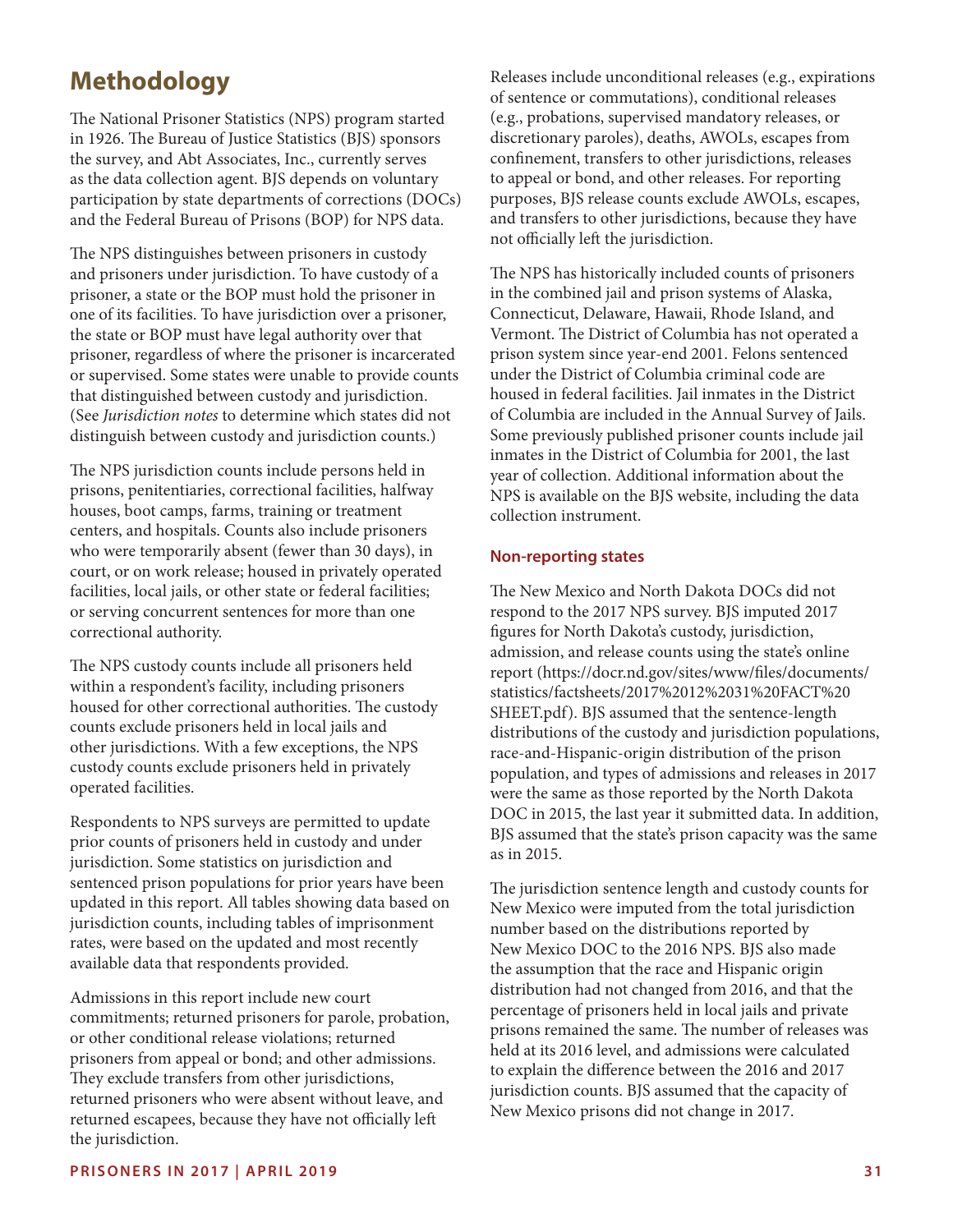# **Methodology**

The National Prisoner Statistics (NPS) program started in 1926. The Bureau of Justice Statistics (BJS) sponsors the survey, and Abt Associates, Inc., currently serves as the data collection agent. BJS depends on voluntary participation by state departments of corrections (DOCs) and the Federal Bureau of Prisons (BOP) for NPS data.

The NPS distinguishes between prisoners in custody and prisoners under jurisdiction. To have custody of a prisoner, a state or the BOP must hold the prisoner in one of its facilities. To have jurisdiction over a prisoner, the state or BOP must have legal authority over that prisoner, regardless of where the prisoner is incarcerated or supervised. Some states were unable to provide counts that distinguished between custody and jurisdiction. (See *Jurisdiction notes* to determine which states did not distinguish between custody and jurisdiction counts.)

The NPS jurisdiction counts include persons held in prisons, penitentiaries, correctional facilities, halfway houses, boot camps, farms, training or treatment centers, and hospitals. Counts also include prisoners who were temporarily absent (fewer than 30 days), in court, or on work release; housed in privately operated facilities, local jails, or other state or federal facilities; or serving concurrent sentences for more than one correctional authority.

The NPS custody counts include all prisoners held within a respondent's facility, including prisoners housed for other correctional authorities. The custody counts exclude prisoners held in local jails and other jurisdictions. With a few exceptions, the NPS custody counts exclude prisoners held in privately operated facilities.

Respondents to NPS surveys are permitted to update prior counts of prisoners held in custody and under jurisdiction. Some statistics on jurisdiction and sentenced prison populations for prior years have been updated in this report. All tables showing data based on jurisdiction counts, including tables of imprisonment rates, were based on the updated and most recently available data that respondents provided.

Admissions in this report include new court commitments; returned prisoners for parole, probation, or other conditional release violations; returned prisoners from appeal or bond; and other admissions. They exclude transfers from other jurisdictions, returned prisoners who were absent without leave, and returned escapees, because they have not officially left the jurisdiction.

Releases include unconditional releases (e.g., expirations of sentence or commutations), conditional releases (e.g., probations, supervised mandatory releases, or discretionary paroles), deaths, AWOLs, escapes from confnement, transfers to other jurisdictions, releases to appeal or bond, and other releases. For reporting purposes, BJS release counts exclude AWOLs, escapes, and transfers to other jurisdictions, because they have not officially left the jurisdiction.

The NPS has historically included counts of prisoners in the combined jail and prison systems of Alaska, Connecticut, Delaware, Hawaii, Rhode Island, and Vermont. The District of Columbia has not operated a prison system since year-end 2001. Felons sentenced under the District of Columbia criminal code are housed in federal facilities. Jail inmates in the District of Columbia are included in the Annual Survey of Jails. Some previously published prisoner counts include jail inmates in the District of Columbia for 2001, the last year of collection. Additional information about the NPS is available on the BJS website, including the data collection instrument.

#### **Non-reporting states**

The New Mexico and North Dakota DOCs did not respond to the 2017 NPS survey. BJS imputed 2017 fgures for North Dakota's custody, jurisdiction, admission, and release counts using the state's online report ([https://docr.nd.gov/sites/www/fles/documents/](https://docr.nd.gov/sites/www/files/documents/statistics/factsheets/2017%2012%2031%20FACT%20SHEET.pdf)  [statistics/factsheets/2017%2012%2031%20FACT%20](https://docr.nd.gov/sites/www/files/documents/statistics/factsheets/2017%2012%2031%20FACT%20SHEET.pdf)  [SHEET.pdf\)](https://docr.nd.gov/sites/www/files/documents/statistics/factsheets/2017%2012%2031%20FACT%20SHEET.pdf). BJS assumed that the sentence-length distributions of the custody and jurisdiction populations, race-and-Hispanic-origin distribution of the prison population, and types of admissions and releases in 2017 were the same as those reported by the North Dakota DOC in 2015, the last year it submitted data. In addition, BJS assumed that the state's prison capacity was the same as in 2015.

The jurisdiction sentence length and custody counts for New Mexico were imputed from the total jurisdiction number based on the distributions reported by New Mexico DOC to the 2016 NPS. BJS also made the assumption that the race and Hispanic origin distribution had not changed from 2016, and that the percentage of prisoners held in local jails and private prisons remained the same. The number of releases was held at its 2016 level, and admissions were calculated to explain the diference between the 2016 and 2017 jurisdiction counts. BJS assumed that the capacity of New Mexico prisons did not change in 2017.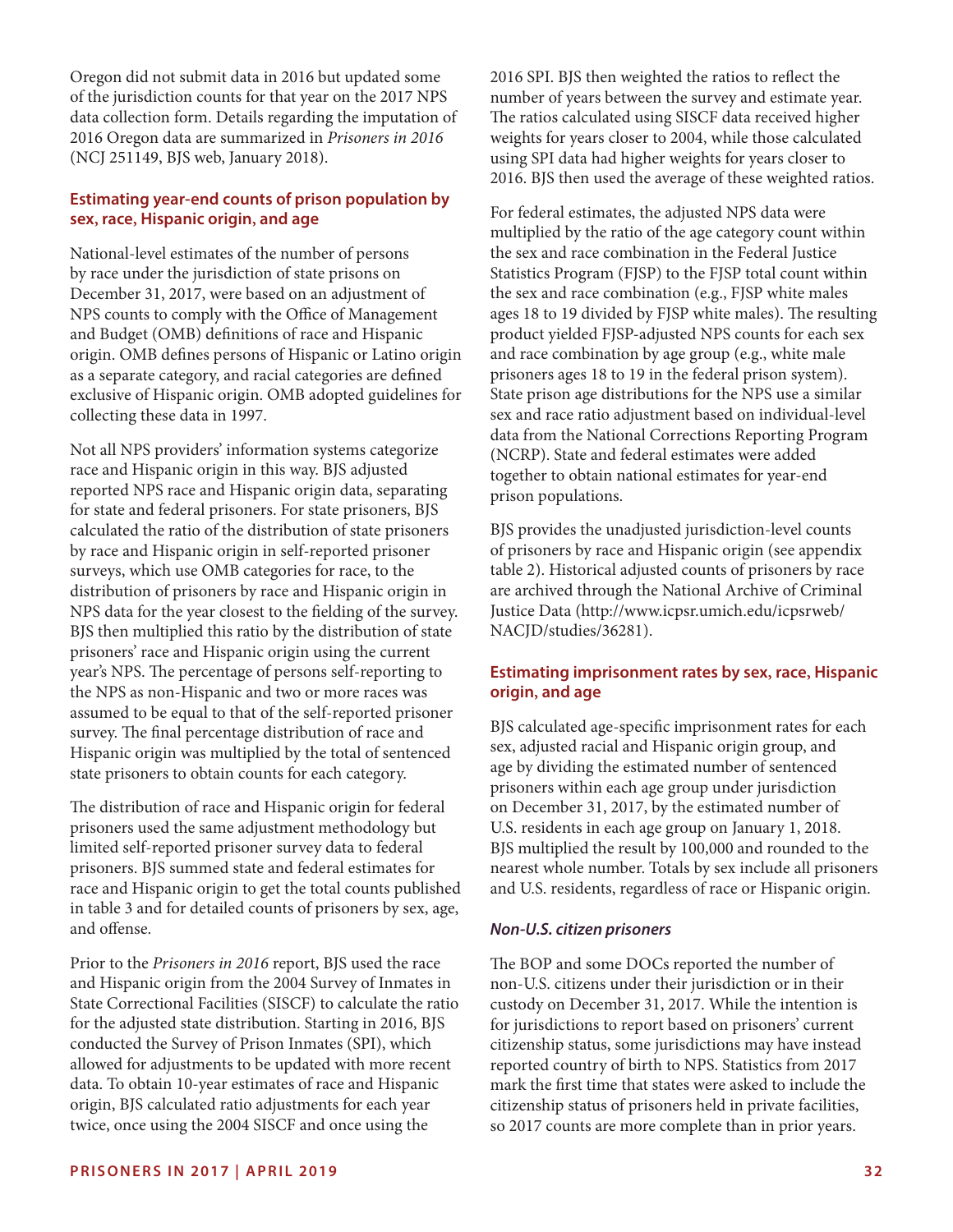Oregon did not submit data in 2016 but updated some of the jurisdiction counts for that year on the 2017 NPS data collection form. Details regarding the imputation of 2016 Oregon data are summarized in *Prisoners in 2016*  (NCJ 251149, BJS web, January 2018).

# **Estimating year-end counts of prison population by sex, race, Hispanic origin, and age**

National-level estimates of the number of persons by race under the jurisdiction of state prisons on December 31, 2017, were based on an adjustment of NPS counts to comply with the Office of Management and Budget (OMB) defnitions of race and Hispanic origin. OMB defnes persons of Hispanic or Latino origin as a separate category, and racial categories are defned exclusive of Hispanic origin. OMB adopted guidelines for collecting these data in 1997.

Not all NPS providers' information systems categorize race and Hispanic origin in this way. BJS adjusted reported NPS race and Hispanic origin data, separating for state and federal prisoners. For state prisoners, BJS calculated the ratio of the distribution of state prisoners by race and Hispanic origin in self-reported prisoner surveys, which use OMB categories for race, to the distribution of prisoners by race and Hispanic origin in NPS data for the year closest to the felding of the survey. BJS then multiplied this ratio by the distribution of state prisoners' race and Hispanic origin using the current year's NPS. The percentage of persons self-reporting to the NPS as non-Hispanic and two or more races was assumed to be equal to that of the self-reported prisoner survey. The final percentage distribution of race and Hispanic origin was multiplied by the total of sentenced state prisoners to obtain counts for each category.

The distribution of race and Hispanic origin for federal prisoners used the same adjustment methodology but limited self-reported prisoner survey data to federal prisoners. BJS summed state and federal estimates for race and Hispanic origin to get the total counts published in table 3 and for detailed counts of prisoners by sex, age, and ofense.

Prior to the *Prisoners in 2016* report, BJS used the race and Hispanic origin from the 2004 Survey of Inmates in State Correctional Facilities (SISCF) to calculate the ratio for the adjusted state distribution. Starting in 2016, BJS conducted the Survey of Prison Inmates (SPI), which allowed for adjustments to be updated with more recent data. To obtain 10-year estimates of race and Hispanic origin, BJS calculated ratio adjustments for each year twice, once using the 2004 SISCF and once using the

2016 SPI. BJS then weighted the ratios to refect the number of years between the survey and estimate year. The ratios calculated using SISCF data received higher weights for years closer to 2004, while those calculated using SPI data had higher weights for years closer to 2016. BJS then used the average of these weighted ratios.

For federal estimates, the adjusted NPS data were multiplied by the ratio of the age category count within the sex and race combination in the Federal Justice Statistics Program (FJSP) to the FJSP total count within the sex and race combination (e.g., FJSP white males ages 18 to 19 divided by FJSP white males). The resulting product yielded FJSP-adjusted NPS counts for each sex and race combination by age group (e.g., white male prisoners ages 18 to 19 in the federal prison system). State prison age distributions for the NPS use a similar sex and race ratio adjustment based on individual-level data from the National Corrections Reporting Program (NCRP). State and federal estimates were added together to obtain national estimates for year-end prison populations.

BJS provides the unadjusted jurisdiction-level counts of prisoners by race and Hispanic origin (see appendix table 2). Historical adjusted counts of prisoners by race are archived through the National Archive of Criminal Justice Data ([http://www.icpsr.umich.edu/icpsrweb/](http://www.icpsr.umich.edu/icpsrweb/NACJD/studies/36281) [NACJD/studies/36281](http://www.icpsr.umich.edu/icpsrweb/NACJD/studies/36281)).

# **Estimating imprisonment rates by sex, race, Hispanic origin, and age**

BJS calculated age-specifc imprisonment rates for each sex, adjusted racial and Hispanic origin group, and age by dividing the estimated number of sentenced prisoners within each age group under jurisdiction on December 31, 2017, by the estimated number of U.S. residents in each age group on January 1, 2018. BJS multiplied the result by 100,000 and rounded to the nearest whole number. Totals by sex include all prisoners and U.S. residents, regardless of race or Hispanic origin.

#### *Non-U.S. citizen prisoners*

The BOP and some DOCs reported the number of non-U.S. citizens under their jurisdiction or in their custody on December 31, 2017. While the intention is for jurisdictions to report based on prisoners' current citizenship status, some jurisdictions may have instead reported country of birth to NPS. Statistics from 2017 mark the frst time that states were asked to include the citizenship status of prisoners held in private facilities, so 2017 counts are more complete than in prior years.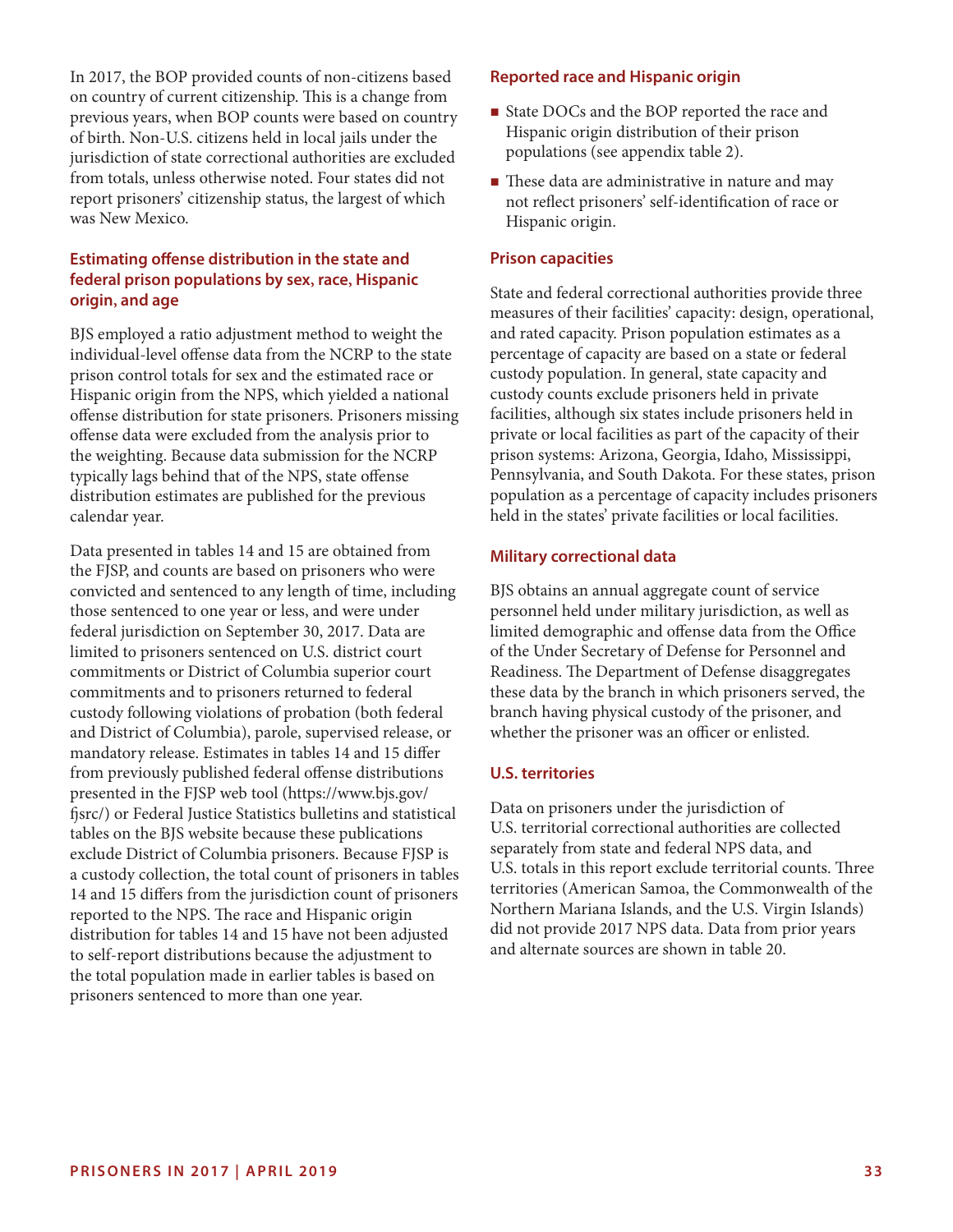In 2017, the BOP provided counts of non-citizens based on country of current citizenship. This is a change from previous years, when BOP counts were based on country of birth. Non-U.S. citizens held in local jails under the jurisdiction of state correctional authorities are excluded from totals, unless otherwise noted. Four states did not report prisoners' citizenship status, the largest of which was New Mexico.

#### **Estimating ofense distribution in the state and federal prison populations by sex, race, Hispanic origin, and age**

BJS employed a ratio adjustment method to weight the individual-level offense data from the NCRP to the state prison control totals for sex and the estimated race or Hispanic origin from the NPS, which yielded a national ofense distribution for state prisoners. Prisoners missing ofense data were excluded from the analysis prior to the weighting. Because data submission for the NCRP typically lags behind that of the NPS, state ofense distribution estimates are published for the previous calendar year.

Data presented in tables 14 and 15 are obtained from the FJSP, and counts are based on prisoners who were convicted and sentenced to any length of time, including those sentenced to one year or less, and were under federal jurisdiction on September 30, 2017. Data are limited to prisoners sentenced on U.S. district court commitments or District of Columbia superior court commitments and to prisoners returned to federal custody following violations of probation (both federal and District of Columbia), parole, supervised release, or mandatory release. Estimates in tables 14 and 15 difer from previously published federal offense distributions presented in the FJSP web tool [\(https://www.bjs.gov/](https://www.bjs.gov/fjsrc/) [fsrc/\)](https://www.bjs.gov/fjsrc/) or Federal Justice Statistics bulletins and statistical tables on the BJS website because these publications exclude District of Columbia prisoners. Because FJSP is a custody collection, the total count of prisoners in tables 14 and 15 difers from the jurisdiction count of prisoners reported to the NPS. The race and Hispanic origin distribution for tables 14 and 15 have not been adjusted to self-report distributions because the adjustment to the total population made in earlier tables is based on prisoners sentenced to more than one year.

#### **Reported race and Hispanic origin**

- State DOCs and the BOP reported the race and Hispanic origin distribution of their prison populations (see appendix table 2).
- $\blacksquare$  These data are administrative in nature and may not refect prisoners' self-identifcation of race or Hispanic origin.

#### **Prison capacities**

State and federal correctional authorities provide three measures of their facilities' capacity: design, operational, and rated capacity. Prison population estimates as a percentage of capacity are based on a state or federal custody population. In general, state capacity and custody counts exclude prisoners held in private facilities, although six states include prisoners held in private or local facilities as part of the capacity of their prison systems: Arizona, Georgia, Idaho, Mississippi, Pennsylvania, and South Dakota. For these states, prison population as a percentage of capacity includes prisoners held in the states' private facilities or local facilities.

#### **Military correctional data**

BJS obtains an annual aggregate count of service personnel held under military jurisdiction, as well as limited demographic and offense data from the Office of the Under Secretary of Defense for Personnel and Readiness. The Department of Defense disaggregates these data by the branch in which prisoners served, the branch having physical custody of the prisoner, and whether the prisoner was an officer or enlisted.

#### **U.S. territories**

Data on prisoners under the jurisdiction of U.S. territorial correctional authorities are collected separately from state and federal NPS data, and U.S. totals in this report exclude territorial counts. Three territories (American Samoa, the Commonwealth of the Northern Mariana Islands, and the U.S. Virgin Islands) did not provide 2017 NPS data. Data from prior years and alternate sources are shown in table 20.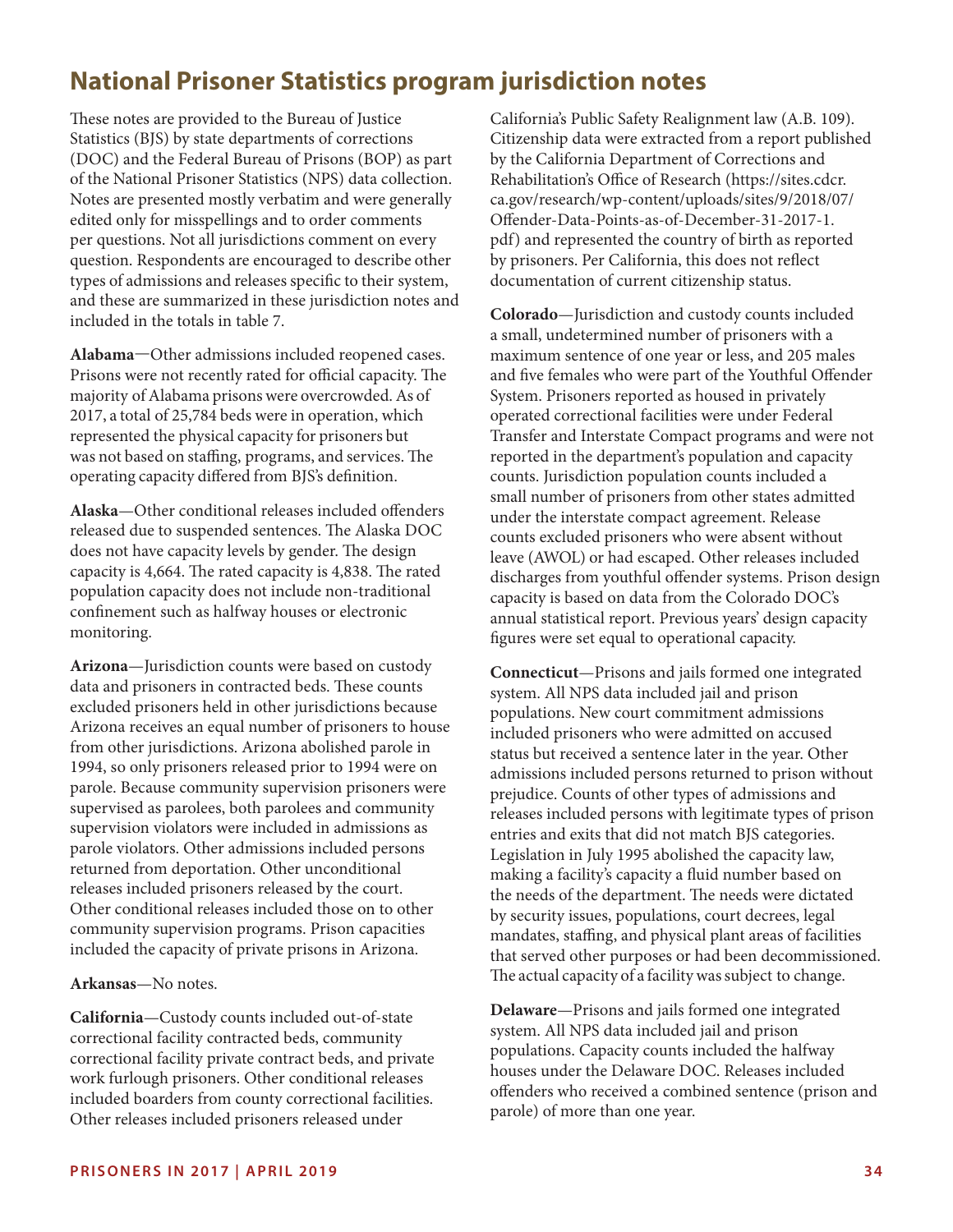# **National Prisoner Statistics program jurisdiction notes**

These notes are provided to the Bureau of Justice Statistics (BJS) by state departments of corrections (DOC) and the Federal Bureau of Prisons (BOP) as part of the National Prisoner Statistics (NPS) data collection. Notes are presented mostly verbatim and were generally edited only for misspellings and to order comments per questions. Not all jurisdictions comment on every question. Respondents are encouraged to describe other types of admissions and releases specifc to their system, and these are summarized in these jurisdiction notes and included in the totals in table 7.

**Alabama**—Other admissions included reopened cases. Prisons were not recently rated for official capacity. The majority of Alabama prisons were overcrowded. As of 2017, a total of 25,784 beds were in operation, which represented the physical capacity for prisoners but was not based on staffing, programs, and services. The operating capacity difered from BJS's defnition.

**Alaska**—Other conditional releases included ofenders released due to suspended sentences. The Alaska DOC does not have capacity levels by gender. The design capacity is 4,664. The rated capacity is 4,838. The rated population capacity does not include non-traditional confnement such as halfway houses or electronic monitoring.

**Arizona**—Jurisdiction counts were based on custody data and prisoners in contracted beds. These counts excluded prisoners held in other jurisdictions because Arizona receives an equal number of prisoners to house from other jurisdictions. Arizona abolished parole in 1994, so only prisoners released prior to 1994 were on parole. Because community supervision prisoners were supervised as parolees, both parolees and community supervision violators were included in admissions as parole violators. Other admissions included persons returned from deportation. Other unconditional releases included prisoners released by the court. Other conditional releases included those on to other community supervision programs. Prison capacities included the capacity of private prisons in Arizona.

**Arkansas**—No notes.

**California**—Custody counts included out-of-state correctional facility contracted beds, community correctional facility private contract beds, and private work furlough prisoners. Other conditional releases included boarders from county correctional facilities. Other releases included prisoners released under

California's Public Safety Realignment law (A.B. 109). Citizenship data were extracted from a report published by the California Department of Corrections and Rehabilitation's Office of Research ([https://sites.cdcr.](https://sites.cdcr.ca.gov/research/wp-content/uploads/sites/9/2018/07/Offender-Data-Points-as-of-December-31-2017-1.pdf) [ca.gov/research/wp-content/uploads/sites/9/2018/07/](https://sites.cdcr.ca.gov/research/wp-content/uploads/sites/9/2018/07/Offender-Data-Points-as-of-December-31-2017-1.pdf)  [Ofender-Data-Points-as-of-December-31-2017-1.](https://sites.cdcr.ca.gov/research/wp-content/uploads/sites/9/2018/07/Offender-Data-Points-as-of-December-31-2017-1.pdf) [pdf\)](https://sites.cdcr.ca.gov/research/wp-content/uploads/sites/9/2018/07/Offender-Data-Points-as-of-December-31-2017-1.pdf) and represented the country of birth as reported by prisoners. Per California, this does not refect documentation of current citizenship status.

**Colorado**—Jurisdiction and custody counts included a small, undetermined number of prisoners with a maximum sentence of one year or less, and 205 males and fve females who were part of the Youthful Ofender System. Prisoners reported as housed in privately operated correctional facilities were under Federal Transfer and Interstate Compact programs and were not reported in the department's population and capacity counts. Jurisdiction population counts included a small number of prisoners from other states admitted under the interstate compact agreement. Release counts excluded prisoners who were absent without leave (AWOL) or had escaped. Other releases included discharges from youthful ofender systems. Prison design capacity is based on data from the Colorado DOC's annual statistical report. Previous years' design capacity fgures were set equal to operational capacity.

**Connecticut**—Prisons and jails formed one integrated system. All NPS data included jail and prison populations. New court commitment admissions included prisoners who were admitted on accused status but received a sentence later in the year. Other admissions included persons returned to prison without prejudice. Counts of other types of admissions and releases included persons with legitimate types of prison entries and exits that did not match BJS categories. Legislation in July 1995 abolished the capacity law, making a facility's capacity a fuid number based on the needs of the department. The needs were dictated by security issues, populations, court decrees, legal mandates, stafng, and physical plant areas of facilities that served other purposes or had been decommissioned. The actual capacity of a facility was subject to change.

**Delaware**—Prisons and jails formed one integrated system. All NPS data included jail and prison populations. Capacity counts included the halfway houses under the Delaware DOC. Releases included ofenders who received a combined sentence (prison and parole) of more than one year.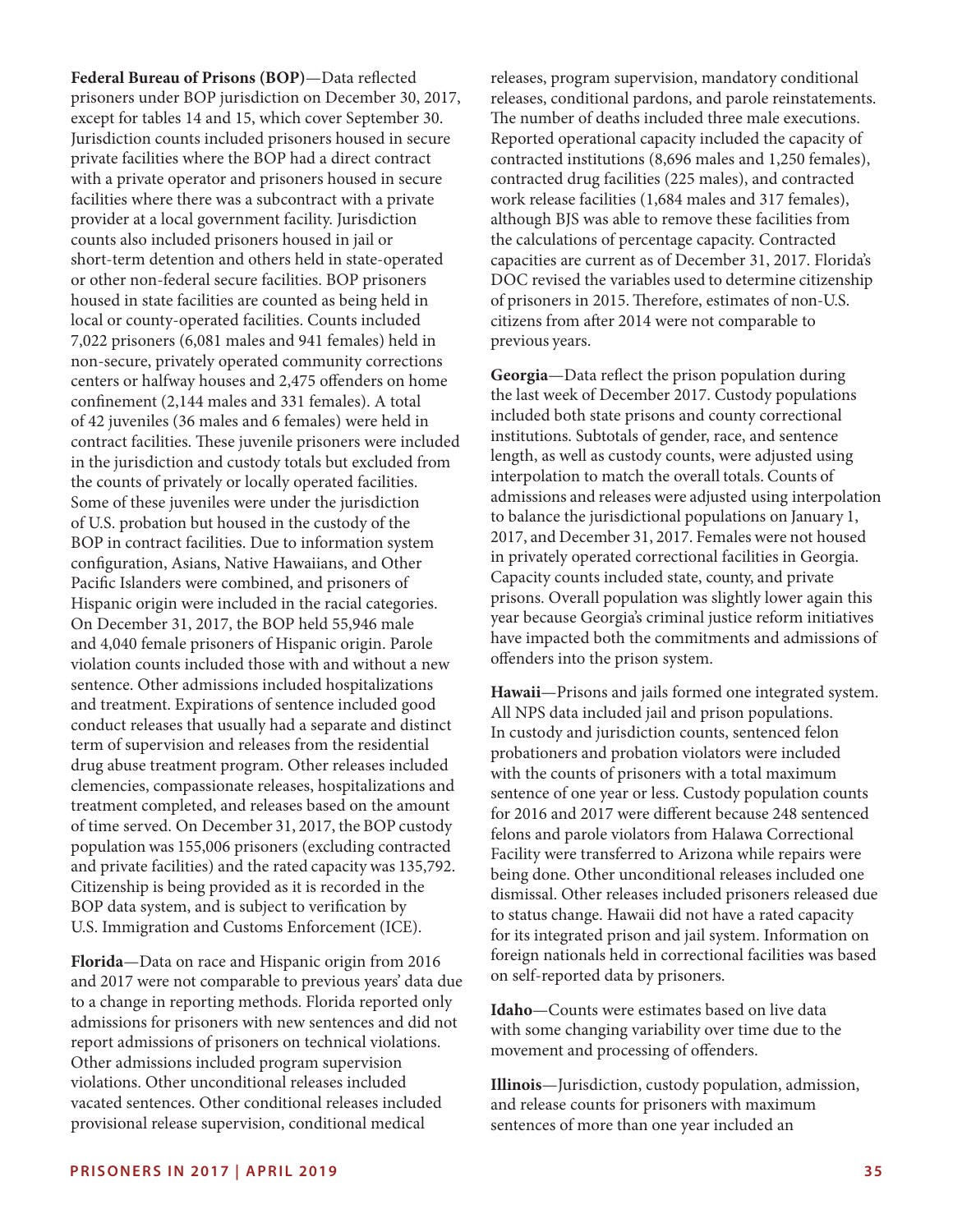**PRISONERS IN 2017 | APRIL 2019 35** Pacifc Islanders were combined, and prisoners of Hispanic origin were included in the racial categories. On December 31, 2017, the BOP held 55,946 male and 4,040 female prisoners of Hispanic origin. Parole violation counts included those with and without a new sentence. Other admissions included hospitalizations and treatment. Expirations of sentence included good conduct releases that usually had a separate and distinct term of supervision and releases from the residential drug abuse treatment program. Other releases included clemencies, compassionate releases, hospitalizations and treatment completed, and releases based on the amount of time served. On December 31, 2017, the BOP custody population was 155,006 prisoners (excluding contracted and private facilities) and the rated capacity was 135,792. Citizenship is being provided as it is recorded in the BOP data system, and is subject to verifcation by U.S. Immigration and Customs Enforcement (ICE). **Florida**—Data on race and Hispanic origin from 2016 and 2017 were not comparable to previous years' data due to a change in reporting methods. Florida reported only admissions for prisoners with new sentences and did not report admissions of prisoners on technical violations. Other admissions included program supervision violations. Other unconditional releases included vacated sentences. Other conditional releases included provisional release supervision, conditional medical

**Federal Bureau of Prisons (BOP)**—Data refected prisoners under BOP jurisdiction on December 30, 2017, except for tables 14 and 15, which cover September 30. Jurisdiction counts included prisoners housed in secure private facilities where the BOP had a direct contract with a private operator and prisoners housed in secure facilities where there was a subcontract with a private provider at a local government facility. Jurisdiction counts also included prisoners housed in jail or

short-term detention and others held in state-operated or other non-federal secure facilities. BOP prisoners housed in state facilities are counted as being held in local or county-operated facilities. Counts included 7,022 prisoners (6,081 males and 941 females) held in non-secure, privately operated community corrections centers or halfway houses and 2,475 ofenders on home confnement (2,144 males and 331 females). A total of 42 juveniles (36 males and 6 females) were held in contract facilities. These juvenile prisoners were included in the jurisdiction and custody totals but excluded from the counts of privately or locally operated facilities. Some of these juveniles were under the jurisdiction of U.S. probation but housed in the custody of the BOP in contract facilities. Due to information system confguration, Asians, Native Hawaiians, and Other

releases, program supervision, mandatory conditional releases, conditional pardons, and parole reinstatements. The number of deaths included three male executions. Reported operational capacity included the capacity of contracted institutions (8,696 males and 1,250 females), contracted drug facilities (225 males), and contracted work release facilities (1,684 males and 317 females), although BJS was able to remove these facilities from the calculations of percentage capacity. Contracted capacities are current as of December 31, 2017. Florida's DOC revised the variables used to determine citizenship of prisoners in 2015. Therefore, estimates of non-U.S. citizens from after 2014 were not comparable to previous years.

**Georgia**—Data refect the prison population during the last week of December 2017. Custody populations included both state prisons and county correctional institutions. Subtotals of gender, race, and sentence length, as well as custody counts, were adjusted using interpolation to match the overall totals. Counts of admissions and releases were adjusted using interpolation to balance the jurisdictional populations on January 1, 2017, and December 31, 2017. Females were not housed in privately operated correctional facilities in Georgia. Capacity counts included state, county, and private prisons. Overall population was slightly lower again this year because Georgia's criminal justice reform initiatives have impacted both the commitments and admissions of ofenders into the prison system.

**Hawaii**—Prisons and jails formed one integrated system. All NPS data included jail and prison populations. In custody and jurisdiction counts, sentenced felon probationers and probation violators were included with the counts of prisoners with a total maximum sentence of one year or less. Custody population counts for 2016 and 2017 were diferent because 248 sentenced felons and parole violators from Halawa Correctional Facility were transferred to Arizona while repairs were being done. Other unconditional releases included one dismissal. Other releases included prisoners released due to status change. Hawaii did not have a rated capacity for its integrated prison and jail system. Information on foreign nationals held in correctional facilities was based on self-reported data by prisoners.

**Idaho**—Counts were estimates based on live data with some changing variability over time due to the movement and processing of ofenders.

**Illinois**—Jurisdiction, custody population, admission, and release counts for prisoners with maximum sentences of more than one year included an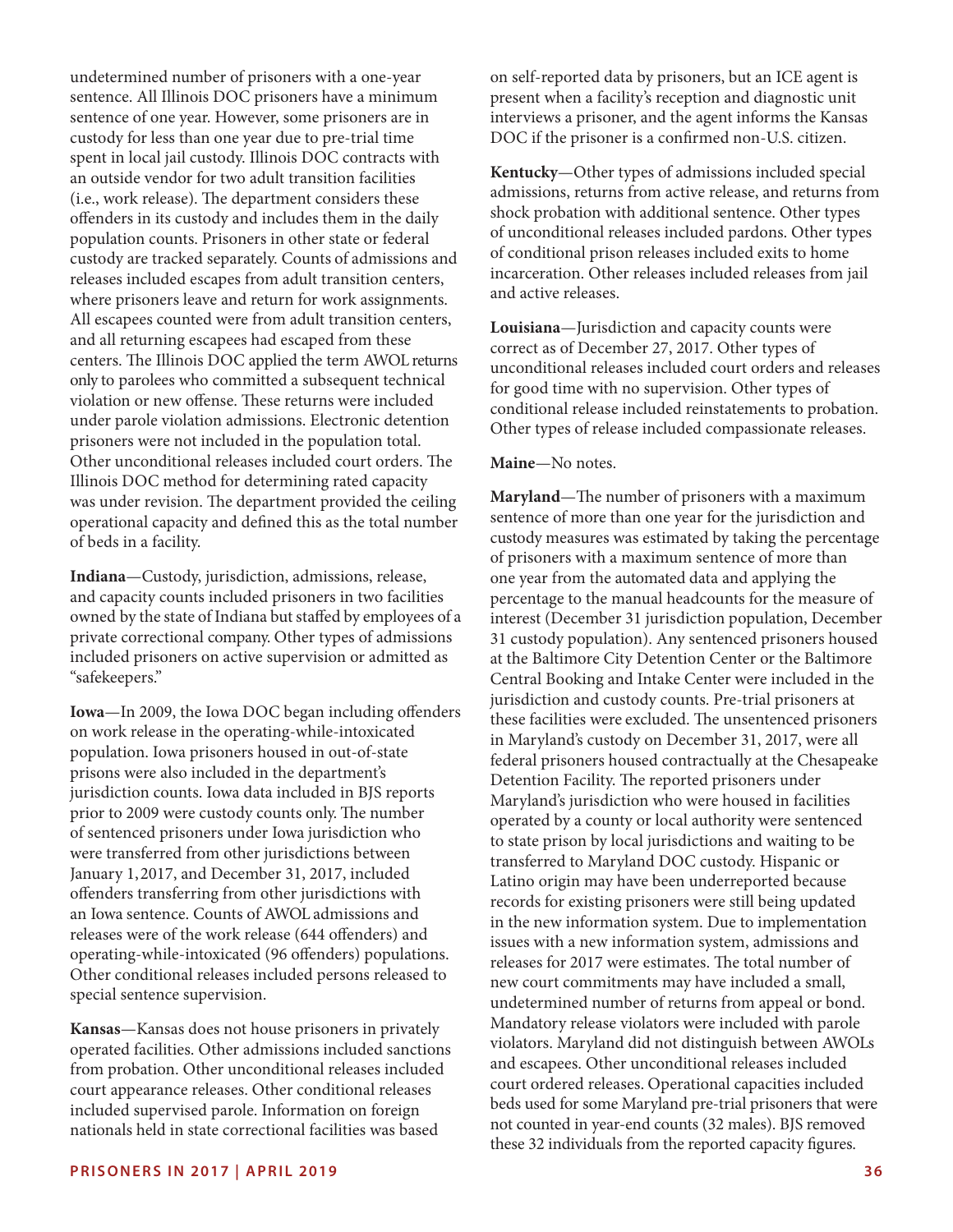undetermined number of prisoners with a one-year sentence. All Illinois DOC prisoners have a minimum sentence of one year. However, some prisoners are in custody for less than one year due to pre-trial time spent in local jail custody. Illinois DOC contracts with an outside vendor for two adult transition facilities (i.e., work release). The department considers these ofenders in its custody and includes them in the daily population counts. Prisoners in other state or federal custody are tracked separately. Counts of admissions and releases included escapes from adult transition centers, where prisoners leave and return for work assignments. All escapees counted were from adult transition centers, and all returning escapees had escaped from these centers. The Illinois DOC applied the term AWOL returns only to parolees who committed a subsequent technical violation or new offense. These returns were included under parole violation admissions. Electronic detention prisoners were not included in the population total. Other unconditional releases included court orders. The Illinois DOC method for determining rated capacity was under revision. The department provided the ceiling operational capacity and defned this as the total number of beds in a facility.

**Indiana**—Custody, jurisdiction, admissions, release, and capacity counts included prisoners in two facilities owned by the state of Indiana but stafed by employees of a private correctional company. Other types of admissions included prisoners on active supervision or admitted as "safekeepers."

**Iowa**—In 2009, the Iowa DOC began including ofenders on work release in the operating-while-intoxicated population. Iowa prisoners housed in out-of-state prisons were also included in the department's jurisdiction counts. Iowa data included in BJS reports prior to 2009 were custody counts only. The number of sentenced prisoners under Iowa jurisdiction who were transferred from other jurisdictions between January 1, 2017, and December 31, 2017, included ofenders transferring from other jurisdictions with an Iowa sentence. Counts of AWOL admissions and releases were of the work release (644 offenders) and operating-while-intoxicated (96 ofenders) populations. Other conditional releases included persons released to special sentence supervision.

**Kansas**—Kansas does not house prisoners in privately operated facilities. Other admissions included sanctions from probation. Other unconditional releases included court appearance releases. Other conditional releases included supervised parole. Information on foreign nationals held in state correctional facilities was based

on self-reported data by prisoners, but an ICE agent is present when a facility's reception and diagnostic unit interviews a prisoner, and the agent informs the Kansas DOC if the prisoner is a confrmed non-U.S. citizen.

**Kentucky**—Other types of admissions included special admissions, returns from active release, and returns from shock probation with additional sentence. Other types of unconditional releases included pardons. Other types of conditional prison releases included exits to home incarceration. Other releases included releases from jail and active releases.

**Louisiana**—Jurisdiction and capacity counts were correct as of December 27, 2017. Other types of unconditional releases included court orders and releases for good time with no supervision. Other types of conditional release included reinstatements to probation. Other types of release included compassionate releases.

#### **Maine**—No notes.

Maryland—The number of prisoners with a maximum sentence of more than one year for the jurisdiction and custody measures was estimated by taking the percentage of prisoners with a maximum sentence of more than one year from the automated data and applying the percentage to the manual headcounts for the measure of interest (December 31 jurisdiction population, December 31 custody population). Any sentenced prisoners housed at the Baltimore City Detention Center or the Baltimore Central Booking and Intake Center were included in the jurisdiction and custody counts. Pre-trial prisoners at these facilities were excluded. The unsentenced prisoners in Maryland's custody on December 31, 2017, were all federal prisoners housed contractually at the Chesapeake Detention Facility. The reported prisoners under Maryland's jurisdiction who were housed in facilities operated by a county or local authority were sentenced to state prison by local jurisdictions and waiting to be transferred to Maryland DOC custody. Hispanic or Latino origin may have been underreported because records for existing prisoners were still being updated in the new information system. Due to implementation issues with a new information system, admissions and releases for 2017 were estimates. The total number of new court commitments may have included a small, undetermined number of returns from appeal or bond. Mandatory release violators were included with parole violators. Maryland did not distinguish between AWOLs and escapees. Other unconditional releases included court ordered releases. Operational capacities included beds used for some Maryland pre-trial prisoners that were not counted in year-end counts (32 males). BJS removed these 32 individuals from the reported capacity fgures.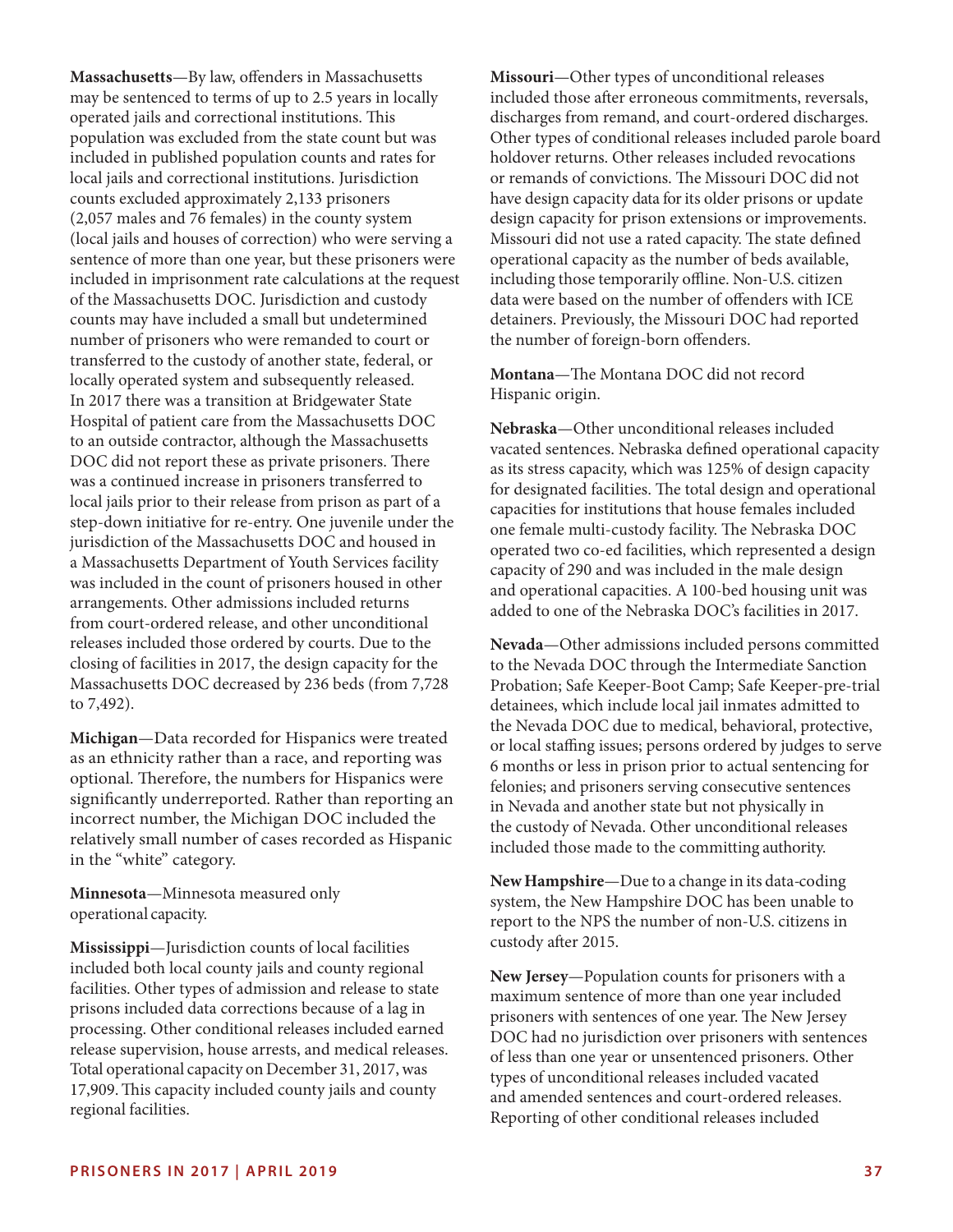**Massachusetts**—By law, ofenders in Massachusetts may be sentenced to terms of up to 2.5 years in locally operated jails and correctional institutions. This population was excluded from the state count but was included in published population counts and rates for local jails and correctional institutions. Jurisdiction counts excluded approximately 2,133 prisoners (2,057 males and 76 females) in the county system (local jails and houses of correction) who were serving a sentence of more than one year, but these prisoners were included in imprisonment rate calculations at the request of the Massachusetts DOC. Jurisdiction and custody counts may have included a small but undetermined number of prisoners who were remanded to court or transferred to the custody of another state, federal, or locally operated system and subsequently released. In 2017 there was a transition at Bridgewater State Hospital of patient care from the Massachusetts DOC to an outside contractor, although the Massachusetts DOC did not report these as private prisoners. There was a continued increase in prisoners transferred to local jails prior to their release from prison as part of a step-down initiative for re-entry. One juvenile under the jurisdiction of the Massachusetts DOC and housed in a Massachusetts Department of Youth Services facility was included in the count of prisoners housed in other arrangements. Other admissions included returns from court-ordered release, and other unconditional releases included those ordered by courts. Due to the closing of facilities in 2017, the design capacity for the Massachusetts DOC decreased by 236 beds (from 7,728 to 7,492).

**Michigan**—Data recorded for Hispanics were treated as an ethnicity rather than a race, and reporting was optional. Therefore, the numbers for Hispanics were signifcantly underreported. Rather than reporting an incorrect number, the Michigan DOC included the relatively small number of cases recorded as Hispanic in the "white" category.

**Minnesota**—Minnesota measured only operational capacity.

**Mississippi**—Jurisdiction counts of local facilities included both local county jails and county regional facilities. Other types of admission and release to state prisons included data corrections because of a lag in processing. Other conditional releases included earned release supervision, house arrests, and medical releases. Total operational capacity on December 31, 2017, was 17,909. This capacity included county jails and county regional facilities.

**Missouri**—Other types of unconditional releases included those after erroneous commitments, reversals, discharges from remand, and court-ordered discharges. Other types of conditional releases included parole board holdover returns. Other releases included revocations or remands of convictions. The Missouri DOC did not have design capacity data for its older prisons or update design capacity for prison extensions or improvements. Missouri did not use a rated capacity. The state defined operational capacity as the number of beds available, including those temporarily offline. Non-U.S. citizen data were based on the number of ofenders with ICE detainers. Previously, the Missouri DOC had reported the number of foreign-born ofenders.

**Montana**—The Montana DOC did not record Hispanic origin.

**Nebraska**—Other unconditional releases included vacated sentences. Nebraska defned operational capacity as its stress capacity, which was 125% of design capacity for designated facilities. The total design and operational capacities for institutions that house females included one female multi-custody facility. The Nebraska DOC operated two co-ed facilities, which represented a design capacity of 290 and was included in the male design and operational capacities. A 100-bed housing unit was added to one of the Nebraska DOC's facilities in 2017.

**Nevada**—Other admissions included persons committed to the Nevada DOC through the Intermediate Sanction Probation; Safe Keeper-Boot Camp; Safe Keeper-pre-trial detainees, which include local jail inmates admitted to the Nevada DOC due to medical, behavioral, protective, or local stafng issues; persons ordered by judges to serve 6 months or less in prison prior to actual sentencing for felonies; and prisoners serving consecutive sentences in Nevada and another state but not physically in the custody of Nevada. Other unconditional releases included those made to the committing authority.

**New Hampshire**—Due to a change in its data-coding system, the New Hampshire DOC has been unable to report to the NPS the number of non-U.S. citizens in custody afer 2015.

**New Jersey**—Population counts for prisoners with a maximum sentence of more than one year included prisoners with sentences of one year. The New Jersey DOC had no jurisdiction over prisoners with sentences of less than one year or unsentenced prisoners. Other types of unconditional releases included vacated and amended sentences and court-ordered releases. Reporting of other conditional releases included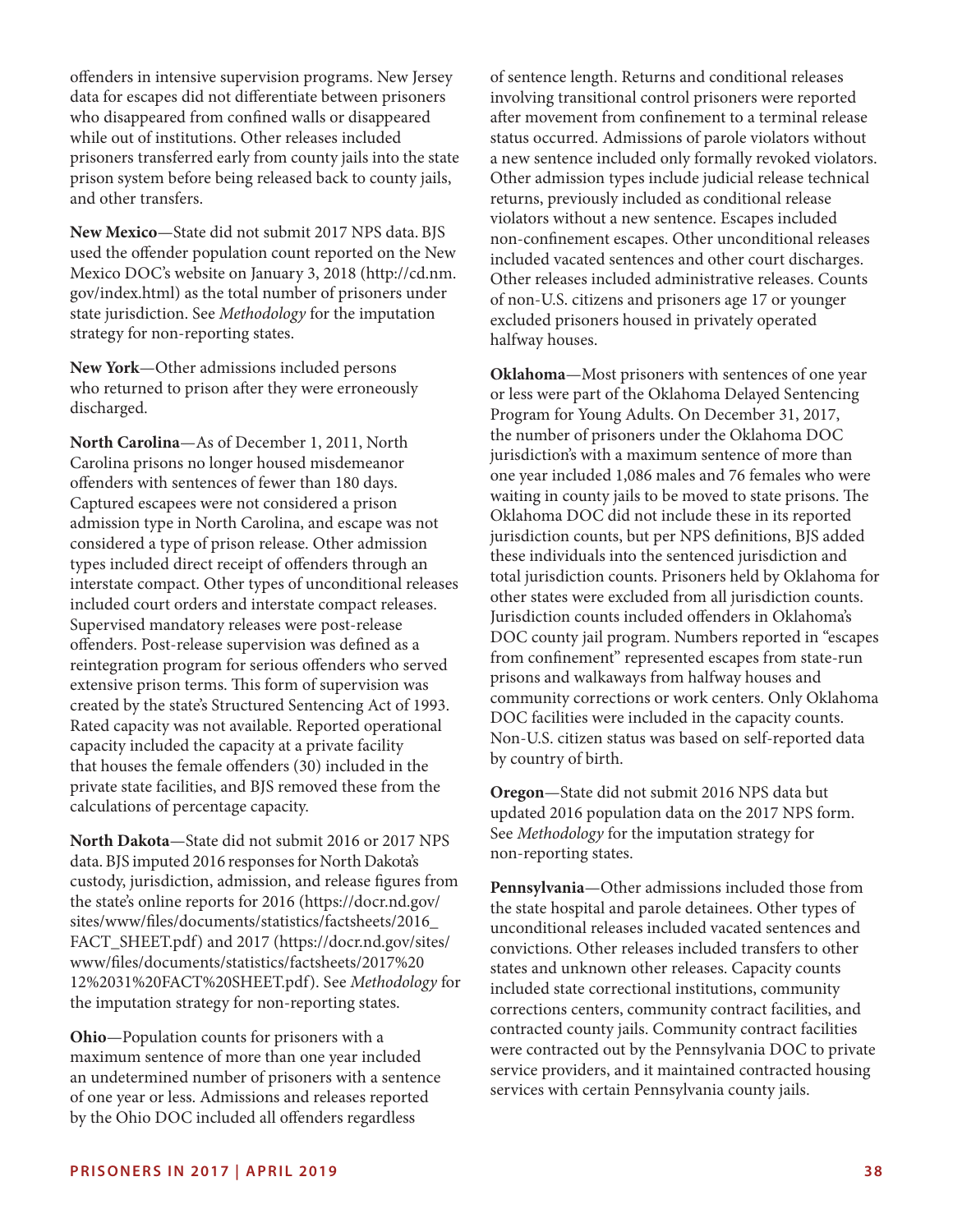ofenders in intensive supervision programs. New Jersey data for escapes did not diferentiate between prisoners who disappeared from confned walls or disappeared while out of institutions. Other releases included prisoners transferred early from county jails into the state prison system before being released back to county jails, and other transfers.

**New Mexico**—State did not submit 2017 NPS data. BJS used the ofender population count reported on the New Mexico DOC's website on January 3, 2018 [\(http://cd.nm.](http://cd.nm.gov/index.html) [gov/index.html](http://cd.nm.gov/index.html)) as the total number of prisoners under state jurisdiction. See *Methodology* for the imputation strategy for non-reporting states.

**New York**—Other admissions included persons who returned to prison after they were erroneously discharged.

**North Carolina**—As of December 1, 2011, North Carolina prisons no longer housed misdemeanor ofenders with sentences of fewer than 180 days. Captured escapees were not considered a prison admission type in North Carolina, and escape was not considered a type of prison release. Other admission types included direct receipt of ofenders through an interstate compact. Other types of unconditional releases included court orders and interstate compact releases. Supervised mandatory releases were post-release ofenders. Post-release supervision was defned as a reintegration program for serious offenders who served extensive prison terms. This form of supervision was created by the state's Structured Sentencing Act of 1993. Rated capacity was not available. Reported operational capacity included the capacity at a private facility that houses the female ofenders (30) included in the private state facilities, and BJS removed these from the calculations of percentage capacity.

**North Dakota**—State did not submit 2016 or 2017 NPS data. BJS imputed 2016 responses for North Dakota's custody, jurisdiction, admission, and release fgures from the state's online reports for 2016 ([https://docr.nd.gov/](https://docr.nd.gov/sites/www/files/documents/statistics/factsheets/2016_FACT_SHEET.pdf) [sites/www/fles/documents/statistics/factsheets/2016\\_](https://docr.nd.gov/sites/www/files/documents/statistics/factsheets/2016_FACT_SHEET.pdf)  [FACT\\_SHEET.pdf\)](https://docr.nd.gov/sites/www/files/documents/statistics/factsheets/2016_FACT_SHEET.pdf) and 2017 ([https://docr.nd.gov/sites/](https://docr.nd.gov/sites/www/files/documents/statistics/factsheets/2017%2012%2031%20FACT%20SHEET.pdf) [www/fles/documents/statistics/factsheets/2017%20](https://docr.nd.gov/sites/www/files/documents/statistics/factsheets/2017%2012%2031%20FACT%20SHEET.pdf)  [12%2031%20FACT%20SHEET.pdf](https://docr.nd.gov/sites/www/files/documents/statistics/factsheets/2017%2012%2031%20FACT%20SHEET.pdf)). See *Methodology* for the imputation strategy for non-reporting states.

**Ohio**—Population counts for prisoners with a maximum sentence of more than one year included an undetermined number of prisoners with a sentence of one year or less. Admissions and releases reported by the Ohio DOC included all ofenders regardless

of sentence length. Returns and conditional releases involving transitional control prisoners were reported afer movement from confnement to a terminal release status occurred. Admissions of parole violators without a new sentence included only formally revoked violators. Other admission types include judicial release technical returns, previously included as conditional release violators without a new sentence. Escapes included non-confnement escapes. Other unconditional releases included vacated sentences and other court discharges. Other releases included administrative releases. Counts of non-U.S. citizens and prisoners age 17 or younger excluded prisoners housed in privately operated halfway houses.

**Oklahoma**—Most prisoners with sentences of one year or less were part of the Oklahoma Delayed Sentencing Program for Young Adults. On December 31, 2017, the number of prisoners under the Oklahoma DOC jurisdiction's with a maximum sentence of more than one year included 1,086 males and 76 females who were waiting in county jails to be moved to state prisons. The Oklahoma DOC did not include these in its reported jurisdiction counts, but per NPS defnitions, BJS added these individuals into the sentenced jurisdiction and total jurisdiction counts. Prisoners held by Oklahoma for other states were excluded from all jurisdiction counts. Jurisdiction counts included ofenders in Oklahoma's DOC county jail program. Numbers reported in "escapes from confnement" represented escapes from state-run prisons and walkaways from halfway houses and community corrections or work centers. Only Oklahoma DOC facilities were included in the capacity counts. Non-U.S. citizen status was based on self-reported data by country of birth.

**Oregon**—State did not submit 2016 NPS data but updated 2016 population data on the 2017 NPS form. See *Methodology* for the imputation strategy for non-reporting states.

**Pennsylvania**—Other admissions included those from the state hospital and parole detainees. Other types of unconditional releases included vacated sentences and convictions. Other releases included transfers to other states and unknown other releases. Capacity counts included state correctional institutions, community corrections centers, community contract facilities, and contracted county jails. Community contract facilities were contracted out by the Pennsylvania DOC to private service providers, and it maintained contracted housing services with certain Pennsylvania county jails.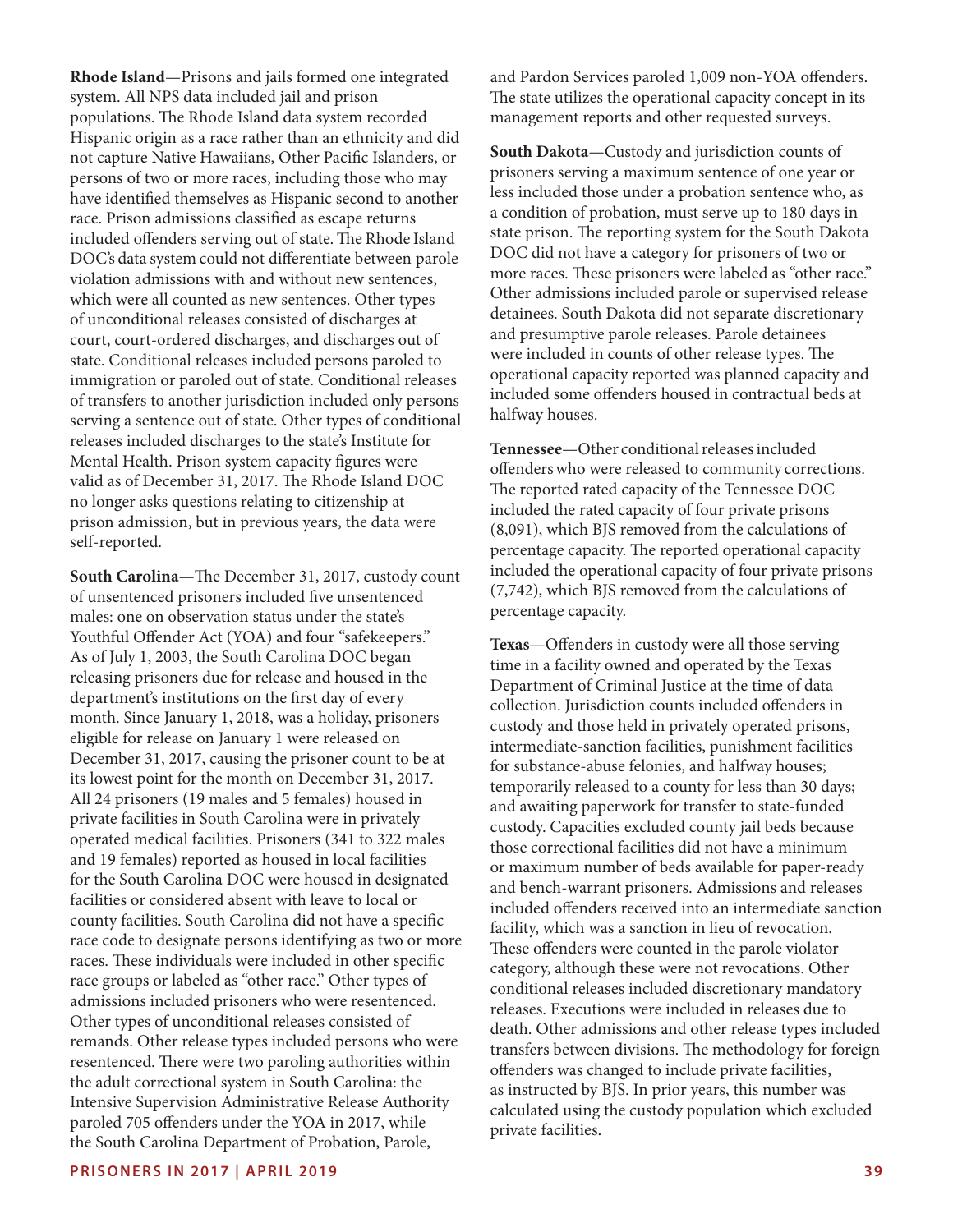**Rhode Island**—Prisons and jails formed one integrated system. All NPS data included jail and prison populations. The Rhode Island data system recorded Hispanic origin as a race rather than an ethnicity and did not capture Native Hawaiians, Other Pacifc Islanders, or persons of two or more races, including those who may have identifed themselves as Hispanic second to another race. Prison admissions classifed as escape returns included offenders serving out of state. The Rhode Island DOC's data system could not diferentiate between parole violation admissions with and without new sentences, which were all counted as new sentences. Other types of unconditional releases consisted of discharges at court, court-ordered discharges, and discharges out of state. Conditional releases included persons paroled to immigration or paroled out of state. Conditional releases of transfers to another jurisdiction included only persons serving a sentence out of state. Other types of conditional releases included discharges to the state's Institute for Mental Health. Prison system capacity fgures were valid as of December 31, 2017. The Rhode Island DOC no longer asks questions relating to citizenship at prison admission, but in previous years, the data were self-reported.

**South Carolina**—The December 31, 2017, custody count of unsentenced prisoners included fve unsentenced males: one on observation status under the state's Youthful Offender Act (YOA) and four "safekeepers." As of July 1, 2003, the South Carolina DOC began releasing prisoners due for release and housed in the department's institutions on the frst day of every month. Since January 1, 2018, was a holiday, prisoners eligible for release on January 1 were released on December 31, 2017, causing the prisoner count to be at its lowest point for the month on December 31, 2017. All 24 prisoners (19 males and 5 females) housed in private facilities in South Carolina were in privately operated medical facilities. Prisoners (341 to 322 males and 19 females) reported as housed in local facilities for the South Carolina DOC were housed in designated facilities or considered absent with leave to local or county facilities. South Carolina did not have a specifc race code to designate persons identifying as two or more races. These individuals were included in other specific race groups or labeled as "other race." Other types of admissions included prisoners who were resentenced. Other types of unconditional releases consisted of remands. Other release types included persons who were resentenced. There were two paroling authorities within the adult correctional system in South Carolina: the Intensive Supervision Administrative Release Authority paroled 705 ofenders under the YOA in 2017, while the South Carolina Department of Probation, Parole,

and Pardon Services paroled 1,009 non-YOA ofenders. The state utilizes the operational capacity concept in its management reports and other requested surveys.

**South Dakota**—Custody and jurisdiction counts of prisoners serving a maximum sentence of one year or less included those under a probation sentence who, as a condition of probation, must serve up to 180 days in state prison. The reporting system for the South Dakota DOC did not have a category for prisoners of two or more races. These prisoners were labeled as "other race." Other admissions included parole or supervised release detainees. South Dakota did not separate discretionary and presumptive parole releases. Parole detainees were included in counts of other release types. The operational capacity reported was planned capacity and included some ofenders housed in contractual beds at halfway houses.

**Tennessee**—Other conditional releases included ofenders who were released to community corrections. The reported rated capacity of the Tennessee DOC included the rated capacity of four private prisons (8,091), which BJS removed from the calculations of percentage capacity. The reported operational capacity included the operational capacity of four private prisons (7,742), which BJS removed from the calculations of percentage capacity.

Texas-Offenders in custody were all those serving time in a facility owned and operated by the Texas Department of Criminal Justice at the time of data collection. Jurisdiction counts included ofenders in custody and those held in privately operated prisons, intermediate-sanction facilities, punishment facilities for substance-abuse felonies, and halfway houses; temporarily released to a county for less than 30 days; and awaiting paperwork for transfer to state-funded custody. Capacities excluded county jail beds because those correctional facilities did not have a minimum or maximum number of beds available for paper-ready and bench-warrant prisoners. Admissions and releases included ofenders received into an intermediate sanction facility, which was a sanction in lieu of revocation. These offenders were counted in the parole violator category, although these were not revocations. Other conditional releases included discretionary mandatory releases. Executions were included in releases due to death. Other admissions and other release types included transfers between divisions. The methodology for foreign ofenders was changed to include private facilities, as instructed by BJS. In prior years, this number was calculated using the custody population which excluded private facilities.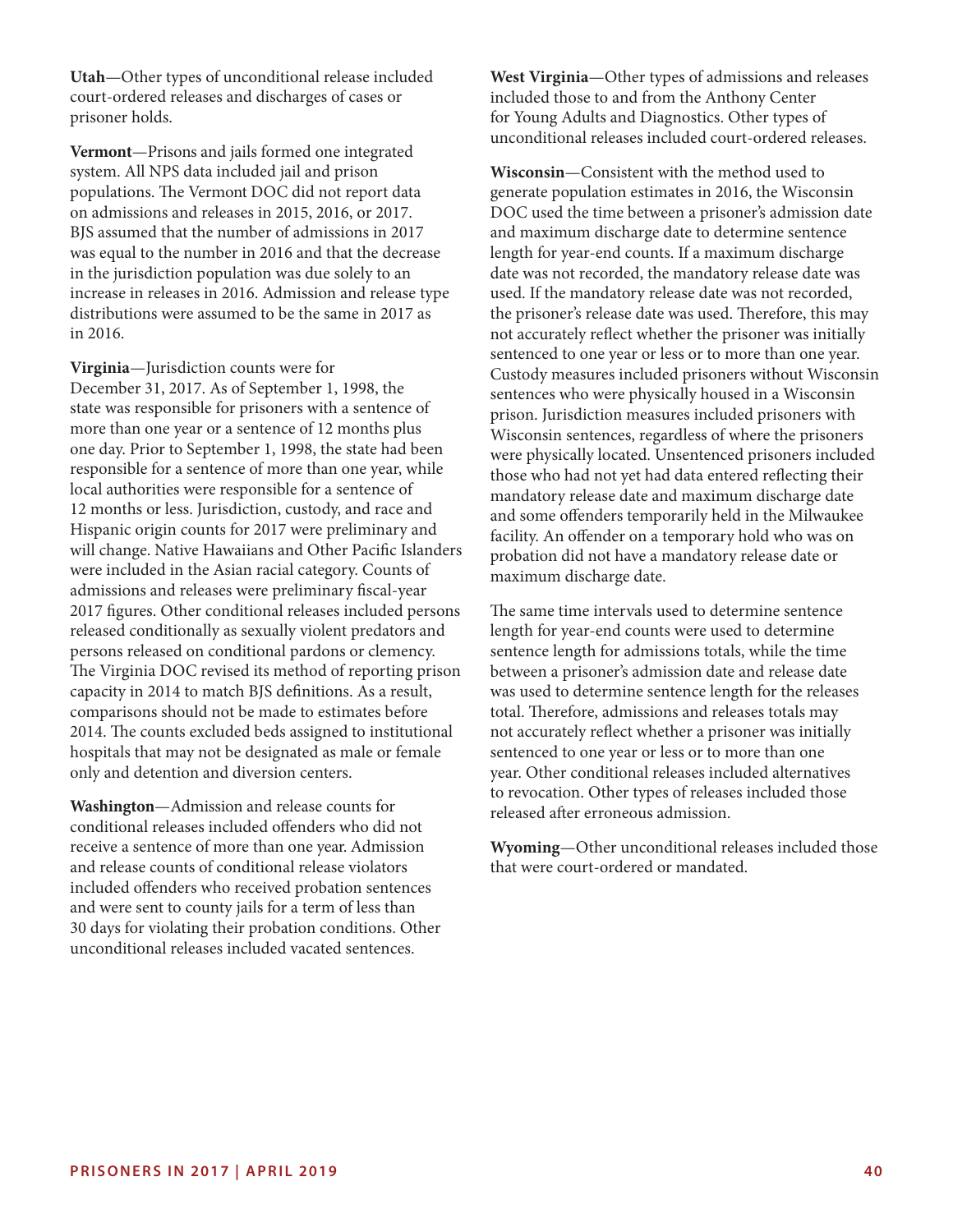**Utah**—Other types of unconditional release included court-ordered releases and discharges of cases or prisoner holds.

**Vermont**—Prisons and jails formed one integrated system. All NPS data included jail and prison populations. The Vermont DOC did not report data on admissions and releases in 2015, 2016, or 2017. BJS assumed that the number of admissions in 2017 was equal to the number in 2016 and that the decrease in the jurisdiction population was due solely to an increase in releases in 2016. Admission and release type distributions were assumed to be the same in 2017 as in 2016.

**Virginia**—Jurisdiction counts were for December 31, 2017. As of September 1, 1998, the state was responsible for prisoners with a sentence of more than one year or a sentence of 12 months plus one day. Prior to September 1, 1998, the state had been responsible for a sentence of more than one year, while local authorities were responsible for a sentence of 12 months or less. Jurisdiction, custody, and race and Hispanic origin counts for 2017 were preliminary and will change. Native Hawaiians and Other Pacifc Islanders were included in the Asian racial category. Counts of admissions and releases were preliminary fscal-year 2017 fgures. Other conditional releases included persons released conditionally as sexually violent predators and persons released on conditional pardons or clemency. The Virginia DOC revised its method of reporting prison capacity in 2014 to match BJS defnitions. As a result, comparisons should not be made to estimates before 2014. The counts excluded beds assigned to institutional hospitals that may not be designated as male or female only and detention and diversion centers.

**Washington**—Admission and release counts for conditional releases included ofenders who did not receive a sentence of more than one year. Admission and release counts of conditional release violators included offenders who received probation sentences and were sent to county jails for a term of less than 30 days for violating their probation conditions. Other unconditional releases included vacated sentences.

**West Virginia**—Other types of admissions and releases included those to and from the Anthony Center for Young Adults and Diagnostics. Other types of unconditional releases included court-ordered releases.

**Wisconsin**—Consistent with the method used to generate population estimates in 2016, the Wisconsin DOC used the time between a prisoner's admission date and maximum discharge date to determine sentence length for year-end counts. If a maximum discharge date was not recorded, the mandatory release date was used. If the mandatory release date was not recorded, the prisoner's release date was used. Therefore, this may not accurately refect whether the prisoner was initially sentenced to one year or less or to more than one year. Custody measures included prisoners without Wisconsin sentences who were physically housed in a Wisconsin prison. Jurisdiction measures included prisoners with Wisconsin sentences, regardless of where the prisoners were physically located. Unsentenced prisoners included those who had not yet had data entered refecting their mandatory release date and maximum discharge date and some ofenders temporarily held in the Milwaukee facility. An offender on a temporary hold who was on probation did not have a mandatory release date or maximum discharge date.

The same time intervals used to determine sentence length for year-end counts were used to determine sentence length for admissions totals, while the time between a prisoner's admission date and release date was used to determine sentence length for the releases total. Therefore, admissions and releases totals may not accurately refect whether a prisoner was initially sentenced to one year or less or to more than one year. Other conditional releases included alternatives to revocation. Other types of releases included those released after erroneous admission.

**Wyoming**—Other unconditional releases included those that were court-ordered or mandated.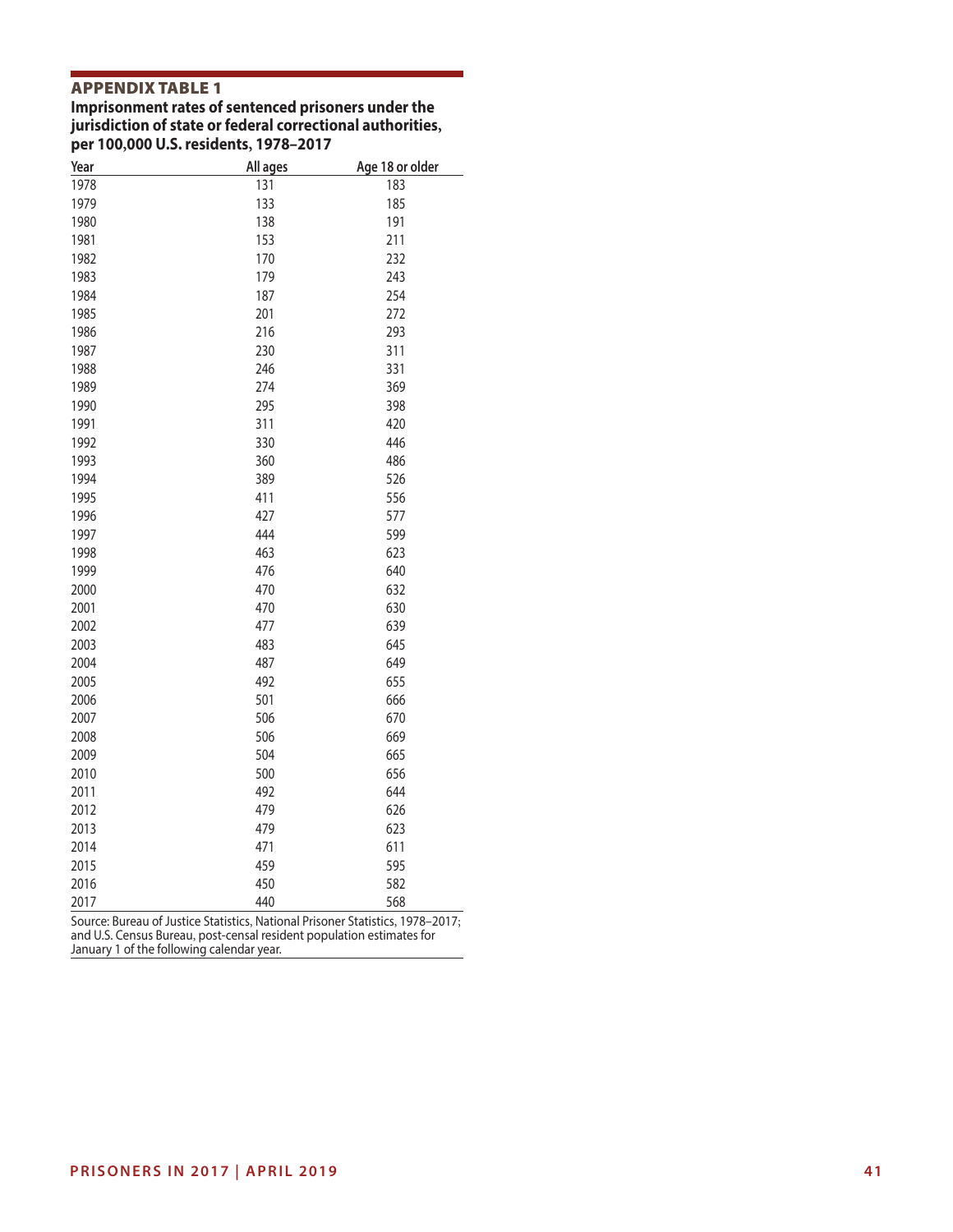# APPENDIX TABLE 1

**Imprisonment rates of sentenced prisoners under the jurisdiction of state or federal correctional authorities, per 100,000 U.S. residents, 1978–2017** 

| 1978<br>131<br>183<br>133<br>185<br>1979<br>138<br>191<br>1980<br>153<br>211<br>1981<br>1982<br>170<br>232<br>179<br>243<br>1983<br>254<br>1984<br>187<br>1985<br>201<br>272<br>1986<br>216<br>293<br>311<br>1987<br>230<br>331<br>1988<br>246<br>1989<br>274<br>369<br>1990<br>295<br>398<br>311<br>420<br>1991<br>1992<br>330<br>446<br>486<br>1993<br>360<br>1994<br>389<br>526<br>556<br>1995<br>411<br>1996<br>427<br>577<br>1997<br>444<br>599<br>463<br>623<br>1998<br>476<br>640<br>1999<br>2000<br>470<br>632<br>630<br>2001<br>470<br>2002<br>477<br>639<br>645<br>2003<br>483<br>487<br>649<br>2004<br>655<br>2005<br>492<br>501<br>666<br>2006<br>506<br>2007<br>670<br>506<br>669<br>2008<br>504<br>665<br>2009<br>500<br>656<br>2010<br>492<br>644<br>2011<br>2012<br>479<br>626<br>623<br>2013<br>479<br>2014<br>471<br>611<br>595<br>2015<br>459<br>450<br>582<br>2016<br>568<br>2017<br>440 | Year | All ages | Age 18 or older |
|--------------------------------------------------------------------------------------------------------------------------------------------------------------------------------------------------------------------------------------------------------------------------------------------------------------------------------------------------------------------------------------------------------------------------------------------------------------------------------------------------------------------------------------------------------------------------------------------------------------------------------------------------------------------------------------------------------------------------------------------------------------------------------------------------------------------------------------------------------------------------------------------------------------|------|----------|-----------------|
|                                                                                                                                                                                                                                                                                                                                                                                                                                                                                                                                                                                                                                                                                                                                                                                                                                                                                                              |      |          |                 |
|                                                                                                                                                                                                                                                                                                                                                                                                                                                                                                                                                                                                                                                                                                                                                                                                                                                                                                              |      |          |                 |
|                                                                                                                                                                                                                                                                                                                                                                                                                                                                                                                                                                                                                                                                                                                                                                                                                                                                                                              |      |          |                 |
|                                                                                                                                                                                                                                                                                                                                                                                                                                                                                                                                                                                                                                                                                                                                                                                                                                                                                                              |      |          |                 |
|                                                                                                                                                                                                                                                                                                                                                                                                                                                                                                                                                                                                                                                                                                                                                                                                                                                                                                              |      |          |                 |
|                                                                                                                                                                                                                                                                                                                                                                                                                                                                                                                                                                                                                                                                                                                                                                                                                                                                                                              |      |          |                 |
|                                                                                                                                                                                                                                                                                                                                                                                                                                                                                                                                                                                                                                                                                                                                                                                                                                                                                                              |      |          |                 |
|                                                                                                                                                                                                                                                                                                                                                                                                                                                                                                                                                                                                                                                                                                                                                                                                                                                                                                              |      |          |                 |
|                                                                                                                                                                                                                                                                                                                                                                                                                                                                                                                                                                                                                                                                                                                                                                                                                                                                                                              |      |          |                 |
|                                                                                                                                                                                                                                                                                                                                                                                                                                                                                                                                                                                                                                                                                                                                                                                                                                                                                                              |      |          |                 |
|                                                                                                                                                                                                                                                                                                                                                                                                                                                                                                                                                                                                                                                                                                                                                                                                                                                                                                              |      |          |                 |
|                                                                                                                                                                                                                                                                                                                                                                                                                                                                                                                                                                                                                                                                                                                                                                                                                                                                                                              |      |          |                 |
|                                                                                                                                                                                                                                                                                                                                                                                                                                                                                                                                                                                                                                                                                                                                                                                                                                                                                                              |      |          |                 |
|                                                                                                                                                                                                                                                                                                                                                                                                                                                                                                                                                                                                                                                                                                                                                                                                                                                                                                              |      |          |                 |
|                                                                                                                                                                                                                                                                                                                                                                                                                                                                                                                                                                                                                                                                                                                                                                                                                                                                                                              |      |          |                 |
|                                                                                                                                                                                                                                                                                                                                                                                                                                                                                                                                                                                                                                                                                                                                                                                                                                                                                                              |      |          |                 |
|                                                                                                                                                                                                                                                                                                                                                                                                                                                                                                                                                                                                                                                                                                                                                                                                                                                                                                              |      |          |                 |
|                                                                                                                                                                                                                                                                                                                                                                                                                                                                                                                                                                                                                                                                                                                                                                                                                                                                                                              |      |          |                 |
|                                                                                                                                                                                                                                                                                                                                                                                                                                                                                                                                                                                                                                                                                                                                                                                                                                                                                                              |      |          |                 |
|                                                                                                                                                                                                                                                                                                                                                                                                                                                                                                                                                                                                                                                                                                                                                                                                                                                                                                              |      |          |                 |
|                                                                                                                                                                                                                                                                                                                                                                                                                                                                                                                                                                                                                                                                                                                                                                                                                                                                                                              |      |          |                 |
|                                                                                                                                                                                                                                                                                                                                                                                                                                                                                                                                                                                                                                                                                                                                                                                                                                                                                                              |      |          |                 |
|                                                                                                                                                                                                                                                                                                                                                                                                                                                                                                                                                                                                                                                                                                                                                                                                                                                                                                              |      |          |                 |
|                                                                                                                                                                                                                                                                                                                                                                                                                                                                                                                                                                                                                                                                                                                                                                                                                                                                                                              |      |          |                 |
|                                                                                                                                                                                                                                                                                                                                                                                                                                                                                                                                                                                                                                                                                                                                                                                                                                                                                                              |      |          |                 |
|                                                                                                                                                                                                                                                                                                                                                                                                                                                                                                                                                                                                                                                                                                                                                                                                                                                                                                              |      |          |                 |
|                                                                                                                                                                                                                                                                                                                                                                                                                                                                                                                                                                                                                                                                                                                                                                                                                                                                                                              |      |          |                 |
|                                                                                                                                                                                                                                                                                                                                                                                                                                                                                                                                                                                                                                                                                                                                                                                                                                                                                                              |      |          |                 |
|                                                                                                                                                                                                                                                                                                                                                                                                                                                                                                                                                                                                                                                                                                                                                                                                                                                                                                              |      |          |                 |
|                                                                                                                                                                                                                                                                                                                                                                                                                                                                                                                                                                                                                                                                                                                                                                                                                                                                                                              |      |          |                 |
|                                                                                                                                                                                                                                                                                                                                                                                                                                                                                                                                                                                                                                                                                                                                                                                                                                                                                                              |      |          |                 |
|                                                                                                                                                                                                                                                                                                                                                                                                                                                                                                                                                                                                                                                                                                                                                                                                                                                                                                              |      |          |                 |
|                                                                                                                                                                                                                                                                                                                                                                                                                                                                                                                                                                                                                                                                                                                                                                                                                                                                                                              |      |          |                 |
|                                                                                                                                                                                                                                                                                                                                                                                                                                                                                                                                                                                                                                                                                                                                                                                                                                                                                                              |      |          |                 |
|                                                                                                                                                                                                                                                                                                                                                                                                                                                                                                                                                                                                                                                                                                                                                                                                                                                                                                              |      |          |                 |
|                                                                                                                                                                                                                                                                                                                                                                                                                                                                                                                                                                                                                                                                                                                                                                                                                                                                                                              |      |          |                 |
|                                                                                                                                                                                                                                                                                                                                                                                                                                                                                                                                                                                                                                                                                                                                                                                                                                                                                                              |      |          |                 |
|                                                                                                                                                                                                                                                                                                                                                                                                                                                                                                                                                                                                                                                                                                                                                                                                                                                                                                              |      |          |                 |
|                                                                                                                                                                                                                                                                                                                                                                                                                                                                                                                                                                                                                                                                                                                                                                                                                                                                                                              |      |          |                 |
|                                                                                                                                                                                                                                                                                                                                                                                                                                                                                                                                                                                                                                                                                                                                                                                                                                                                                                              |      |          |                 |

Source: Bureau of Justice Statistics, National Prisoner Statistics, 1978–2017; and U.S. Census Bureau, post-censal resident population estimates for January 1 of the following calendar year.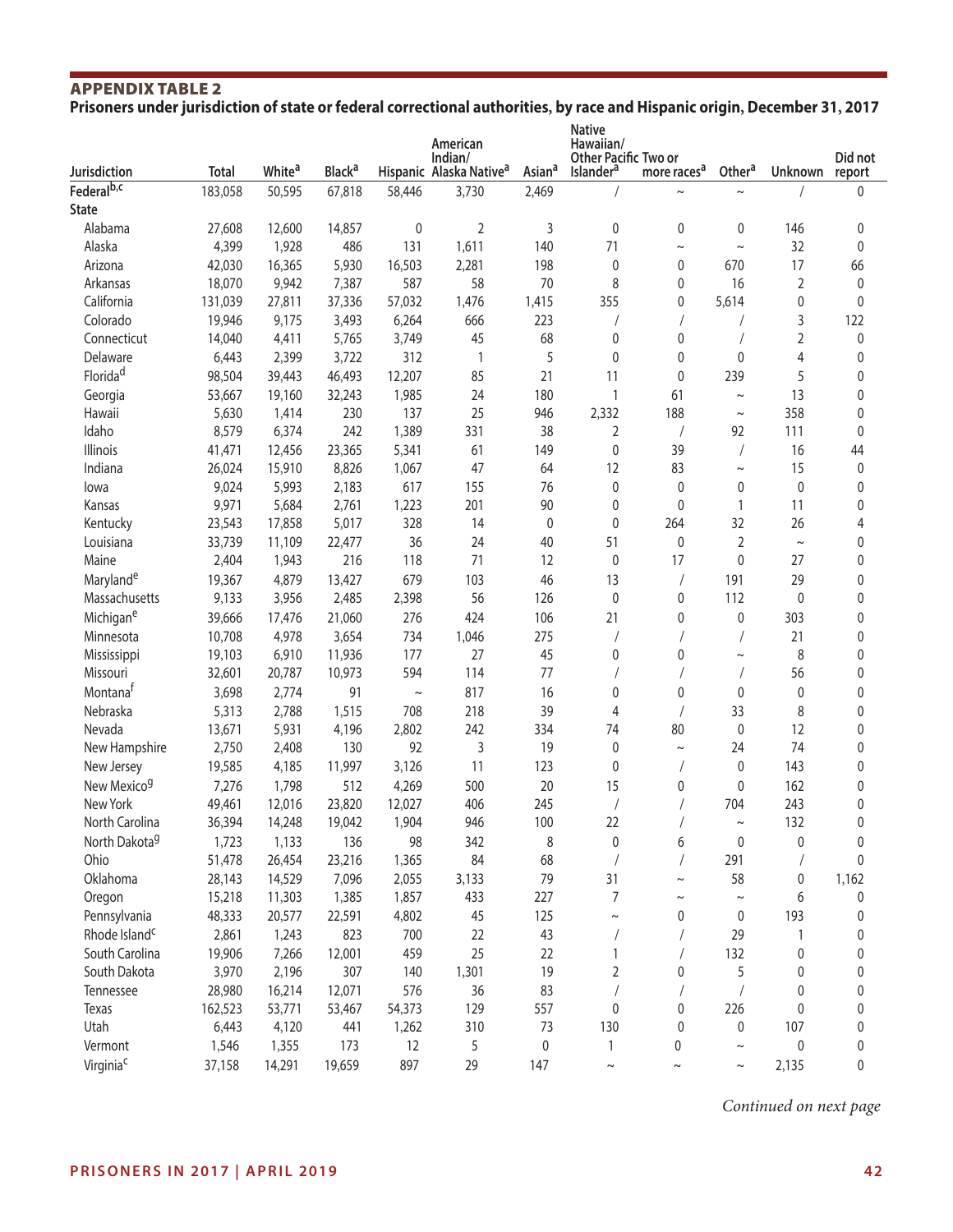# APPENDIX TABLE 2 **Prisoners under jurisdiction of state or federal correctional authorities, by race and Hispanic origin, December 31, 2017**

|                           |              |                    |                          |             | American<br>Indian/                 |                    | <b>Native</b><br>Hawaiian/<br>Other Pacific Two or |                         |                       |                | Did not     |
|---------------------------|--------------|--------------------|--------------------------|-------------|-------------------------------------|--------------------|----------------------------------------------------|-------------------------|-----------------------|----------------|-------------|
| <b>Jurisdiction</b>       | <b>Total</b> | White <sup>a</sup> | <b>Black<sup>a</sup></b> |             | Hispanic Alaska Native <sup>a</sup> | Asian <sup>a</sup> | Islander <sup>a</sup>                              | more races <sup>a</sup> | Other <sup>a</sup>    | Unknown        | report      |
| Federal <sup>b,c</sup>    | 183,058      | 50,595             | 67,818                   | 58,446      | 3,730                               | 2,469              |                                                    | $\tilde{}$              | $\tilde{\phantom{a}}$ |                | 0           |
| <b>State</b>              |              |                    |                          |             |                                     |                    |                                                    |                         |                       |                |             |
| Alabama                   | 27,608       | 12,600             | 14,857                   | 0           | $\overline{2}$                      | 3                  | 0                                                  | 0                       | 0                     | 146            | $\pmb{0}$   |
| Alaska                    | 4,399        | 1,928              | 486                      | 131         | 1,611                               | 140                | 71                                                 | $\tilde{\phantom{a}}$   | $\sim$                | 32             | $\pmb{0}$   |
| Arizona                   | 42,030       | 16,365             | 5,930                    | 16,503      | 2,281                               | 198                | 0                                                  | 0                       | 670                   | 17             | 66          |
| Arkansas                  | 18,070       | 9,942              | 7,387                    | 587         | 58                                  | 70                 | 8                                                  | 0                       | 16                    | 2              | $\pmb{0}$   |
| California                | 131,039      | 27,811             | 37,336                   | 57,032      | 1,476                               | 1,415              | 355                                                | 0                       | 5,614                 | 0              | $\mathbf 0$ |
| Colorado                  | 19,946       | 9,175              | 3,493                    | 6,264       | 666                                 | 223                |                                                    |                         |                       | 3              | 122         |
| Connecticut               | 14,040       | 4,411              | 5,765                    | 3,749       | 45                                  | 68                 | 0                                                  | 0                       |                       | $\overline{2}$ | $\mathbf 0$ |
| Delaware                  | 6,443        | 2,399              | 3,722                    | 312         | 1                                   | 5                  | $\mathbf 0$                                        | 0                       | 0                     | 4              | 0           |
| Florida <sup>d</sup>      | 98,504       | 39,443             | 46,493                   | 12,207      | 85                                  | 21                 | 11                                                 | 0                       | 239                   | 5              | 0           |
| Georgia                   | 53,667       | 19,160             | 32,243                   | 1,985       | 24                                  | 180                | 1                                                  | 61                      | $\sim$                | 13             | 0           |
| Hawaii                    | 5,630        | 1,414              | 230                      | 137         | 25                                  | 946                | 2,332                                              | 188                     | $\thicksim$           | 358            | 0           |
| Idaho                     | 8,579        | 6,374              | 242                      | 1,389       | 331                                 | 38                 | 2                                                  |                         | 92                    | 111            | $\mathbf 0$ |
| Illinois                  | 41,471       | 12,456             | 23,365                   | 5,341       | 61                                  | 149                | 0                                                  | 39                      | $\sqrt{2}$            | 16             | 44          |
| Indiana                   | 26,024       | 15,910             | 8,826                    | 1,067       | 47                                  | 64                 | 12                                                 | 83                      | $\tilde{\phantom{a}}$ | 15             | $\mathbf 0$ |
| lowa                      | 9,024        | 5,993              | 2,183                    | 617         | 155                                 | 76                 | 0                                                  | 0                       | 0                     | 0              | $\mathbf 0$ |
| Kansas                    | 9,971        | 5,684              | 2,761                    | 1,223       | 201                                 | 90                 | 0                                                  | 0                       | 1                     | 11             | 0           |
| Kentucky                  | 23,543       | 17,858             | 5,017                    | 328         | 14                                  | 0                  | $\mathbf 0$                                        | 264                     | 32                    | 26             | 4           |
| Louisiana                 | 33,739       | 11,109             | 22,477                   | 36          | 24                                  | 40                 | 51                                                 | 0                       | 2                     | $\sim$         | 0           |
| Maine                     | 2,404        | 1,943              | 216                      | 118         | 71                                  | 12                 | 0                                                  | 17                      | 0                     | 27             | 0           |
| Maryland <sup>e</sup>     | 19,367       | 4,879              | 13,427                   | 679         | 103                                 | 46                 | 13                                                 |                         | 191                   | 29             | 0           |
| Massachusetts             | 9,133        | 3,956              | 2,485                    | 2,398       | 56                                  | 126                | 0                                                  | 0                       | 112                   | $\mathbf 0$    | 0           |
| Michigan <sup>e</sup>     | 39,666       | 17,476             | 21,060                   | 276         | 424                                 | 106                | 21                                                 | 0                       | 0                     | 303            | $\mathbf 0$ |
| Minnesota                 | 10,708       | 4,978              | 3,654                    | 734         | 1,046                               | 275                |                                                    |                         |                       | 21             | 0           |
| Mississippi               | 19,103       | 6,910              | 11,936                   | 177         | 27                                  | 45                 | 0                                                  | 0                       | $\tilde{}$            | 8              | 0           |
| Missouri                  | 32,601       | 20,787             | 10,973                   | 594         | 114                                 | 77                 |                                                    |                         |                       | 56             | 0           |
| Montana <sup>t</sup>      | 3,698        | 2,774              | 91                       | $\thicksim$ | 817                                 | 16                 | 0                                                  | 0                       | 0                     | 0              | 0           |
| Nebraska                  | 5,313        | 2,788              | 1,515                    | 708         | 218                                 | 39                 | 4                                                  |                         | 33                    | 8              | 0           |
| Nevada                    | 13,671       | 5,931              | 4,196                    | 2,802       | 242                                 | 334                | 74                                                 | 80                      | 0                     | 12             | 0           |
| New Hampshire             | 2,750        | 2,408              | 130                      | 92          | 3                                   | 19                 | 0                                                  | $\tilde{}$              | 24                    | 74             | 0           |
| New Jersey                | 19,585       | 4,185              | 11,997                   | 3,126       | 11                                  | 123                | $\mathbf 0$                                        |                         | 0                     | 143            | 0           |
| New Mexico <sup>g</sup>   | 7,276        | 1,798              | 512                      | 4,269       | 500                                 | 20                 | 15                                                 | 0                       | 0                     | 162            | $\mathbf 0$ |
| New York                  | 49,461       | 12,016             | 23,820                   | 12,027      | 406                                 | 245                |                                                    |                         | 704                   | 243            | 0           |
| North Carolina            | 36,394       | 14,248             | 19,042                   | 1,904       | 946                                 | 100                | 22                                                 |                         | $\thicksim$           | 132            | 0           |
| North Dakota <sup>g</sup> | 1,723        | 1,133              | 136                      | 98          | 342                                 | 8                  | $\pmb{0}$                                          | 6                       | 0                     | 0              | 0           |
| Ohio                      | 51,478       | 26,454             | 23,216                   | 1,365       | 84                                  | 68                 |                                                    |                         | 291                   |                | $\mathbf 0$ |
| Oklahoma                  | 28,143       | 14,529             | 7,096                    | 2,055       | 3,133                               | 79                 | 31                                                 | $\tilde{\phantom{a}}$   | 58                    | 0              | 1,162       |
| Oregon                    | 15,218       | 11,303             | 1,385                    | 1,857       | 433                                 | 227                | $\overline{7}$                                     | $\tilde{\phantom{a}}$   | $\thicksim$           | 6              | 0           |
| Pennsylvania              | 48,333       | 20,577             | 22,591                   | 4,802       | 45                                  | 125                | $\thicksim$                                        | 0                       | 0                     | 193            | 0           |
| Rhode Island <sup>c</sup> | 2,861        | 1,243              | 823                      | 700         | 22                                  | 43                 |                                                    |                         | 29                    | 1              | 0           |
| South Carolina            |              |                    |                          |             | 25                                  |                    | $\mathbf{1}$                                       |                         | 132                   |                |             |
|                           | 19,906       | 7,266              | 12,001                   | 459         |                                     | 22<br>19           |                                                    |                         |                       | 0              | 0           |
| South Dakota              | 3,970        | 2,196              | 307                      | 140         | 1,301                               |                    | 2                                                  | 0                       | 5                     | 0              | 0           |
| Tennessee                 | 28,980       | 16,214             | 12,071                   | 576         | 36                                  | 83                 |                                                    |                         |                       | 0              | 0           |
| Texas                     | 162,523      | 53,771             | 53,467                   | 54,373      | 129                                 | 557                | 0                                                  | 0                       | 226                   | $\mathbf{0}$   | 0           |
| Utah                      | 6,443        | 4,120              | 441                      | 1,262       | 310                                 | 73                 | 130                                                | 0                       | 0                     | 107            | 0           |
| Vermont                   | 1,546        | 1,355              | 173                      | 12          | 5                                   | 0                  | $\mathbf{1}$                                       | 0                       | $\sim$                | 0              | 0           |
| Virginia <sup>c</sup>     | 37,158       | 14,291             | 19,659                   | 897         | 29                                  | 147                | $\sim$                                             | $\thicksim$             | $\sim$                | 2,135          | 0           |

*Continued on next page*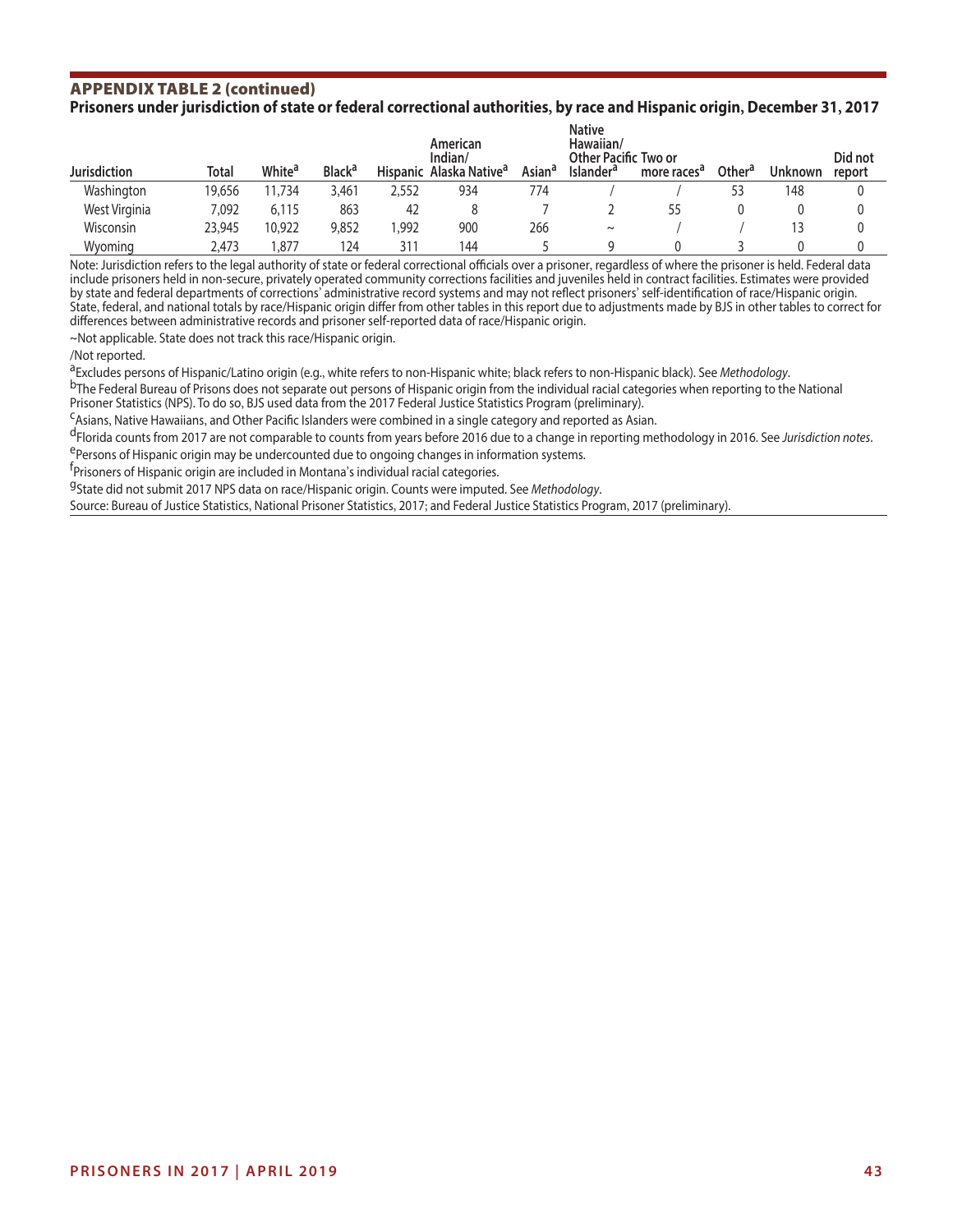#### APPENDIX TABLE 2 (continued) **Prisoners under jurisdiction of state or federal correctional authorities, by race and Hispanic origin, December 31, 2017**

|                     | <b>Native</b><br>Hawaiian/<br>American<br>Indian/<br><b>Other Pacific Two or</b> |                    |                          |       |                                     |                    |                       |                         |                    |         | Did not |
|---------------------|----------------------------------------------------------------------------------|--------------------|--------------------------|-------|-------------------------------------|--------------------|-----------------------|-------------------------|--------------------|---------|---------|
| <b>Jurisdiction</b> | Total                                                                            | White <sup>a</sup> | <b>Black<sup>a</sup></b> |       | Hispanic Alaska Native <sup>a</sup> | Asian <sup>a</sup> | Islander <sup>a</sup> | more races <sup>a</sup> | Other <sup>a</sup> | Unknown | report  |
| Washington          | 19.656                                                                           | 1,734              | 3,461                    | 2,552 | 934                                 | 774                |                       |                         | 53                 | 148     |         |
| West Virginia       | 7.092                                                                            | 6,115              | 863                      | 42    |                                     |                    |                       | 55                      |                    |         |         |
| Wisconsin           | 23,945                                                                           | 10,922             | 9,852                    | .992  | 900                                 | 266                | $\sim$                |                         |                    |         |         |
| Wyoming             | 2,473                                                                            | .877               | 124                      | 31.   | 144                                 |                    |                       |                         |                    |         |         |

Note: Jurisdiction refers to the legal authority of state or federal correctional officials over a prisoner, regardless of where the prisoner is held. Federal data include prisoners held in non-secure, privately operated community corrections facilities and juveniles held in contract facilities. Estimates were provided by state and federal departments of corrections' administrative record systems and may not refect prisoners' self-identifcation of race/Hispanic origin. State, federal, and national totals by race/Hispanic origin difer from other tables in this report due to adjustments made by BJS in other tables to correct for diferences between administrative records and prisoner self-reported data of race/Hispanic origin.

~Not applicable. State does not track this race/Hispanic origin.

/Not reported.

<sup>a</sup>Excludes persons of Hispanic/Latino origin (e.g., white refers to non-Hispanic white; black refers to non-Hispanic black). See *Methodology.*<br><sup>b</sup>The Federal Bureau of Prisons does not separate out persons of Hispanic or

<sup>C</sup>Asians, Native Hawaiians, and Other Pacific Islanders were combined in a single category and reported as Asian.<br><sup>d</sup>Florida counts from 2017 are not comparable to counts from years before 2016 due to a change in reportin

f Prisoners of Hispanic origin are included in Montana's individual racial categories.

gState did not submit 2017 NPS data on race/Hispanic origin. Counts were imputed. See *Methodology*.

Source: Bureau of Justice Statistics, National Prisoner Statistics, 2017; and Federal Justice Statistics Program, 2017 (preliminary).